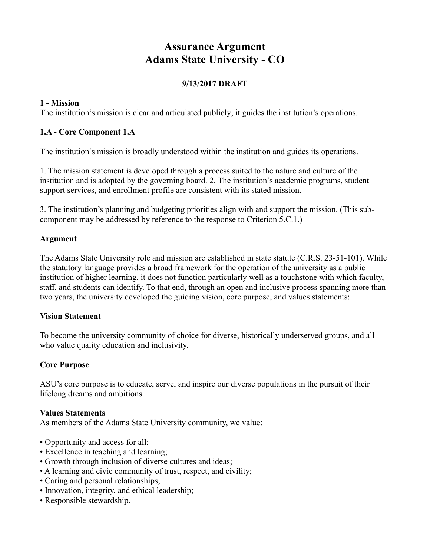# **Assurance Argument Adams State University - CO**

# **9/13/2017 DRAFT**

#### **1 - Mission**

The institution's mission is clear and articulated publicly; it guides the institution's operations.

### **1.A - Core Component 1.A**

The institution's mission is broadly understood within the institution and guides its operations.

1. The mission statement is developed through a process suited to the nature and culture of the institution and is adopted by the governing board. 2. The institution's academic programs, student support services, and enrollment profile are consistent with its stated mission.

3. The institution's planning and budgeting priorities align with and support the mission. (This subcomponent may be addressed by reference to the response to Criterion 5.C.1.)

#### **Argument**

The Adams State University role and mission are established in state statute (C.R.S. 23-51-101). While the statutory language provides a broad framework for the operation of the university as a public institution of higher learning, it does not function particularly well as a touchstone with which faculty, staff, and students can identify. To that end, through an open and inclusive process spanning more than two years, the university developed the guiding vision, core purpose, and values statements:

#### **Vision Statement**

To become the university community of choice for diverse, historically underserved groups, and all who value quality education and inclusivity.

# **Core Purpose**

ASU's core purpose is to educate, serve, and inspire our diverse populations in the pursuit of their lifelong dreams and ambitions.

#### **Values Statements**

As members of the Adams State University community, we value:

- Opportunity and access for all;
- Excellence in teaching and learning;
- Growth through inclusion of diverse cultures and ideas;
- A learning and civic community of trust, respect, and civility;
- Caring and personal relationships;
- Innovation, integrity, and ethical leadership;
- Responsible stewardship.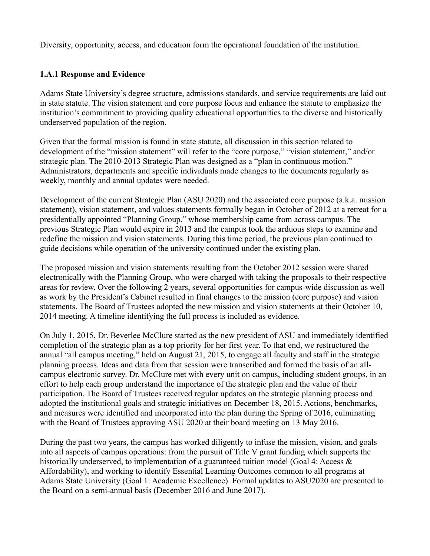Diversity, opportunity, access, and education form the operational foundation of the institution.

### **1.A.1 Response and Evidence**

Adams State University's degree structure, admissions standards, and service requirements are laid out in state statute. The vision statement and core purpose focus and enhance the statute to emphasize the institution's commitment to providing quality educational opportunities to the diverse and historically underserved population of the region.

Given that the formal mission is found in state statute, all discussion in this section related to development of the "mission statement" will refer to the "core purpose," "vision statement," and/or strategic plan. The 2010-2013 Strategic Plan was designed as a "plan in continuous motion." Administrators, departments and specific individuals made changes to the documents regularly as weekly, monthly and annual updates were needed.

Development of the current Strategic Plan (ASU 2020) and the associated core purpose (a.k.a. mission statement), vision statement, and values statements formally began in October of 2012 at a retreat for a presidentially appointed "Planning Group," whose membership came from across campus. The previous Strategic Plan would expire in 2013 and the campus took the arduous steps to examine and redefine the mission and vision statements. During this time period, the previous plan continued to guide decisions while operation of the university continued under the existing plan.

The proposed mission and vision statements resulting from the October 2012 session were shared electronically with the Planning Group, who were charged with taking the proposals to their respective areas for review. Over the following 2 years, several opportunities for campus-wide discussion as well as work by the President's Cabinet resulted in final changes to the mission (core purpose) and vision statements. The Board of Trustees adopted the new mission and vision statements at their October 10, 2014 meeting. A timeline identifying the full process is included as evidence.

On July 1, 2015, Dr. Beverlee McClure started as the new president of ASU and immediately identified completion of the strategic plan as a top priority for her first year. To that end, we restructured the annual "all campus meeting," held on August 21, 2015, to engage all faculty and staff in the strategic planning process. Ideas and data from that session were transcribed and formed the basis of an allcampus electronic survey. Dr. McClure met with every unit on campus, including student groups, in an effort to help each group understand the importance of the strategic plan and the value of their participation. The Board of Trustees received regular updates on the strategic planning process and adopted the institutional goals and strategic initiatives on December 18, 2015. Actions, benchmarks, and measures were identified and incorporated into the plan during the Spring of 2016, culminating with the Board of Trustees approving ASU 2020 at their board meeting on 13 May 2016.

During the past two years, the campus has worked diligently to infuse the mission, vision, and goals into all aspects of campus operations: from the pursuit of Title V grant funding which supports the historically underserved, to implementation of a guaranteed tuition model (Goal 4: Access  $\&$ Affordability), and working to identify Essential Learning Outcomes common to all programs at Adams State University (Goal 1: Academic Excellence). Formal updates to ASU2020 are presented to the Board on a semi-annual basis (December 2016 and June 2017).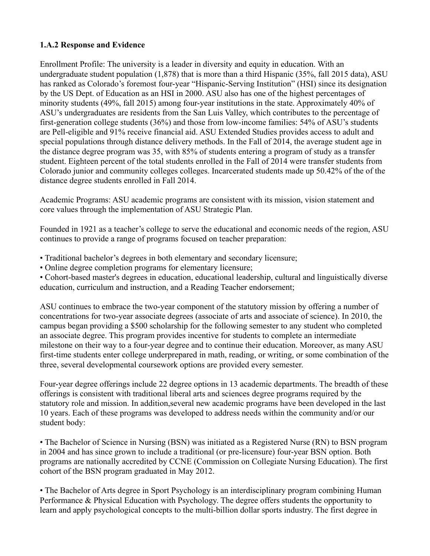# **1.A.2 Response and Evidence**

Enrollment Profile: The university is a leader in diversity and equity in education. With an undergraduate student population (1,878) that is more than a third Hispanic (35%, fall 2015 data), ASU has ranked as Colorado's foremost four-year "Hispanic-Serving Institution" (HSI) since its designation by the US Dept. of Education as an HSI in 2000. ASU also has one of the highest percentages of minority students (49%, fall 2015) among four-year institutions in the state. Approximately 40% of ASU's undergraduates are residents from the San Luis Valley, which contributes to the percentage of first-generation college students (36%) and those from low-income families: 54% of ASU's students are Pell-eligible and 91% receive financial aid. ASU Extended Studies provides access to adult and special populations through distance delivery methods. In the Fall of 2014, the average student age in the distance degree program was 35, with 85% of students entering a program of study as a transfer student. Eighteen percent of the total students enrolled in the Fall of 2014 were transfer students from Colorado junior and community colleges colleges. Incarcerated students made up 50.42% of the of the distance degree students enrolled in Fall 2014.

Academic Programs: ASU academic programs are consistent with its mission, vision statement and core values through the implementation of ASU Strategic Plan.

Founded in 1921 as a teacher's college to serve the educational and economic needs of the region, ASU continues to provide a range of programs focused on teacher preparation:

- Traditional bachelor's degrees in both elementary and secondary licensure;
- Online degree completion programs for elementary licensure;

• Cohort-based master's degrees in education, educational leadership, cultural and linguistically diverse education, curriculum and instruction, and a Reading Teacher endorsement;

ASU continues to embrace the two-year component of the statutory mission by offering a number of concentrations for two-year associate degrees (associate of arts and associate of science). In 2010, the campus began providing a \$500 scholarship for the following semester to any student who completed an associate degree. This program provides incentive for students to complete an intermediate milestone on their way to a four-year degree and to continue their education. Moreover, as many ASU first-time students enter college underprepared in math, reading, or writing, or some combination of the three, several developmental coursework options are provided every semester.

Four-year degree offerings include 22 degree options in 13 academic departments. The breadth of these offerings is consistent with traditional liberal arts and sciences degree programs required by the statutory role and mission. In addition,several new academic programs have been developed in the last 10 years. Each of these programs was developed to address needs within the community and/or our student body:

• The Bachelor of Science in Nursing (BSN) was initiated as a Registered Nurse (RN) to BSN program in 2004 and has since grown to include a traditional (or pre-licensure) four-year BSN option. Both programs are nationally accredited by CCNE (Commission on Collegiate Nursing Education). The first cohort of the BSN program graduated in May 2012.

• The Bachelor of Arts degree in Sport Psychology is an interdisciplinary program combining Human Performance & Physical Education with Psychology. The degree offers students the opportunity to learn and apply psychological concepts to the multi-billion dollar sports industry. The first degree in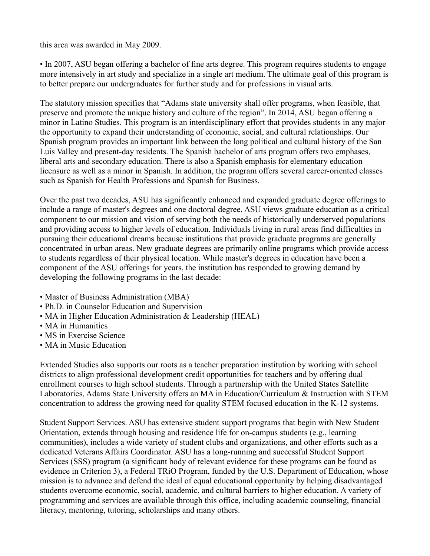this area was awarded in May 2009.

• In 2007, ASU began offering a bachelor of fine arts degree. This program requires students to engage more intensively in art study and specialize in a single art medium. The ultimate goal of this program is to better prepare our undergraduates for further study and for professions in visual arts.

The statutory mission specifies that "Adams state university shall offer programs, when feasible, that preserve and promote the unique history and culture of the region". In 2014, ASU began offering a minor in Latino Studies. This program is an interdisciplinary effort that provides students in any major the opportunity to expand their understanding of economic, social, and cultural relationships. Our Spanish program provides an important link between the long political and cultural history of the San Luis Valley and present-day residents. The Spanish bachelor of arts program offers two emphases, liberal arts and secondary education. There is also a Spanish emphasis for elementary education licensure as well as a minor in Spanish. In addition, the program offers several career-oriented classes such as Spanish for Health Professions and Spanish for Business.

Over the past two decades, ASU has significantly enhanced and expanded graduate degree offerings to include a range of master's degrees and one doctoral degree. ASU views graduate education as a critical component to our mission and vision of serving both the needs of historically underserved populations and providing access to higher levels of education. Individuals living in rural areas find difficulties in pursuing their educational dreams because institutions that provide graduate programs are generally concentrated in urban areas. New graduate degrees are primarily online programs which provide access to students regardless of their physical location. While master's degrees in education have been a component of the ASU offerings for years, the institution has responded to growing demand by developing the following programs in the last decade:

- Master of Business Administration (MBA)
- Ph.D. in Counselor Education and Supervision
- MA in Higher Education Administration & Leadership (HEAL)
- MA in Humanities
- MS in Exercise Science
- MA in Music Education

Extended Studies also supports our roots as a teacher preparation institution by working with school districts to align professional development credit opportunities for teachers and by offering dual enrollment courses to high school students. Through a partnership with the United States Satellite Laboratories, Adams State University offers an MA in Education/Curriculum & Instruction with STEM concentration to address the growing need for quality STEM focused education in the K-12 systems.

Student Support Services. ASU has extensive student support programs that begin with New Student Orientation, extends through housing and residence life for on-campus students (e.g., learning communities), includes a wide variety of student clubs and organizations, and other efforts such as a dedicated Veterans Affairs Coordinator. ASU has a long-running and successful Student Support Services (SSS) program (a significant body of relevant evidence for these programs can be found as evidence in Criterion 3), a Federal TRiO Program, funded by the U.S. Department of Education, whose mission is to advance and defend the ideal of equal educational opportunity by helping disadvantaged students overcome economic, social, academic, and cultural barriers to higher education. A variety of programming and services are available through this office, including academic counseling, financial literacy, mentoring, tutoring, scholarships and many others.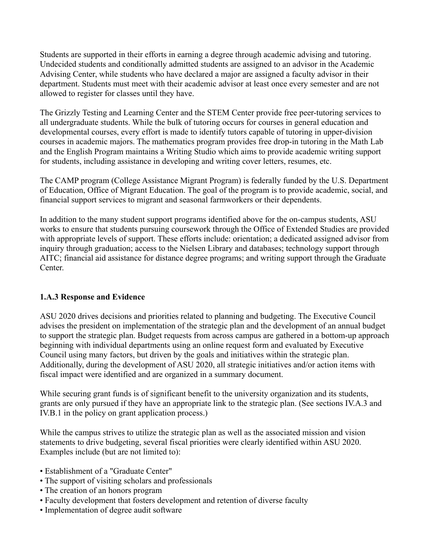Students are supported in their efforts in earning a degree through academic advising and tutoring. Undecided students and conditionally admitted students are assigned to an advisor in the Academic Advising Center, while students who have declared a major are assigned a faculty advisor in their department. Students must meet with their academic advisor at least once every semester and are not allowed to register for classes until they have.

The Grizzly Testing and Learning Center and the STEM Center provide free peer-tutoring services to all undergraduate students. While the bulk of tutoring occurs for courses in general education and developmental courses, every effort is made to identify tutors capable of tutoring in upper-division courses in academic majors. The mathematics program provides free drop-in tutoring in the Math Lab and the English Program maintains a Writing Studio which aims to provide academic writing support for students, including assistance in developing and writing cover letters, resumes, etc.

The CAMP program (College Assistance Migrant Program) is federally funded by the U.S. Department of Education, Office of Migrant Education. The goal of the program is to provide academic, social, and financial support services to migrant and seasonal farmworkers or their dependents.

In addition to the many student support programs identified above for the on-campus students, ASU works to ensure that students pursuing coursework through the Office of Extended Studies are provided with appropriate levels of support. These efforts include: orientation; a dedicated assigned advisor from inquiry through graduation; access to the Nielsen Library and databases; technology support through AITC; financial aid assistance for distance degree programs; and writing support through the Graduate Center.

# **1.A.3 Response and Evidence**

ASU 2020 drives decisions and priorities related to planning and budgeting. The Executive Council advises the president on implementation of the strategic plan and the development of an annual budget to support the strategic plan. Budget requests from across campus are gathered in a bottom-up approach beginning with individual departments using an online request form and evaluated by Executive Council using many factors, but driven by the goals and initiatives within the strategic plan. Additionally, during the development of ASU 2020, all strategic initiatives and/or action items with fiscal impact were identified and are organized in a summary document.

While securing grant funds is of significant benefit to the university organization and its students, grants are only pursued if they have an appropriate link to the strategic plan. (See sections IV.A.3 and IV.B.1 in the policy on grant application process.)

While the campus strives to utilize the strategic plan as well as the associated mission and vision statements to drive budgeting, several fiscal priorities were clearly identified within ASU 2020. Examples include (but are not limited to):

- Establishment of a "Graduate Center"
- The support of visiting scholars and professionals
- The creation of an honors program
- Faculty development that fosters development and retention of diverse faculty
- Implementation of degree audit software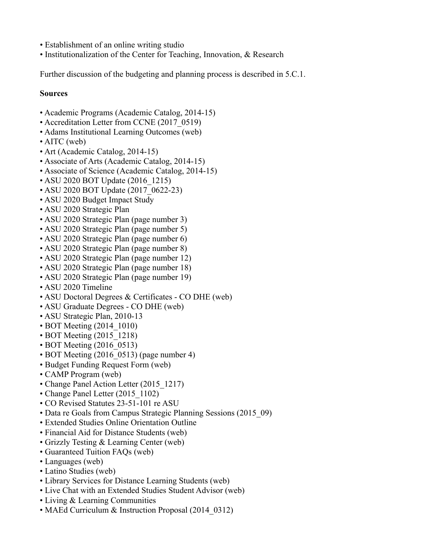- Establishment of an online writing studio
- Institutionalization of the Center for Teaching, Innovation, & Research

Further discussion of the budgeting and planning process is described in 5.C.1.

#### **Sources**

- Academic Programs (Academic Catalog, 2014-15)
- Accreditation Letter from CCNE (2017\_0519)
- Adams Institutional Learning Outcomes (web)
- AITC (web)
- Art (Academic Catalog, 2014-15)
- Associate of Arts (Academic Catalog, 2014-15)
- Associate of Science (Academic Catalog, 2014-15)
- ASU 2020 BOT Update (2016 1215)
- ASU 2020 BOT Update (2017–0622-23)
- ASU 2020 Budget Impact Study
- ASU 2020 Strategic Plan
- ASU 2020 Strategic Plan (page number 3)
- ASU 2020 Strategic Plan (page number 5)
- ASU 2020 Strategic Plan (page number 6)
- ASU 2020 Strategic Plan (page number 8)
- ASU 2020 Strategic Plan (page number 12)
- ASU 2020 Strategic Plan (page number 18)
- ASU 2020 Strategic Plan (page number 19)
- ASU 2020 Timeline
- ASU Doctoral Degrees & Certificates CO DHE (web)
- ASU Graduate Degrees CO DHE (web)
- ASU Strategic Plan, 2010-13
- BOT Meeting (2014–1010)
- BOT Meeting (2015 1218)
- BOT Meeting (2016–0513)
- BOT Meeting (2016\_0513) (page number 4)
- Budget Funding Request Form (web)
- CAMP Program (web)
- Change Panel Action Letter (2015 1217)
- Change Panel Letter (2015 1102)
- CO Revised Statutes 23-51-101 re ASU
- Data re Goals from Campus Strategic Planning Sessions (2015\_09)
- Extended Studies Online Orientation Outline
- Financial Aid for Distance Students (web)
- Grizzly Testing & Learning Center (web)
- Guaranteed Tuition FAQs (web)
- Languages (web)
- Latino Studies (web)
- Library Services for Distance Learning Students (web)
- Live Chat with an Extended Studies Student Advisor (web)
- Living & Learning Communities
- MAEd Curriculum & Instruction Proposal (2014–0312)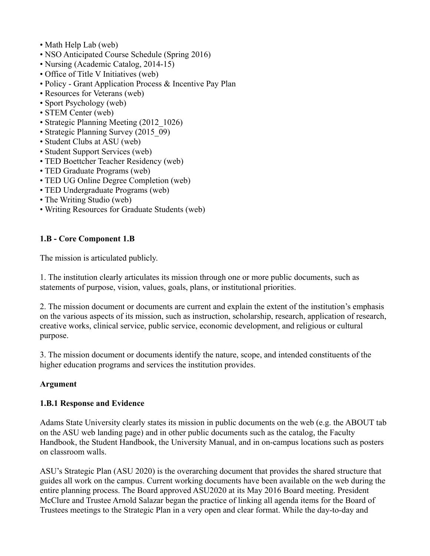- Math Help Lab (web)
- NSO Anticipated Course Schedule (Spring 2016)
- Nursing (Academic Catalog, 2014-15)
- Office of Title V Initiatives (web)
- Policy Grant Application Process & Incentive Pay Plan
- Resources for Veterans (web)
- Sport Psychology (web)
- STEM Center (web)
- Strategic Planning Meeting (2012–1026)
- Strategic Planning Survey (2015–09)
- Student Clubs at ASU (web)
- Student Support Services (web)
- TED Boettcher Teacher Residency (web)
- TED Graduate Programs (web)
- TED UG Online Degree Completion (web)
- TED Undergraduate Programs (web)
- The Writing Studio (web)
- Writing Resources for Graduate Students (web)

#### **1.B - Core Component 1.B**

The mission is articulated publicly.

1. The institution clearly articulates its mission through one or more public documents, such as statements of purpose, vision, values, goals, plans, or institutional priorities.

2. The mission document or documents are current and explain the extent of the institution's emphasis on the various aspects of its mission, such as instruction, scholarship, research, application of research, creative works, clinical service, public service, economic development, and religious or cultural purpose.

3. The mission document or documents identify the nature, scope, and intended constituents of the higher education programs and services the institution provides.

# **Argument**

#### **1.B.1 Response and Evidence**

Adams State University clearly states its mission in public documents on the web (e.g. the ABOUT tab on the ASU web landing page) and in other public documents such as the catalog, the Faculty Handbook, the Student Handbook, the University Manual, and in on-campus locations such as posters on classroom walls.

ASU's Strategic Plan (ASU 2020) is the overarching document that provides the shared structure that guides all work on the campus. Current working documents have been available on the web during the entire planning process. The Board approved ASU2020 at its May 2016 Board meeting. President McClure and Trustee Arnold Salazar began the practice of linking all agenda items for the Board of Trustees meetings to the Strategic Plan in a very open and clear format. While the day-to-day and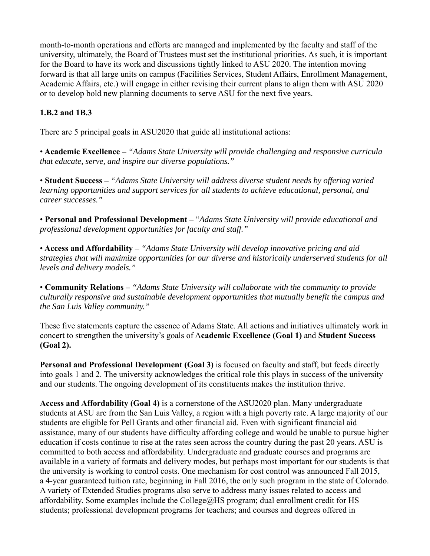month-to-month operations and efforts are managed and implemented by the faculty and staff of the university, ultimately, the Board of Trustees must set the institutional priorities. As such, it is important for the Board to have its work and discussions tightly linked to ASU 2020. The intention moving forward is that all large units on campus (Facilities Services, Student Affairs, Enrollment Management, Academic Affairs, etc.) will engage in either revising their current plans to align them with ASU 2020 or to develop bold new planning documents to serve ASU for the next five years.

# **1.B.2 and 1B.3**

There are 5 principal goals in ASU2020 that guide all institutional actions:

• **Academic Excellence –** *"Adams State University will provide challenging and responsive curricula that educate, serve, and inspire our diverse populations."*

• **Student Success –** *"Adams State University will address diverse student needs by offering varied learning opportunities and support services for all students to achieve educational, personal, and career successes."*

• **Personal and Professional Development –** "*Adams State University will provide educational and professional development opportunities for faculty and staff."*

• **Access and Affordability –** *"Adams State University will develop innovative pricing and aid strategies that will maximize opportunities for our diverse and historically underserved students for all levels and delivery models."*

• **Community Relations –** *"Adams State University will collaborate with the community to provide culturally responsive and sustainable development opportunities that mutually benefit the campus and the San Luis Valley community."*

These five statements capture the essence of Adams State. All actions and initiatives ultimately work in concert to strengthen the university's goals of A**cademic Excellence (Goal 1)** and **Student Success (Goal 2).**

**Personal and Professional Development (Goal 3)** is focused on faculty and staff, but feeds directly into goals 1 and 2. The university acknowledges the critical role this plays in success of the university and our students. The ongoing development of its constituents makes the institution thrive.

**Access and Affordability (Goal 4)** is a cornerstone of the ASU2020 plan. Many undergraduate students at ASU are from the San Luis Valley, a region with a high poverty rate. A large majority of our students are eligible for Pell Grants and other financial aid. Even with significant financial aid assistance, many of our students have difficulty affording college and would be unable to pursue higher education if costs continue to rise at the rates seen across the country during the past 20 years. ASU is committed to both access and affordability. Undergraduate and graduate courses and programs are available in a variety of formats and delivery modes, but perhaps most important for our students is that the university is working to control costs. One mechanism for cost control was announced Fall 2015, a 4-year guaranteed tuition rate, beginning in Fall 2016, the only such program in the state of Colorado. A variety of Extended Studies programs also serve to address many issues related to access and affordability. Some examples include the College $@$ HS program; dual enrollment credit for HS students; professional development programs for teachers; and courses and degrees offered in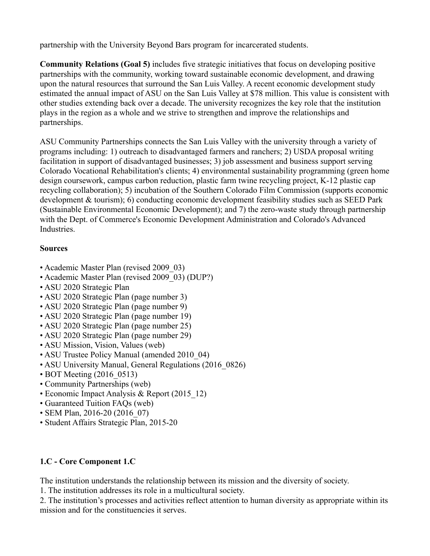partnership with the University Beyond Bars program for incarcerated students.

**Community Relations (Goal 5)** includes five strategic initiatives that focus on developing positive partnerships with the community, working toward sustainable economic development, and drawing upon the natural resources that surround the San Luis Valley. A recent economic development study estimated the annual impact of ASU on the San Luis Valley at \$78 million. This value is consistent with other studies extending back over a decade. The university recognizes the key role that the institution plays in the region as a whole and we strive to strengthen and improve the relationships and partnerships.

ASU Community Partnerships connects the San Luis Valley with the university through a variety of programs including: 1) outreach to disadvantaged farmers and ranchers; 2) USDA proposal writing facilitation in support of disadvantaged businesses; 3) job assessment and business support serving Colorado Vocational Rehabilitation's clients; 4) environmental sustainability programming (green home design coursework, campus carbon reduction, plastic farm twine recycling project, K-12 plastic cap recycling collaboration); 5) incubation of the Southern Colorado Film Commission (supports economic development & tourism); 6) conducting economic development feasibility studies such as SEED Park (Sustainable Environmental Economic Development); and 7) the zero-waste study through partnership with the Dept. of Commerce's Economic Development Administration and Colorado's Advanced Industries.

# **Sources**

- Academic Master Plan (revised 2009\_03)
- Academic Master Plan (revised 2009\_03) (DUP?)
- ASU 2020 Strategic Plan
- ASU 2020 Strategic Plan (page number 3)
- ASU 2020 Strategic Plan (page number 9)
- ASU 2020 Strategic Plan (page number 19)
- ASU 2020 Strategic Plan (page number 25)
- ASU 2020 Strategic Plan (page number 29)
- ASU Mission, Vision, Values (web)
- ASU Trustee Policy Manual (amended 2010\_04)
- ASU University Manual, General Regulations (2016–0826)
- BOT Meeting (2016–0513)
- Community Partnerships (web)
- Economic Impact Analysis & Report (2015\_12)
- Guaranteed Tuition FAQs (web)
- SEM Plan, 2016-20 (2016–07)
- Student Affairs Strategic Plan, 2015-20

# **1.C - Core Component 1.C**

The institution understands the relationship between its mission and the diversity of society.

1. The institution addresses its role in a multicultural society.

2. The institution's processes and activities reflect attention to human diversity as appropriate within its mission and for the constituencies it serves.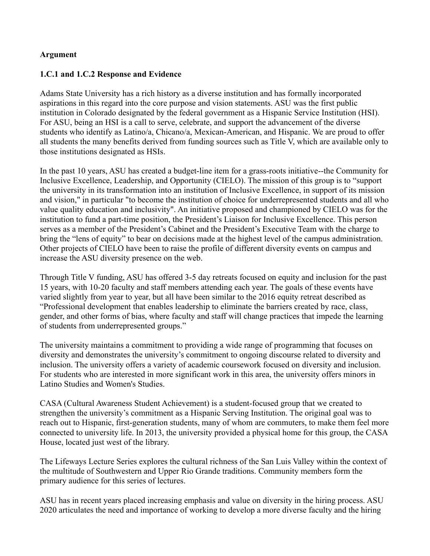#### **Argument**

### **1.C.1 and 1.C.2 Response and Evidence**

Adams State University has a rich history as a diverse institution and has formally incorporated aspirations in this regard into the core purpose and vision statements. ASU was the first public institution in Colorado designated by the federal government as a Hispanic Service Institution (HSI). For ASU, being an HSI is a call to serve, celebrate, and support the advancement of the diverse students who identify as Latino/a, Chicano/a, Mexican-American, and Hispanic. We are proud to offer all students the many benefits derived from funding sources such as Title V, which are available only to those institutions designated as HSIs.

In the past 10 years, ASU has created a budget-line item for a grass-roots initiative--the Community for Inclusive Excellence, Leadership, and Opportunity (CIELO). The mission of this group is to "support the university in its transformation into an institution of Inclusive Excellence, in support of its mission and vision," in particular "to become the institution of choice for underrepresented students and all who value quality education and inclusivity". An initiative proposed and championed by CIELO was for the institution to fund a part-time position, the President's Liaison for Inclusive Excellence. This person serves as a member of the President's Cabinet and the President's Executive Team with the charge to bring the "lens of equity" to bear on decisions made at the highest level of the campus administration. Other projects of CIELO have been to raise the profile of different diversity events on campus and increase the ASU diversity presence on the web.

Through Title V funding, ASU has offered 3-5 day retreats focused on equity and inclusion for the past 15 years, with 10-20 faculty and staff members attending each year. The goals of these events have varied slightly from year to year, but all have been similar to the 2016 equity retreat described as "Professional development that enables leadership to eliminate the barriers created by race, class, gender, and other forms of bias, where faculty and staff will change practices that impede the learning of students from underrepresented groups."

The university maintains a commitment to providing a wide range of programming that focuses on diversity and demonstrates the university's commitment to ongoing discourse related to diversity and inclusion. The university offers a variety of academic coursework focused on diversity and inclusion. For students who are interested in more significant work in this area, the university offers minors in Latino Studies and Women's Studies.

CASA (Cultural Awareness Student Achievement) is a student-focused group that we created to strengthen the university's commitment as a Hispanic Serving Institution. The original goal was to reach out to Hispanic, first-generation students, many of whom are commuters, to make them feel more connected to university life. In 2013, the university provided a physical home for this group, the CASA House, located just west of the library.

The Lifeways Lecture Series explores the cultural richness of the San Luis Valley within the context of the multitude of Southwestern and Upper Rio Grande traditions. Community members form the primary audience for this series of lectures.

ASU has in recent years placed increasing emphasis and value on diversity in the hiring process. ASU 2020 articulates the need and importance of working to develop a more diverse faculty and the hiring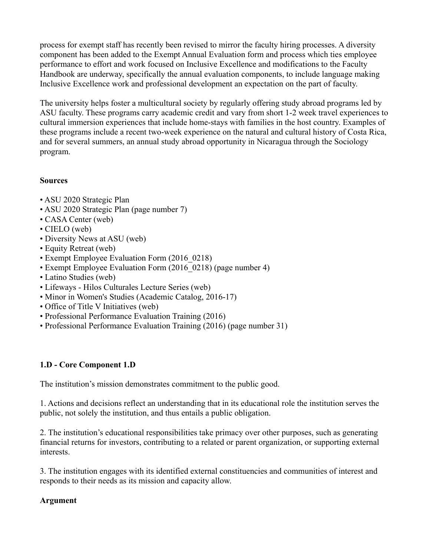process for exempt staff has recently been revised to mirror the faculty hiring processes. A diversity component has been added to the Exempt Annual Evaluation form and process which ties employee performance to effort and work focused on Inclusive Excellence and modifications to the Faculty Handbook are underway, specifically the annual evaluation components, to include language making Inclusive Excellence work and professional development an expectation on the part of faculty.

The university helps foster a multicultural society by regularly offering study abroad programs led by ASU faculty. These programs carry academic credit and vary from short 1-2 week travel experiences to cultural immersion experiences that include home-stays with families in the host country. Examples of these programs include a recent two-week experience on the natural and cultural history of Costa Rica, and for several summers, an annual study abroad opportunity in Nicaragua through the Sociology program.

#### **Sources**

- ASU 2020 Strategic Plan
- ASU 2020 Strategic Plan (page number 7)
- CASA Center (web)
- CIELO (web)
- Diversity News at ASU (web)
- Equity Retreat (web)
- Exempt Employee Evaluation Form (2016\_0218)
- Exempt Employee Evaluation Form (2016–0218) (page number 4)
- Latino Studies (web)
- Lifeways Hilos Culturales Lecture Series (web)
- Minor in Women's Studies (Academic Catalog, 2016-17)
- Office of Title V Initiatives (web)
- Professional Performance Evaluation Training (2016)
- Professional Performance Evaluation Training (2016) (page number 31)

# **1.D - Core Component 1.D**

The institution's mission demonstrates commitment to the public good.

1. Actions and decisions reflect an understanding that in its educational role the institution serves the public, not solely the institution, and thus entails a public obligation.

2. The institution's educational responsibilities take primacy over other purposes, such as generating financial returns for investors, contributing to a related or parent organization, or supporting external interests.

3. The institution engages with its identified external constituencies and communities of interest and responds to their needs as its mission and capacity allow.

# **Argument**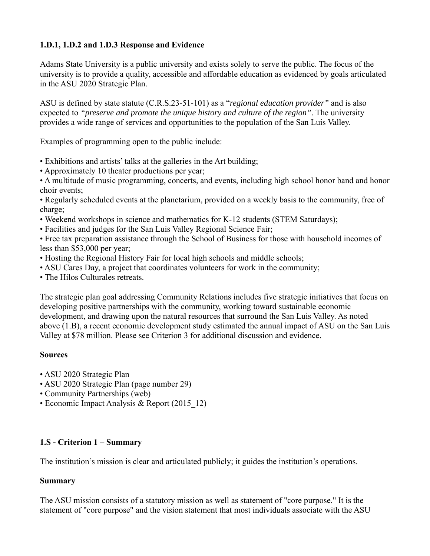# **1.D.1, 1.D.2 and 1.D.3 Response and Evidence**

Adams State University is a public university and exists solely to serve the public. The focus of the university is to provide a quality, accessible and affordable education as evidenced by goals articulated in the ASU 2020 Strategic Plan.

ASU is defined by state statute (C.R.S.23-51-101) as a "*regional education provider"* and is also expected to *"preserve and promote the unique history and culture of the region"*. The university provides a wide range of services and opportunities to the population of the San Luis Valley.

Examples of programming open to the public include:

- Exhibitions and artists' talks at the galleries in the Art building;
- Approximately 10 theater productions per year;
- A multitude of music programming, concerts, and events, including high school honor band and honor choir events;

• Regularly scheduled events at the planetarium, provided on a weekly basis to the community, free of charge;

- Weekend workshops in science and mathematics for K-12 students (STEM Saturdays);
- Facilities and judges for the San Luis Valley Regional Science Fair;

• Free tax preparation assistance through the School of Business for those with household incomes of less than \$53,000 per year;

- Hosting the Regional History Fair for local high schools and middle schools;
- ASU Cares Day, a project that coordinates volunteers for work in the community;
- The Hilos Culturales retreats.

The strategic plan goal addressing Community Relations includes five strategic initiatives that focus on developing positive partnerships with the community, working toward sustainable economic development, and drawing upon the natural resources that surround the San Luis Valley. As noted above (1.B), a recent economic development study estimated the annual impact of ASU on the San Luis Valley at \$78 million. Please see Criterion 3 for additional discussion and evidence.

#### **Sources**

- ASU 2020 Strategic Plan
- ASU 2020 Strategic Plan (page number 29)
- Community Partnerships (web)
- Economic Impact Analysis & Report (2015\_12)

# **1.S - Criterion 1 – Summary**

The institution's mission is clear and articulated publicly; it guides the institution's operations.

#### **Summary**

The ASU mission consists of a statutory mission as well as statement of "core purpose." It is the statement of "core purpose" and the vision statement that most individuals associate with the ASU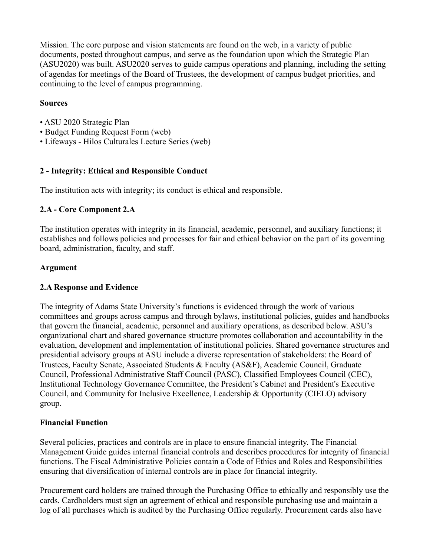Mission. The core purpose and vision statements are found on the web, in a variety of public documents, posted throughout campus, and serve as the foundation upon which the Strategic Plan (ASU2020) was built. ASU2020 serves to guide campus operations and planning, including the setting of agendas for meetings of the Board of Trustees, the development of campus budget priorities, and continuing to the level of campus programming.

# **Sources**

- ASU 2020 Strategic Plan
- Budget Funding Request Form (web)
- Lifeways Hilos Culturales Lecture Series (web)

# **2 - Integrity: Ethical and Responsible Conduct**

The institution acts with integrity; its conduct is ethical and responsible.

# **2.A - Core Component 2.A**

The institution operates with integrity in its financial, academic, personnel, and auxiliary functions; it establishes and follows policies and processes for fair and ethical behavior on the part of its governing board, administration, faculty, and staff.

# **Argument**

# **2.A Response and Evidence**

The integrity of Adams State University's functions is evidenced through the work of various committees and groups across campus and through bylaws, institutional policies, guides and handbooks that govern the financial, academic, personnel and auxiliary operations, as described below. ASU's organizational chart and shared governance structure promotes collaboration and accountability in the evaluation, development and implementation of institutional policies. Shared governance structures and presidential advisory groups at ASU include a diverse representation of stakeholders: the Board of Trustees, Faculty Senate, Associated Students & Faculty (AS&F), Academic Council, Graduate Council, Professional Administrative Staff Council (PASC), Classified Employees Council (CEC), Institutional Technology Governance Committee, the President's Cabinet and President's Executive Council, and Community for Inclusive Excellence, Leadership & Opportunity (CIELO) advisory group.

# **Financial Function**

Several policies, practices and controls are in place to ensure financial integrity. The Financial Management Guide guides internal financial controls and describes procedures for integrity of financial functions. The Fiscal Administrative Policies contain a Code of Ethics and Roles and Responsibilities ensuring that diversification of internal controls are in place for financial integrity.

Procurement card holders are trained through the Purchasing Office to ethically and responsibly use the cards. Cardholders must sign an agreement of ethical and responsible purchasing use and maintain a log of all purchases which is audited by the Purchasing Office regularly. Procurement cards also have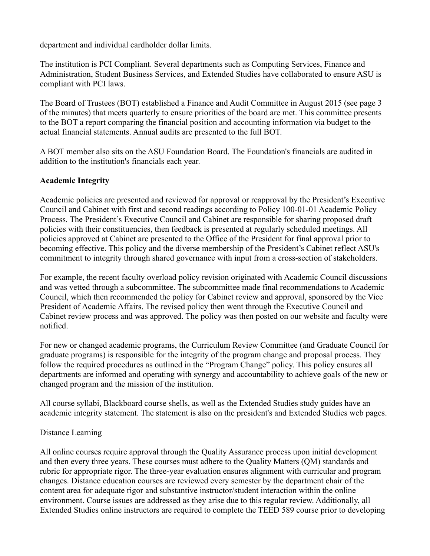department and individual cardholder dollar limits.

The institution is PCI Compliant. Several departments such as Computing Services, Finance and Administration, Student Business Services, and Extended Studies have collaborated to ensure ASU is compliant with PCI laws.

The Board of Trustees (BOT) established a Finance and Audit Committee in August 2015 (see page 3 of the minutes) that meets quarterly to ensure priorities of the board are met. This committee presents to the BOT a report comparing the financial position and accounting information via budget to the actual financial statements. Annual audits are presented to the full BOT.

A BOT member also sits on the ASU Foundation Board. The Foundation's financials are audited in addition to the institution's financials each year.

#### **Academic Integrity**

Academic policies are presented and reviewed for approval or reapproval by the President's Executive Council and Cabinet with first and second readings according to Policy 100-01-01 Academic Policy Process. The President's Executive Council and Cabinet are responsible for sharing proposed draft policies with their constituencies, then feedback is presented at regularly scheduled meetings. All policies approved at Cabinet are presented to the Office of the President for final approval prior to becoming effective. This policy and the diverse membership of the President's Cabinet reflect ASU's commitment to integrity through shared governance with input from a cross-section of stakeholders.

For example, the recent faculty overload policy revision originated with Academic Council discussions and was vetted through a subcommittee. The subcommittee made final recommendations to Academic Council, which then recommended the policy for Cabinet review and approval, sponsored by the Vice President of Academic Affairs. The revised policy then went through the Executive Council and Cabinet review process and was approved. The policy was then posted on our website and faculty were notified.

For new or changed academic programs, the Curriculum Review Committee (and Graduate Council for graduate programs) is responsible for the integrity of the program change and proposal process. They follow the required procedures as outlined in the "Program Change" policy. This policy ensures all departments are informed and operating with synergy and accountability to achieve goals of the new or changed program and the mission of the institution.

All course syllabi, Blackboard course shells, as well as the Extended Studies study guides have an academic integrity statement. The statement is also on the president's and Extended Studies web pages.

#### Distance Learning

All online courses require approval through the Quality Assurance process upon initial development and then every three years. These courses must adhere to the Quality Matters (QM) standards and rubric for appropriate rigor. The three-year evaluation ensures alignment with curricular and program changes. Distance education courses are reviewed every semester by the department chair of the content area for adequate rigor and substantive instructor/student interaction within the online environment. Course issues are addressed as they arise due to this regular review. Additionally, all Extended Studies online instructors are required to complete the TEED 589 course prior to developing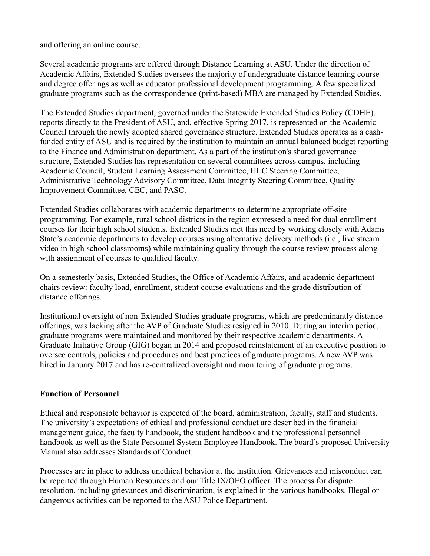and offering an online course.

Several academic programs are offered through Distance Learning at ASU. Under the direction of Academic Affairs, Extended Studies oversees the majority of undergraduate distance learning course and degree offerings as well as educator professional development programming. A few specialized graduate programs such as the correspondence (print-based) MBA are managed by Extended Studies.

The Extended Studies department, governed under the Statewide Extended Studies Policy (CDHE), reports directly to the President of ASU, and, effective Spring 2017, is represented on the Academic Council through the newly adopted shared governance structure. Extended Studies operates as a cashfunded entity of ASU and is required by the institution to maintain an annual balanced budget reporting to the Finance and Administration department. As a part of the institution's shared governance structure, Extended Studies has representation on several committees across campus, including Academic Council, Student Learning Assessment Committee, HLC Steering Committee, Administrative Technology Advisory Committee, Data Integrity Steering Committee, Quality Improvement Committee, CEC, and PASC.

Extended Studies collaborates with academic departments to determine appropriate off-site programming. For example, rural school districts in the region expressed a need for dual enrollment courses for their high school students. Extended Studies met this need by working closely with Adams State's academic departments to develop courses using alternative delivery methods (i.e., live stream video in high school classrooms) while maintaining quality through the course review process along with assignment of courses to qualified faculty.

On a semesterly basis, Extended Studies, the Office of Academic Affairs, and academic department chairs review: faculty load, enrollment, student course evaluations and the grade distribution of distance offerings.

Institutional oversight of non-Extended Studies graduate programs, which are predominantly distance offerings, was lacking after the AVP of Graduate Studies resigned in 2010. During an interim period, graduate programs were maintained and monitored by their respective academic departments. A Graduate Initiative Group (GIG) began in 2014 and proposed reinstatement of an executive position to oversee controls, policies and procedures and best practices of graduate programs. A new AVP was hired in January 2017 and has re-centralized oversight and monitoring of graduate programs.

# **Function of Personnel**

Ethical and responsible behavior is expected of the board, administration, faculty, staff and students. The university's expectations of ethical and professional conduct are described in the financial management guide, the faculty handbook, the student handbook and the professional personnel handbook as well as the State Personnel System Employee Handbook. The board's proposed University Manual also addresses Standards of Conduct.

Processes are in place to address unethical behavior at the institution. Grievances and misconduct can be reported through Human Resources and our Title IX/OEO officer. The process for dispute resolution, including grievances and discrimination, is explained in the various handbooks. Illegal or dangerous activities can be reported to the ASU Police Department.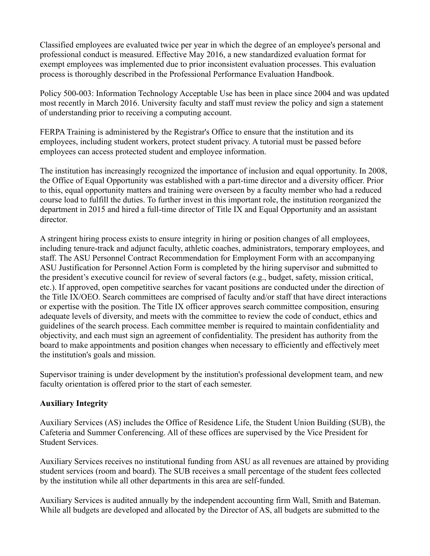Classified employees are evaluated twice per year in which the degree of an employee's personal and professional conduct is measured. Effective May 2016, a new standardized evaluation format for exempt employees was implemented due to prior inconsistent evaluation processes. This evaluation process is thoroughly described in the Professional Performance Evaluation Handbook.

Policy 500-003: Information Technology Acceptable Use has been in place since 2004 and was updated most recently in March 2016. University faculty and staff must review the policy and sign a statement of understanding prior to receiving a computing account.

FERPA Training is administered by the Registrar's Office to ensure that the institution and its employees, including student workers, protect student privacy. A tutorial must be passed before employees can access protected student and employee information.

The institution has increasingly recognized the importance of inclusion and equal opportunity. In 2008, the Office of Equal Opportunity was established with a part-time director and a diversity officer. Prior to this, equal opportunity matters and training were overseen by a faculty member who had a reduced course load to fulfill the duties. To further invest in this important role, the institution reorganized the department in 2015 and hired a full-time director of Title IX and Equal Opportunity and an assistant director.

A stringent hiring process exists to ensure integrity in hiring or position changes of all employees, including tenure-track and adjunct faculty, athletic coaches, administrators, temporary employees, and staff. The ASU Personnel Contract Recommendation for Employment Form with an accompanying ASU Justification for Personnel Action Form is completed by the hiring supervisor and submitted to the president's executive council for review of several factors (e.g., budget, safety, mission critical, etc.). If approved, open competitive searches for vacant positions are conducted under the direction of the Title IX/OEO. Search committees are comprised of faculty and/or staff that have direct interactions or expertise with the position. The Title IX officer approves search committee composition, ensuring adequate levels of diversity, and meets with the committee to review the code of conduct, ethics and guidelines of the search process. Each committee member is required to maintain confidentiality and objectivity, and each must sign an agreement of confidentiality. The president has authority from the board to make appointments and position changes when necessary to efficiently and effectively meet the institution's goals and mission.

Supervisor training is under development by the institution's professional development team, and new faculty orientation is offered prior to the start of each semester.

# **Auxiliary Integrity**

Auxiliary Services (AS) includes the Office of Residence Life, the Student Union Building (SUB), the Cafeteria and Summer Conferencing. All of these offices are supervised by the Vice President for Student Services.

Auxiliary Services receives no institutional funding from ASU as all revenues are attained by providing student services (room and board). The SUB receives a small percentage of the student fees collected by the institution while all other departments in this area are self-funded.

Auxiliary Services is audited annually by the independent accounting firm Wall, Smith and Bateman. While all budgets are developed and allocated by the Director of AS, all budgets are submitted to the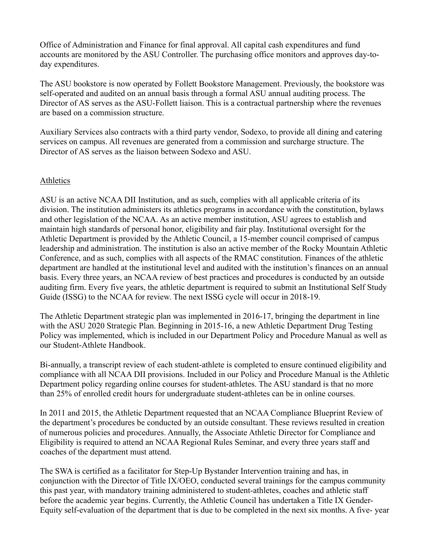Office of Administration and Finance for final approval. All capital cash expenditures and fund accounts are monitored by the ASU Controller. The purchasing office monitors and approves day-today expenditures.

The ASU bookstore is now operated by Follett Bookstore Management. Previously, the bookstore was self-operated and audited on an annual basis through a formal ASU annual auditing process. The Director of AS serves as the ASU-Follett liaison. This is a contractual partnership where the revenues are based on a commission structure.

Auxiliary Services also contracts with a third party vendor, Sodexo, to provide all dining and catering services on campus. All revenues are generated from a commission and surcharge structure. The Director of AS serves as the liaison between Sodexo and ASU.

# Athletics

ASU is an active NCAA DII Institution, and as such, complies with all applicable criteria of its division. The institution administers its athletics programs in accordance with the constitution, bylaws and other legislation of the NCAA. As an active member institution, ASU agrees to establish and maintain high standards of personal honor, eligibility and fair play. Institutional oversight for the Athletic Department is provided by the Athletic Council, a 15-member council comprised of campus leadership and administration. The institution is also an active member of the Rocky Mountain Athletic Conference, and as such, complies with all aspects of the RMAC constitution. Finances of the athletic department are handled at the institutional level and audited with the institution's finances on an annual basis. Every three years, an NCAA review of best practices and procedures is conducted by an outside auditing firm. Every five years, the athletic department is required to submit an Institutional Self Study Guide (ISSG) to the NCAA for review. The next ISSG cycle will occur in 2018-19.

The Athletic Department strategic plan was implemented in 2016-17, bringing the department in line with the ASU 2020 Strategic Plan. Beginning in 2015-16, a new Athletic Department Drug Testing Policy was implemented, which is included in our Department Policy and Procedure Manual as well as our Student-Athlete Handbook.

Bi-annually, a transcript review of each student-athlete is completed to ensure continued eligibility and compliance with all NCAA DII provisions. Included in our Policy and Procedure Manual is the Athletic Department policy regarding online courses for student-athletes. The ASU standard is that no more than 25% of enrolled credit hours for undergraduate student-athletes can be in online courses.

In 2011 and 2015, the Athletic Department requested that an NCAA Compliance Blueprint Review of the department's procedures be conducted by an outside consultant. These reviews resulted in creation of numerous policies and procedures. Annually, the Associate Athletic Director for Compliance and Eligibility is required to attend an NCAA Regional Rules Seminar, and every three years staff and coaches of the department must attend.

The SWA is certified as a facilitator for Step-Up Bystander Intervention training and has, in conjunction with the Director of Title IX/OEO, conducted several trainings for the campus community this past year, with mandatory training administered to student-athletes, coaches and athletic staff before the academic year begins. Currently, the Athletic Council has undertaken a Title IX Gender-Equity self-evaluation of the department that is due to be completed in the next six months. A five- year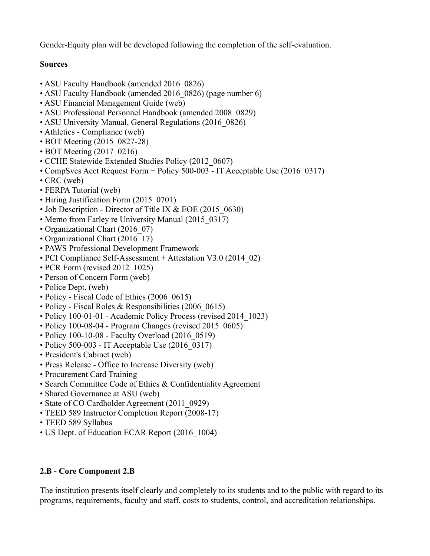Gender-Equity plan will be developed following the completion of the self-evaluation.

# **Sources**

- ASU Faculty Handbook (amended 2016 0826)
- ASU Faculty Handbook (amended 2016 0826) (page number 6)
- ASU Financial Management Guide (web)
- ASU Professional Personnel Handbook (amended 2008\_0829)
- ASU University Manual, General Regulations (2016–0826)
- Athletics Compliance (web)
- BOT Meeting (2015–0827-28)
- BOT Meeting (2017–0216)
- CCHE Statewide Extended Studies Policy (2012\_0607)
- CompSvcs Acct Request Form + Policy 500-003 IT Acceptable Use (2016–0317)
- CRC (web)
- FERPA Tutorial (web)
- Hiring Justification Form (2015–0701)
- Job Description Director of Title IX & EOE (2015–0630)
- Memo from Farley re University Manual (2015–0317)
- Organizational Chart (2016–07)
- Organizational Chart (2016\_17)
- PAWS Professional Development Framework
- PCI Compliance Self-Assessment + Attestation V3.0 (2014\_02)
- PCR Form (revised 2012 1025)
- Person of Concern Form (web)
- Police Dept. (web)
- Policy Fiscal Code of Ethics (2006–0615)
- Policy Fiscal Roles & Responsibilities (2006–0615)
- Policy 100-01-01 Academic Policy Process (revised 2014\_1023)
- Policy 100-08-04 Program Changes (revised 2015 0605)
- Policy 100-10-08 Faculty Overload (2016\_0519)
- Policy 500-003 IT Acceptable Use (2016\_0317)
- President's Cabinet (web)
- Press Release Office to Increase Diversity (web)
- Procurement Card Training
- Search Committee Code of Ethics & Confidentiality Agreement
- Shared Governance at ASU (web)
- State of CO Cardholder Agreement (2011–0929)
- TEED 589 Instructor Completion Report (2008-17)
- TEED 589 Syllabus
- US Dept. of Education ECAR Report (2016\_1004)

# **2.B - Core Component 2.B**

The institution presents itself clearly and completely to its students and to the public with regard to its programs, requirements, faculty and staff, costs to students, control, and accreditation relationships.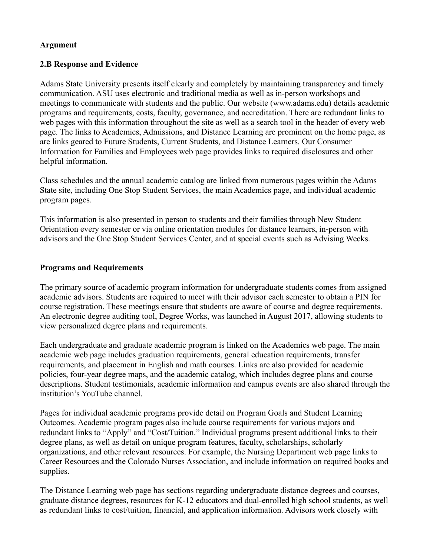#### **Argument**

#### **2.B Response and Evidence**

Adams State University presents itself clearly and completely by maintaining transparency and timely communication. ASU uses electronic and traditional media as well as in-person workshops and meetings to communicate with students and the public. Our website (www.adams.edu) details academic programs and requirements, costs, faculty, governance, and accreditation. There are redundant links to web pages with this information throughout the site as well as a search tool in the header of every web page. The links to Academics, Admissions, and Distance Learning are prominent on the home page, as are links geared to Future Students, Current Students, and Distance Learners. Our Consumer Information for Families and Employees web page provides links to required disclosures and other helpful information.

Class schedules and the annual academic catalog are linked from numerous pages within the Adams State site, including One Stop Student Services, the main Academics page, and individual academic program pages.

This information is also presented in person to students and their families through New Student Orientation every semester or via online orientation modules for distance learners, in-person with advisors and the One Stop Student Services Center, and at special events such as Advising Weeks.

#### **Programs and Requirements**

The primary source of academic program information for undergraduate students comes from assigned academic advisors. Students are required to meet with their advisor each semester to obtain a PIN for course registration. These meetings ensure that students are aware of course and degree requirements. An electronic degree auditing tool, Degree Works, was launched in August 2017, allowing students to view personalized degree plans and requirements.

Each undergraduate and graduate academic program is linked on the Academics web page. The main academic web page includes graduation requirements, general education requirements, transfer requirements, and placement in English and math courses. Links are also provided for academic policies, four-year degree maps, and the academic catalog, which includes degree plans and course descriptions. Student testimonials, academic information and campus events are also shared through the institution's YouTube channel.

Pages for individual academic programs provide detail on Program Goals and Student Learning Outcomes. Academic program pages also include course requirements for various majors and redundant links to "Apply" and "Cost/Tuition." Individual programs present additional links to their degree plans, as well as detail on unique program features, faculty, scholarships, scholarly organizations, and other relevant resources. For example, the Nursing Department web page links to Career Resources and the Colorado Nurses Association, and include information on required books and supplies.

The Distance Learning web page has sections regarding undergraduate distance degrees and courses, graduate distance degrees, resources for K-12 educators and dual-enrolled high school students, as well as redundant links to cost/tuition, financial, and application information. Advisors work closely with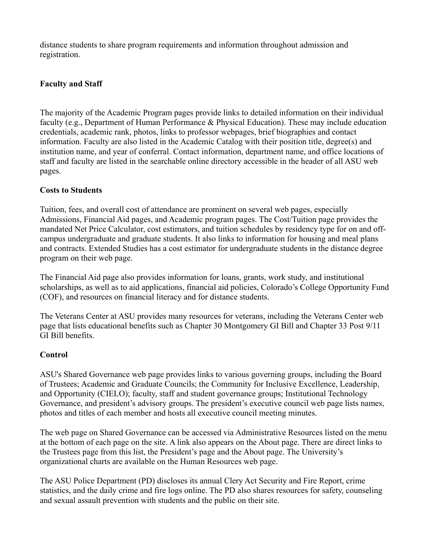distance students to share program requirements and information throughout admission and registration.

# **Faculty and Staff**

The majority of the Academic Program pages provide links to detailed information on their individual faculty (e.g., Department of Human Performance & Physical Education). These may include education credentials, academic rank, photos, links to professor webpages, brief biographies and contact information. Faculty are also listed in the Academic Catalog with their position title, degree(s) and institution name, and year of conferral. Contact information, department name, and office locations of staff and faculty are listed in the searchable online directory accessible in the header of all ASU web pages.

# **Costs to Students**

Tuition, fees, and overall cost of attendance are prominent on several web pages, especially Admissions, Financial Aid pages, and Academic program pages. The Cost/Tuition page provides the mandated Net Price Calculator, cost estimators, and tuition schedules by residency type for on and offcampus undergraduate and graduate students. It also links to information for housing and meal plans and contracts. Extended Studies has a cost estimator for undergraduate students in the distance degree program on their web page.

The Financial Aid page also provides information for loans, grants, work study, and institutional scholarships, as well as to aid applications, financial aid policies, Colorado's College Opportunity Fund (COF), and resources on financial literacy and for distance students.

The Veterans Center at ASU provides many resources for veterans, including the Veterans Center web page that lists educational benefits such as Chapter 30 Montgomery GI Bill and Chapter 33 Post 9/11 GI Bill benefits.

# **Control**

ASU's Shared Governance web page provides links to various governing groups, including the Board of Trustees; Academic and Graduate Councils; the Community for Inclusive Excellence, Leadership, and Opportunity (CIELO); faculty, staff and student governance groups; Institutional Technology Governance, and president's advisory groups. The president's executive council web page lists names, photos and titles of each member and hosts all executive council meeting minutes.

The web page on Shared Governance can be accessed via Administrative Resources listed on the menu at the bottom of each page on the site. A link also appears on the About page. There are direct links to the Trustees page from this list, the President's page and the About page. The University's organizational charts are available on the Human Resources web page.

The ASU Police Department (PD) discloses its annual Clery Act Security and Fire Report, crime statistics, and the daily crime and fire logs online. The PD also shares resources for safety, counseling and sexual assault prevention with students and the public on their site.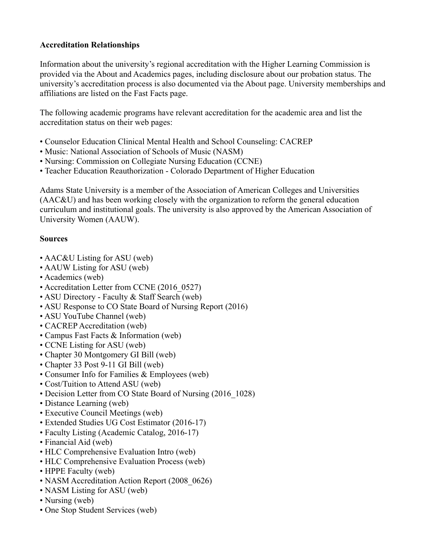# **Accreditation Relationships**

Information about the university's regional accreditation with the Higher Learning Commission is provided via the About and Academics pages, including disclosure about our probation status. The university's accreditation process is also documented via the About page. University memberships and affiliations are listed on the Fast Facts page.

The following academic programs have relevant accreditation for the academic area and list the accreditation status on their web pages:

- Counselor Education Clinical Mental Health and School Counseling: CACREP
- Music: National Association of Schools of Music (NASM)
- Nursing: Commission on Collegiate Nursing Education (CCNE)
- Teacher Education Reauthorization Colorado Department of Higher Education

Adams State University is a member of the Association of American Colleges and Universities (AAC&U) and has been working closely with the organization to reform the general education curriculum and institutional goals. The university is also approved by the American Association of University Women (AAUW).

# **Sources**

- AAC&U Listing for ASU (web)
- AAUW Listing for ASU (web)
- Academics (web)
- Accreditation Letter from CCNE (2016–0527)
- ASU Directory Faculty & Staff Search (web)
- ASU Response to CO State Board of Nursing Report (2016)
- ASU YouTube Channel (web)
- CACREP Accreditation (web)
- Campus Fast Facts & Information (web)
- CCNE Listing for ASU (web)
- Chapter 30 Montgomery GI Bill (web)
- Chapter 33 Post 9-11 GI Bill (web)
- Consumer Info for Families & Employees (web)
- Cost/Tuition to Attend ASU (web)
- Decision Letter from CO State Board of Nursing (2016 1028)
- Distance Learning (web)
- Executive Council Meetings (web)
- Extended Studies UG Cost Estimator (2016-17)
- Faculty Listing (Academic Catalog, 2016-17)
- Financial Aid (web)
- HLC Comprehensive Evaluation Intro (web)
- HLC Comprehensive Evaluation Process (web)
- HPPE Faculty (web)
- NASM Accreditation Action Report (2008 0626)
- NASM Listing for ASU (web)
- Nursing (web)
- One Stop Student Services (web)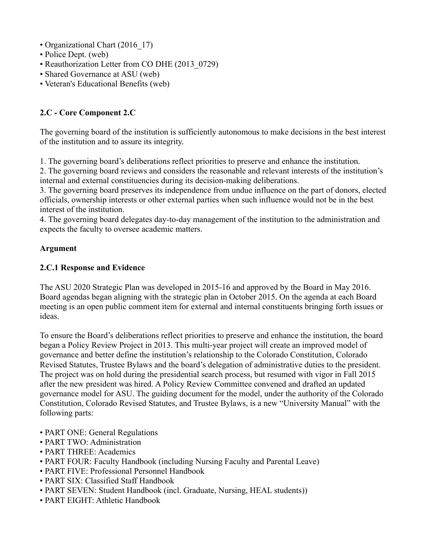- Organizational Chart (2016–17)
- Police Dept. (web)
- Reauthorization Letter from CO DHE (2013–0729)
- Shared Governance at ASU (web)
- Veteran's Educational Benefits (web)

# **2.C - Core Component 2.C**

The governing board of the institution is sufficiently autonomous to make decisions in the best interest of the institution and to assure its integrity.

1. The governing board's deliberations reflect priorities to preserve and enhance the institution.

2. The governing board reviews and considers the reasonable and relevant interests of the institution's internal and external constituencies during its decision-making deliberations.

3. The governing board preserves its independence from undue influence on the part of donors, elected officials, ownership interests or other external parties when such influence would not be in the best interest of the institution.

4. The governing board delegates day-to-day management of the institution to the administration and expects the faculty to oversee academic matters.

# **Argument**

# **2.C.1 Response and Evidence**

The ASU 2020 Strategic Plan was developed in 2015-16 and approved by the Board in May 2016. Board agendas began aligning with the strategic plan in October 2015. On the agenda at each Board meeting is an open public comment item for external and internal constituents bringing forth issues or ideas.

To ensure the Board's deliberations reflect priorities to preserve and enhance the institution, the board began a Policy Review Project in 2013. This multi-year project will create an improved model of governance and better define the institution's relationship to the Colorado Constitution, Colorado Revised Statutes, Trustee Bylaws and the board's delegation of administrative duties to the president. The project was on hold during the presidential search process, but resumed with vigor in Fall 2015 after the new president was hired. A Policy Review Committee convened and drafted an updated governance model for ASU. The guiding document for the model, under the authority of the Colorado Constitution, Colorado Revised Statutes, and Trustee Bylaws, is a new "University Manual" with the following parts:

- PART ONE: General Regulations
- PART TWO: Administration
- PART THREE: Academics
- PART FOUR: Faculty Handbook (including Nursing Faculty and Parental Leave)
- PART FIVE: Professional Personnel Handbook
- PART SIX: Classified Staff Handbook
- PART SEVEN: Student Handbook (incl. Graduate, Nursing, HEAL students))
- PART EIGHT: Athletic Handbook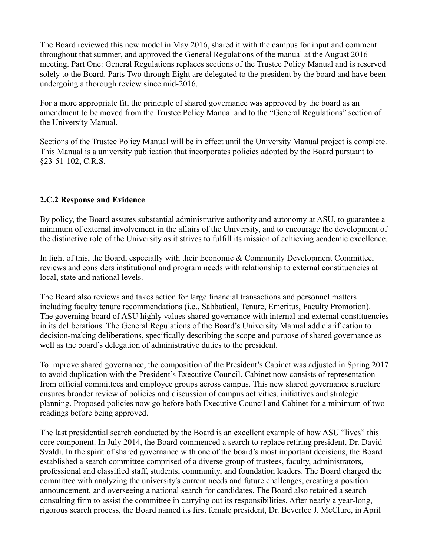The Board reviewed this new model in May 2016, shared it with the campus for input and comment throughout that summer, and approved the General Regulations of the manual at the August 2016 meeting. Part One: General Regulations replaces sections of the Trustee Policy Manual and is reserved solely to the Board. Parts Two through Eight are delegated to the president by the board and have been undergoing a thorough review since mid-2016.

For a more appropriate fit, the principle of shared governance was approved by the board as an amendment to be moved from the Trustee Policy Manual and to the "General Regulations" section of the University Manual.

Sections of the Trustee Policy Manual will be in effect until the University Manual project is complete. This Manual is a university publication that incorporates policies adopted by the Board pursuant to §23-51-102, C.R.S.

# **2.C.2 Response and Evidence**

By policy, the Board assures substantial administrative authority and autonomy at ASU, to guarantee a minimum of external involvement in the affairs of the University, and to encourage the development of the distinctive role of the University as it strives to fulfill its mission of achieving academic excellence.

In light of this, the Board, especially with their Economic & Community Development Committee, reviews and considers institutional and program needs with relationship to external constituencies at local, state and national levels.

The Board also reviews and takes action for large financial transactions and personnel matters including faculty tenure recommendations (i.e., Sabbatical, Tenure, Emeritus, Faculty Promotion). The governing board of ASU highly values shared governance with internal and external constituencies in its deliberations. The General Regulations of the Board's University Manual add clarification to decision-making deliberations, specifically describing the scope and purpose of shared governance as well as the board's delegation of administrative duties to the president.

To improve shared governance, the composition of the President's Cabinet was adjusted in Spring 2017 to avoid duplication with the President's Executive Council. Cabinet now consists of representation from official committees and employee groups across campus. This new shared governance structure ensures broader review of policies and discussion of campus activities, initiatives and strategic planning. Proposed policies now go before both Executive Council and Cabinet for a minimum of two readings before being approved.

The last presidential search conducted by the Board is an excellent example of how ASU "lives" this core component. In July 2014, the Board commenced a search to replace retiring president, Dr. David Svaldi. In the spirit of shared governance with one of the board's most important decisions, the Board established a search committee comprised of a diverse group of trustees, faculty, administrators, professional and classified staff, students, community, and foundation leaders. The Board charged the committee with analyzing the university's current needs and future challenges, creating a position announcement, and overseeing a national search for candidates. The Board also retained a search consulting firm to assist the committee in carrying out its responsibilities. After nearly a year-long, rigorous search process, the Board named its first female president, Dr. Beverlee J. McClure, in April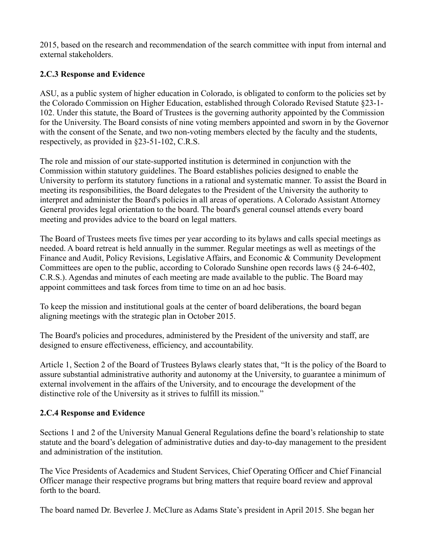2015, based on the research and recommendation of the search committee with input from internal and external stakeholders.

# **2.C.3 Response and Evidence**

ASU, as a public system of higher education in Colorado, is obligated to conform to the policies set by the Colorado Commission on Higher Education, established through Colorado Revised Statute §23-1- 102. Under this statute, the Board of Trustees is the governing authority appointed by the Commission for the University. The Board consists of nine voting members appointed and sworn in by the Governor with the consent of the Senate, and two non-voting members elected by the faculty and the students, respectively, as provided in §23-51-102, C.R.S.

The role and mission of our state-supported institution is determined in conjunction with the Commission within statutory guidelines. The Board establishes policies designed to enable the University to perform its statutory functions in a rational and systematic manner. To assist the Board in meeting its responsibilities, the Board delegates to the President of the University the authority to interpret and administer the Board's policies in all areas of operations. A Colorado Assistant Attorney General provides legal orientation to the board. The board's general counsel attends every board meeting and provides advice to the board on legal matters.

The Board of Trustees meets five times per year according to its bylaws and calls special meetings as needed. A board retreat is held annually in the summer. Regular meetings as well as meetings of the Finance and Audit, Policy Revisions, Legislative Affairs, and Economic & Community Development Committees are open to the public, according to Colorado Sunshine open records laws (§ 24-6-402, C.R.S.). Agendas and minutes of each meeting are made available to the public. The Board may appoint committees and task forces from time to time on an ad hoc basis.

To keep the mission and institutional goals at the center of board deliberations, the board began aligning meetings with the strategic plan in October 2015.

The Board's policies and procedures, administered by the President of the university and staff, are designed to ensure effectiveness, efficiency, and accountability.

Article 1, Section 2 of the Board of Trustees Bylaws clearly states that, "It is the policy of the Board to assure substantial administrative authority and autonomy at the University, to guarantee a minimum of external involvement in the affairs of the University, and to encourage the development of the distinctive role of the University as it strives to fulfill its mission."

# **2.C.4 Response and Evidence**

Sections 1 and 2 of the University Manual General Regulations define the board's relationship to state statute and the board's delegation of administrative duties and day-to-day management to the president and administration of the institution.

The Vice Presidents of Academics and Student Services, Chief Operating Officer and Chief Financial Officer manage their respective programs but bring matters that require board review and approval forth to the board.

The board named Dr. Beverlee J. McClure as Adams State's president in April 2015. She began her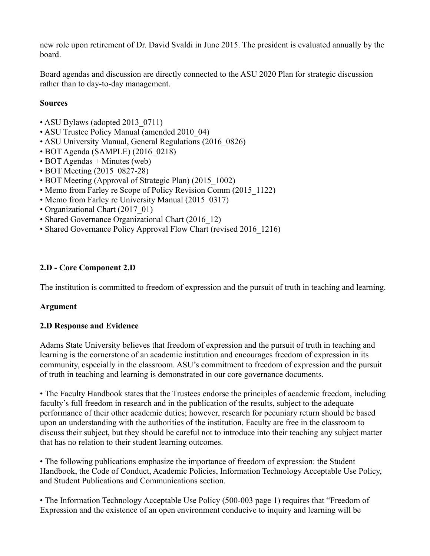new role upon retirement of Dr. David Svaldi in June 2015. The president is evaluated annually by the board.

Board agendas and discussion are directly connected to the ASU 2020 Plan for strategic discussion rather than to day-to-day management.

# **Sources**

- ASU Bylaws (adopted 2013 0711)
- ASU Trustee Policy Manual (amended 2010\_04)
- ASU University Manual, General Regulations (2016–0826)
- BOT Agenda (SAMPLE) (2016\_0218)
- BOT Agendas + Minutes (web)
- BOT Meeting (2015–0827-28)
- BOT Meeting (Approval of Strategic Plan) (2015\_1002)
- Memo from Farley re Scope of Policy Revision Comm (2015\_1122)
- Memo from Farley re University Manual (2015–0317)
- Organizational Chart (2017\_01)
- Shared Governance Organizational Chart (2016–12)
- Shared Governance Policy Approval Flow Chart (revised 2016 1216)

# **2.D - Core Component 2.D**

The institution is committed to freedom of expression and the pursuit of truth in teaching and learning.

# **Argument**

# **2.D Response and Evidence**

Adams State University believes that freedom of expression and the pursuit of truth in teaching and learning is the cornerstone of an academic institution and encourages freedom of expression in its community, especially in the classroom. ASU's commitment to freedom of expression and the pursuit of truth in teaching and learning is demonstrated in our core governance documents.

• The Faculty Handbook states that the Trustees endorse the principles of academic freedom, including faculty's full freedom in research and in the publication of the results, subject to the adequate performance of their other academic duties; however, research for pecuniary return should be based upon an understanding with the authorities of the institution. Faculty are free in the classroom to discuss their subject, but they should be careful not to introduce into their teaching any subject matter that has no relation to their student learning outcomes.

• The following publications emphasize the importance of freedom of expression: the Student Handbook, the Code of Conduct, Academic Policies, Information Technology Acceptable Use Policy, and Student Publications and Communications section.

• The Information Technology Acceptable Use Policy (500-003 page 1) requires that "Freedom of Expression and the existence of an open environment conducive to inquiry and learning will be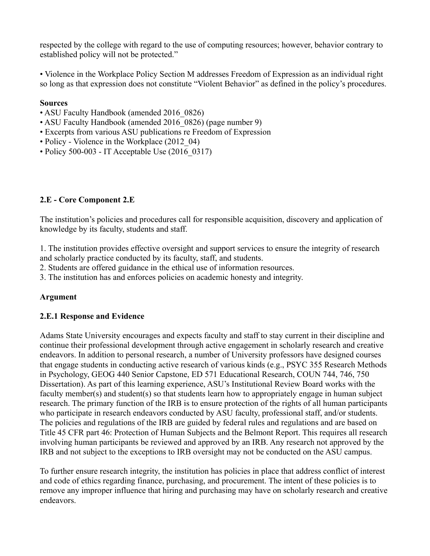respected by the college with regard to the use of computing resources; however, behavior contrary to established policy will not be protected."

• Violence in the Workplace Policy Section M addresses Freedom of Expression as an individual right so long as that expression does not constitute "Violent Behavior" as defined in the policy's procedures.

# **Sources**

- ASU Faculty Handbook (amended 2016 0826)
- ASU Faculty Handbook (amended 2016 0826) (page number 9)
- Excerpts from various ASU publications re Freedom of Expression
- Policy Violence in the Workplace (2012–04)
- Policy  $500-003$  IT Acceptable Use  $(2016\ 0317)$

# **2.E - Core Component 2.E**

The institution's policies and procedures call for responsible acquisition, discovery and application of knowledge by its faculty, students and staff.

1. The institution provides effective oversight and support services to ensure the integrity of research and scholarly practice conducted by its faculty, staff, and students.

2. Students are offered guidance in the ethical use of information resources.

3. The institution has and enforces policies on academic honesty and integrity.

# **Argument**

# **2.E.1 Response and Evidence**

Adams State University encourages and expects faculty and staff to stay current in their discipline and continue their professional development through active engagement in scholarly research and creative endeavors. In addition to personal research, a number of University professors have designed courses that engage students in conducting active research of various kinds (e.g., PSYC 355 Research Methods in Psychology, GEOG 440 Senior Capstone, ED 571 Educational Research, COUN 744, 746, 750 Dissertation). As part of this learning experience, ASU's Institutional Review Board works with the faculty member(s) and student(s) so that students learn how to appropriately engage in human subject research. The primary function of the IRB is to ensure protection of the rights of all human participants who participate in research endeavors conducted by ASU faculty, professional staff, and/or students. The policies and regulations of the IRB are guided by federal rules and regulations and are based on Title 45 CFR part 46: Protection of Human Subjects and the Belmont Report. This requires all research involving human participants be reviewed and approved by an IRB. Any research not approved by the IRB and not subject to the exceptions to IRB oversight may not be conducted on the ASU campus.

To further ensure research integrity, the institution has policies in place that address conflict of interest and code of ethics regarding finance, purchasing, and procurement. The intent of these policies is to remove any improper influence that hiring and purchasing may have on scholarly research and creative endeavors.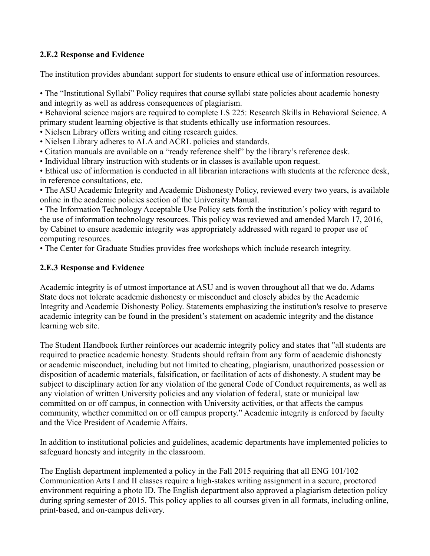# **2.E.2 Response and Evidence**

The institution provides abundant support for students to ensure ethical use of information resources.

• The "Institutional Syllabi" Policy requires that course syllabi state policies about academic honesty and integrity as well as address consequences of plagiarism.

• Behavioral science majors are required to complete LS 225: Research Skills in Behavioral Science. A primary student learning objective is that students ethically use information resources.

- Nielsen Library offers writing and citing research guides.
- Nielsen Library adheres to ALA and ACRL policies and standards.
- Citation manuals are available on a "ready reference shelf" by the library's reference desk.
- Individual library instruction with students or in classes is available upon request.

• Ethical use of information is conducted in all librarian interactions with students at the reference desk, in reference consultations, etc.

• The ASU Academic Integrity and Academic Dishonesty Policy, reviewed every two years, is available online in the academic policies section of the University Manual.

• The Information Technology Acceptable Use Policy sets forth the institution's policy with regard to the use of information technology resources. This policy was reviewed and amended March 17, 2016, by Cabinet to ensure academic integrity was appropriately addressed with regard to proper use of computing resources.

• The Center for Graduate Studies provides free workshops which include research integrity.

# **2.E.3 Response and Evidence**

Academic integrity is of utmost importance at ASU and is woven throughout all that we do. Adams State does not tolerate academic dishonesty or misconduct and closely abides by the Academic Integrity and Academic Dishonesty Policy. Statements emphasizing the institution's resolve to preserve academic integrity can be found in the president's statement on academic integrity and the distance learning web site.

The Student Handbook further reinforces our academic integrity policy and states that "all students are required to practice academic honesty. Students should refrain from any form of academic dishonesty or academic misconduct, including but not limited to cheating, plagiarism, unauthorized possession or disposition of academic materials, falsification, or facilitation of acts of dishonesty. A student may be subject to disciplinary action for any violation of the general Code of Conduct requirements, as well as any violation of written University policies and any violation of federal, state or municipal law committed on or off campus, in connection with University activities, or that affects the campus community, whether committed on or off campus property." Academic integrity is enforced by faculty and the Vice President of Academic Affairs.

In addition to institutional policies and guidelines, academic departments have implemented policies to safeguard honesty and integrity in the classroom.

The English department implemented a policy in the Fall 2015 requiring that all ENG 101/102 Communication Arts I and II classes require a high-stakes writing assignment in a secure, proctored environment requiring a photo ID. The English department also approved a plagiarism detection policy during spring semester of 2015. This policy applies to all courses given in all formats, including online, print-based, and on-campus delivery.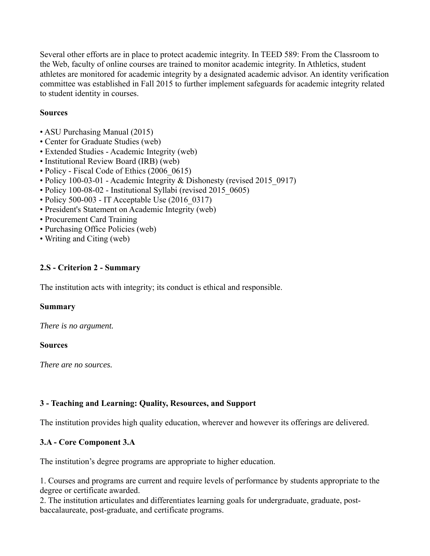Several other efforts are in place to protect academic integrity. In TEED 589: From the Classroom to the Web, faculty of online courses are trained to monitor academic integrity. In Athletics, student athletes are monitored for academic integrity by a designated academic advisor. An identity verification committee was established in Fall 2015 to further implement safeguards for academic integrity related to student identity in courses.

### **Sources**

- ASU Purchasing Manual (2015)
- Center for Graduate Studies (web)
- Extended Studies Academic Integrity (web)
- Institutional Review Board (IRB) (web)
- Policy Fiscal Code of Ethics (2006–0615)
- Policy 100-03-01 Academic Integrity & Dishonesty (revised 2015 0917)
- Policy 100-08-02 Institutional Syllabi (revised 2015\_0605)
- Policy 500-003 IT Acceptable Use (2016\_0317)
- President's Statement on Academic Integrity (web)
- Procurement Card Training
- Purchasing Office Policies (web)
- Writing and Citing (web)

#### **2.S - Criterion 2 - Summary**

The institution acts with integrity; its conduct is ethical and responsible.

#### **Summary**

*There is no argument.*

#### **Sources**

*There are no sources.*

# **3 - Teaching and Learning: Quality, Resources, and Support**

The institution provides high quality education, wherever and however its offerings are delivered.

# **3.A - Core Component 3.A**

The institution's degree programs are appropriate to higher education.

1. Courses and programs are current and require levels of performance by students appropriate to the degree or certificate awarded.

2. The institution articulates and differentiates learning goals for undergraduate, graduate, postbaccalaureate, post-graduate, and certificate programs.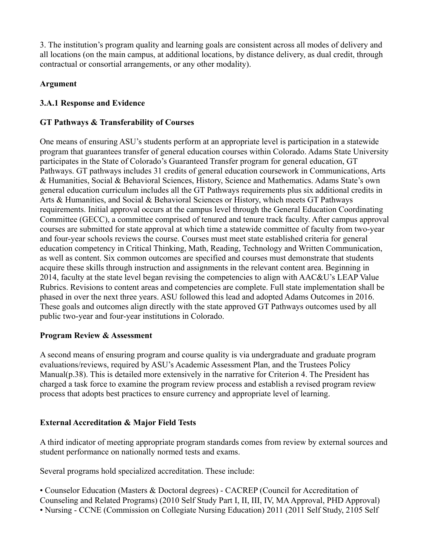3. The institution's program quality and learning goals are consistent across all modes of delivery and all locations (on the main campus, at additional locations, by distance delivery, as dual credit, through contractual or consortial arrangements, or any other modality).

# **Argument**

# **3.A.1 Response and Evidence**

# **GT Pathways & Transferability of Courses**

One means of ensuring ASU's students perform at an appropriate level is participation in a statewide program that guarantees transfer of general education courses within Colorado. Adams State University participates in the State of Colorado's Guaranteed Transfer program for general education, GT Pathways. GT pathways includes 31 credits of general education coursework in Communications, Arts & Humanities, Social & Behavioral Sciences, History, Science and Mathematics. Adams State's own general education curriculum includes all the GT Pathways requirements plus six additional credits in Arts & Humanities, and Social & Behavioral Sciences or History, which meets GT Pathways requirements. Initial approval occurs at the campus level through the General Education Coordinating Committee (GECC), a committee comprised of tenured and tenure track faculty. After campus approval courses are submitted for state approval at which time a statewide committee of faculty from two-year and four-year schools reviews the course. Courses must meet state established criteria for general education competency in Critical Thinking, Math, Reading, Technology and Written Communication, as well as content. Six common outcomes are specified and courses must demonstrate that students acquire these skills through instruction and assignments in the relevant content area. Beginning in 2014, faculty at the state level began revising the competencies to align with AAC&U's LEAP Value Rubrics. Revisions to content areas and competencies are complete. Full state implementation shall be phased in over the next three years. ASU followed this lead and adopted Adams Outcomes in 2016. These goals and outcomes align directly with the state approved GT Pathways outcomes used by all public two-year and four-year institutions in Colorado.

# **Program Review & Assessment**

A second means of ensuring program and course quality is via undergraduate and graduate program evaluations/reviews, required by ASU's Academic Assessment Plan, and the Trustees Policy Manual(p.38). This is detailed more extensively in the narrative for Criterion 4. The President has charged a task force to examine the program review process and establish a revised program review process that adopts best practices to ensure currency and appropriate level of learning.

# **External Accreditation & Major Field Tests**

A third indicator of meeting appropriate program standards comes from review by external sources and student performance on nationally normed tests and exams.

Several programs hold specialized accreditation. These include:

• Counselor Education (Masters & Doctoral degrees) - CACREP (Council for Accreditation of Counseling and Related Programs) (2010 Self Study Part I, II, III, IV, MA Approval, PHD Approval) • Nursing - CCNE (Commission on Collegiate Nursing Education) 2011 (2011 Self Study, 2105 Self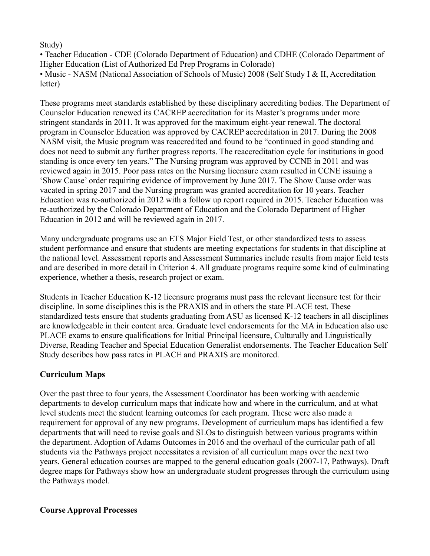Study)

• Teacher Education - CDE (Colorado Department of Education) and CDHE (Colorado Department of Higher Education (List of Authorized Ed Prep Programs in Colorado) • Music - NASM (National Association of Schools of Music) 2008 (Self Study I & II, Accreditation letter)

These programs meet standards established by these disciplinary accrediting bodies. The Department of Counselor Education renewed its CACREP accreditation for its Master's programs under more stringent standards in 2011. It was approved for the maximum eight-year renewal. The doctoral program in Counselor Education was approved by CACREP accreditation in 2017. During the 2008 NASM visit, the Music program was reaccredited and found to be "continued in good standing and does not need to submit any further progress reports. The reaccreditation cycle for institutions in good standing is once every ten years." The Nursing program was approved by CCNE in 2011 and was reviewed again in 2015. Poor pass rates on the Nursing licensure exam resulted in CCNE issuing a 'Show Cause' order requiring evidence of improvement by June 2017. The Show Cause order was vacated in spring 2017 and the Nursing program was granted accreditation for 10 years. Teacher Education was re-authorized in 2012 with a follow up report required in 2015. Teacher Education was re-authorized by the Colorado Department of Education and the Colorado Department of Higher Education in 2012 and will be reviewed again in 2017.

Many undergraduate programs use an ETS Major Field Test, or other standardized tests to assess student performance and ensure that students are meeting expectations for students in that discipline at the national level. Assessment reports and Assessment Summaries include results from major field tests and are described in more detail in Criterion 4. All graduate programs require some kind of culminating experience, whether a thesis, research project or exam.

Students in Teacher Education K-12 licensure programs must pass the relevant licensure test for their discipline. In some disciplines this is the PRAXIS and in others the state PLACE test. These standardized tests ensure that students graduating from ASU as licensed K-12 teachers in all disciplines are knowledgeable in their content area. Graduate level endorsements for the MA in Education also use PLACE exams to ensure qualifications for Initial Principal licensure, Culturally and Linguistically Diverse, Reading Teacher and Special Education Generalist endorsements. The Teacher Education Self Study describes how pass rates in PLACE and PRAXIS are monitored.

# **Curriculum Maps**

Over the past three to four years, the Assessment Coordinator has been working with academic departments to develop curriculum maps that indicate how and where in the curriculum, and at what level students meet the student learning outcomes for each program. These were also made a requirement for approval of any new programs. Development of curriculum maps has identified a few departments that will need to revise goals and SLOs to distinguish between various programs within the department. Adoption of Adams Outcomes in 2016 and the overhaul of the curricular path of all students via the Pathways project necessitates a revision of all curriculum maps over the next two years. General education courses are mapped to the general education goals (2007-17, Pathways). Draft degree maps for Pathways show how an undergraduate student progresses through the curriculum using the Pathways model.

# **Course Approval Processes**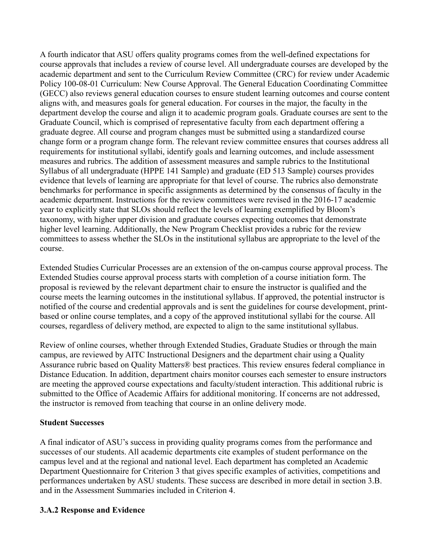A fourth indicator that ASU offers quality programs comes from the well-defined expectations for course approvals that includes a review of course level. All undergraduate courses are developed by the academic department and sent to the Curriculum Review Committee (CRC) for review under Academic Policy 100-08-01 Curriculum: New Course Approval. The General Education Coordinating Committee (GECC) also reviews general education courses to ensure student learning outcomes and course content aligns with, and measures goals for general education. For courses in the major, the faculty in the department develop the course and align it to academic program goals. Graduate courses are sent to the Graduate Council, which is comprised of representative faculty from each department offering a graduate degree. All course and program changes must be submitted using a standardized course change form or a program change form. The relevant review committee ensures that courses address all requirements for institutional syllabi, identify goals and learning outcomes, and include assessment measures and rubrics. The addition of assessment measures and sample rubrics to the Institutional Syllabus of all undergraduate (HPPE 141 Sample) and graduate (ED 513 Sample) courses provides evidence that levels of learning are appropriate for that level of course. The rubrics also demonstrate benchmarks for performance in specific assignments as determined by the consensus of faculty in the academic department. Instructions for the review committees were revised in the 2016-17 academic year to explicitly state that SLOs should reflect the levels of learning exemplified by Bloom's taxonomy, with higher upper division and graduate courses expecting outcomes that demonstrate higher level learning. Additionally, the New Program Checklist provides a rubric for the review committees to assess whether the SLOs in the institutional syllabus are appropriate to the level of the course.

Extended Studies Curricular Processes are an extension of the on-campus course approval process. The Extended Studies course approval process starts with completion of a course initiation form. The proposal is reviewed by the relevant department chair to ensure the instructor is qualified and the course meets the learning outcomes in the institutional syllabus. If approved, the potential instructor is notified of the course and credential approvals and is sent the guidelines for course development, printbased or online course templates, and a copy of the approved institutional syllabi for the course. All courses, regardless of delivery method, are expected to align to the same institutional syllabus.

Review of online courses, whether through Extended Studies, Graduate Studies or through the main campus, are reviewed by AITC Instructional Designers and the department chair using a Quality Assurance rubric based on Quality Matters® best practices. This review ensures federal compliance in Distance Education. In addition, department chairs monitor courses each semester to ensure instructors are meeting the approved course expectations and faculty/student interaction. This additional rubric is submitted to the Office of Academic Affairs for additional monitoring. If concerns are not addressed, the instructor is removed from teaching that course in an online delivery mode.

#### **Student Successes**

A final indicator of ASU's success in providing quality programs comes from the performance and successes of our students. All academic departments cite examples of student performance on the campus level and at the regional and national level. Each department has completed an Academic Department Questionnaire for Criterion 3 that gives specific examples of activities, competitions and performances undertaken by ASU students. These success are described in more detail in section 3.B. and in the Assessment Summaries included in Criterion 4.

# **3.A.2 Response and Evidence**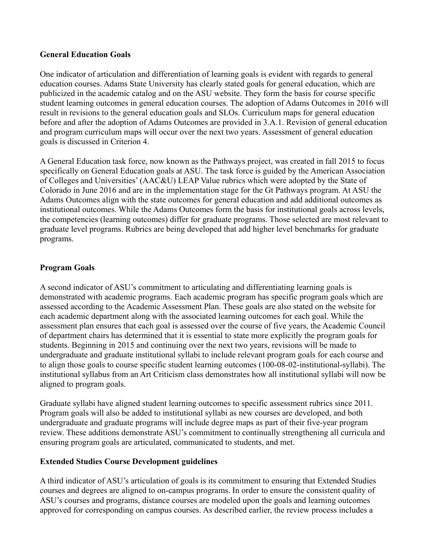#### **General Education Goals**

One indicator of articulation and differentiation of learning goals is evident with regards to general education courses. Adams State University has clearly stated goals for general education, which are publicized in the academic catalog and on the ASU website. They form the basis for course specific student learning outcomes in general education courses. The adoption of Adams Outcomes in 2016 will result in revisions to the general education goals and SLOs. Curriculum maps for general education before and after the adoption of Adams Outcomes are provided in 3.A.1. Revision of general education and program curriculum maps will occur over the next two years. Assessment of general education goals is discussed in Criterion 4.

A General Education task force, now known as the Pathways project, was created in fall 2015 to focus specifically on General Education goals at ASU. The task force is guided by the American Association of Colleges and Universities' (AAC&U) LEAP Value rubrics which were adopted by the State of Colorado in June 2016 and are in the implementation stage for the Gt Pathways program. At ASU the Adams Outcomes align with the state outcomes for general education and add additional outcomes as institutional outcomes. While the Adams Outcomes form the basis for institutional goals across levels, the competencies (learning outcomes) differ for graduate programs. Those selected are most relevant to graduate level programs. Rubrics are being developed that add higher level benchmarks for graduate programs.

# **Program Goals**

A second indicator of ASU's commitment to articulating and differentiating learning goals is demonstrated with academic programs. Each academic program has specific program goals which are assessed according to the Academic Assessment Plan. These goals are also stated on the website for each academic department along with the associated learning outcomes for each goal. While the assessment plan ensures that each goal is assessed over the course of five years, the Academic Council of department chairs has determined that it is essential to state more explicitly the program goals for students. Beginning in 2015 and continuing over the next two years, revisions will be made to undergraduate and graduate institutional syllabi to include relevant program goals for each course and to align those goals to course specific student learning outcomes (100-08-02-institutional-syllabi). The institutional syllabus from an Art Criticism class demonstrates how all institutional syllabi will now be aligned to program goals.

Graduate syllabi have aligned student learning outcomes to specific assessment rubrics since 2011. Program goals will also be added to institutional syllabi as new courses are developed, and both undergraduate and graduate programs will include degree maps as part of their five-year program review. These additions demonstrate ASU's commitment to continually strengthening all curricula and ensuring program goals are articulated, communicated to students, and met.

# **Extended Studies Course Development guidelines**

A third indicator of ASU's articulation of goals is its commitment to ensuring that Extended Studies courses and degrees are aligned to on-campus programs. In order to ensure the consistent quality of ASU's courses and programs, distance courses are modeled upon the goals and learning outcomes approved for corresponding on campus courses. As described earlier, the review process includes a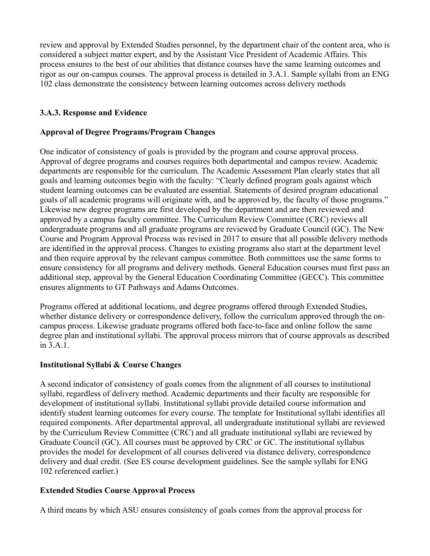review and approval by Extended Studies personnel, by the department chair of the content area, who is considered a subject matter expert, and by the Assistant Vice President of Academic Affairs. This process ensures to the best of our abilities that distance courses have the same learning outcomes and rigor as our on-campus courses. The approval process is detailed in 3.A.1. Sample syllabi from an ENG 102 class demonstrate the consistency between learning outcomes across delivery methods

# **3.A.3. Response and Evidence**

### **Approval of Degree Programs/Program Changes**

One indicator of consistency of goals is provided by the program and course approval process. Approval of degree programs and courses requires both departmental and campus review. Academic departments are responsible for the curriculum. The Academic Assessment Plan clearly states that all goals and learning outcomes begin with the faculty: "Clearly defined program goals against which student learning outcomes can be evaluated are essential. Statements of desired program educational goals of all academic programs will originate with, and be approved by, the faculty of those programs." Likewise new degree programs are first developed by the department and are then reviewed and approved by a campus faculty committee. The Curriculum Review Committee (CRC) reviews all undergraduate programs and all graduate programs are reviewed by Graduate Council (GC). The New Course and Program Approval Process was revised in 2017 to ensure that all possible delivery methods are identified in the approval process. Changes to existing programs also start at the department level and then require approval by the relevant campus committee. Both committees use the same forms to ensure consistency for all programs and delivery methods. General Education courses must first pass an additional step, approval by the General Education Coordinating Committee (GECC). This committee ensures alignments to GT Pathways and Adams Outcomes.

Programs offered at additional locations, and degree programs offered through Extended Studies, whether distance delivery or correspondence delivery, follow the curriculum approved through the oncampus process. Likewise graduate programs offered both face-to-face and online follow the same degree plan and institutional syllabi. The approval process mirrors that of course approvals as described in 3.A.1.

#### **Institutional Syllabi & Course Changes**

A second indicator of consistency of goals comes from the alignment of all courses to institutional syllabi, regardless of delivery method. Academic departments and their faculty are responsible for development of institutional syllabi. Institutional syllabi provide detailed course information and identify student learning outcomes for every course. The template for Institutional syllabi identifies all required components. After departmental approval, all undergraduate institutional syllabi are reviewed by the Curriculum Review Committee (CRC) and all graduate institutional syllabi are reviewed by Graduate Council (GC). All courses must be approved by CRC or GC. The institutional syllabus provides the model for development of all courses delivered via distance delivery, correspondence delivery and dual credit. (See ES course development guidelines. See the sample syllabi for ENG 102 referenced earlier.)

# **Extended Studies Course Approval Process**

A third means by which ASU ensures consistency of goals comes from the approval process for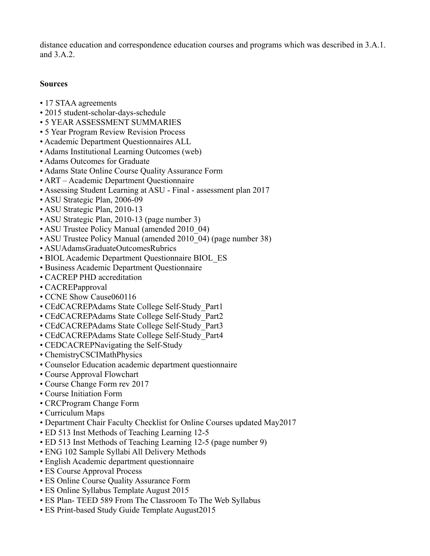distance education and correspondence education courses and programs which was described in 3.A.1. and 3.A.2.

# **Sources**

- 17 STAA agreements
- 2015 student-scholar-days-schedule
- 5 YEAR ASSESSMENT SUMMARIES
- 5 Year Program Review Revision Process
- Academic Department Questionnaires ALL
- Adams Institutional Learning Outcomes (web)
- Adams Outcomes for Graduate
- Adams State Online Course Quality Assurance Form
- ART Academic Department Questionnaire
- Assessing Student Learning at ASU Final assessment plan 2017
- ASU Strategic Plan, 2006-09
- ASU Strategic Plan, 2010-13
- ASU Strategic Plan, 2010-13 (page number 3)
- ASU Trustee Policy Manual (amended 2010\_04)
- ASU Trustee Policy Manual (amended 2010 04) (page number 38)
- ASUAdamsGraduateOutcomesRubrics
- BIOL Academic Department Questionnaire BIOL\_ES
- Business Academic Department Questionnaire
- CACREP PHD accreditation
- CACREPapproval
- CCNE Show Cause060116
- CEdCACREPAdams State College Self-Study\_Part1
- CEdCACREPAdams State College Self-Study\_Part2
- CEdCACREPAdams State College Self-Study\_Part3
- CEdCACREPAdams State College Self-Study\_Part4
- CEDCACREPNavigating the Self-Study
- ChemistryCSCIMathPhysics
- Counselor Education academic department questionnaire
- Course Approval Flowchart
- Course Change Form rev 2017
- Course Initiation Form
- CRCProgram Change Form
- Curriculum Maps
- Department Chair Faculty Checklist for Online Courses updated May2017
- ED 513 Inst Methods of Teaching Learning 12-5
- ED 513 Inst Methods of Teaching Learning 12-5 (page number 9)
- ENG 102 Sample Syllabi All Delivery Methods
- English Academic department questionnaire
- ES Course Approval Process
- ES Online Course Quality Assurance Form
- ES Online Syllabus Template August 2015
- ES Plan- TEED 589 From The Classroom To The Web Syllabus
- ES Print-based Study Guide Template August2015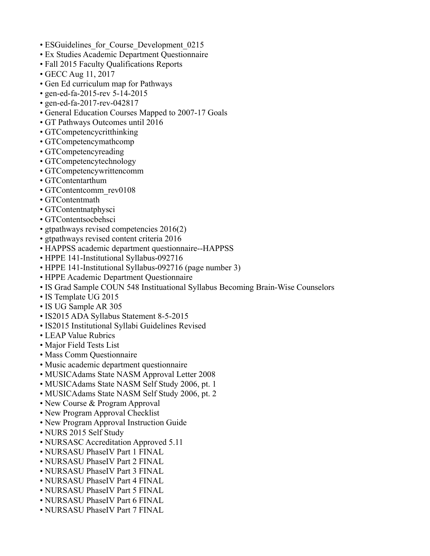- ESGuidelines for Course Development 0215
- Ex Studies Academic Department Questionnaire
- Fall 2015 Faculty Qualifications Reports
- GECC Aug 11, 2017
- Gen Ed curriculum map for Pathways
- gen-ed-fa-2015-rev 5-14-2015
- gen-ed-fa-2017-rev-042817
- General Education Courses Mapped to 2007-17 Goals
- GT Pathways Outcomes until 2016
- GTCompetencycritthinking
- GTCompetencymathcomp
- GTCompetencyreading
- GTCompetencytechnology
- GTCompetencywrittencomm
- GTContentarthum
- GTContentcomm\_rev0108
- GTContentmath
- GTContentnatphysci
- GTContentsocbehsci
- gtpathways revised competencies 2016(2)
- gtpathways revised content criteria 2016
- HAPPSS academic department questionnaire--HAPPSS
- HPPE 141-Institutional Syllabus-092716
- HPPE 141-Institutional Syllabus-092716 (page number 3)
- HPPE Academic Department Questionnaire
- IS Grad Sample COUN 548 Instituational Syllabus Becoming Brain-Wise Counselors
- IS Template UG 2015
- IS UG Sample AR 305
- IS2015 ADA Syllabus Statement 8-5-2015
- IS2015 Institutional Syllabi Guidelines Revised
- LEAP Value Rubrics
- Major Field Tests List
- Mass Comm Questionnaire
- Music academic department questionnaire
- MUSICAdams State NASM Approval Letter 2008
- MUSICAdams State NASM Self Study 2006, pt. 1
- MUSICAdams State NASM Self Study 2006, pt. 2
- New Course & Program Approval
- New Program Approval Checklist
- New Program Approval Instruction Guide
- NURS 2015 Self Study
- NURSASC Accreditation Approved 5.11
- NURSASU PhaseIV Part 1 FINAL
- NURSASU PhaseIV Part 2 FINAL
- NURSASU PhaseIV Part 3 FINAL
- NURSASU PhaseIV Part 4 FINAL
- NURSASU PhaseIV Part 5 FINAL
- NURSASU PhaseIV Part 6 FINAL
- NURSASU PhaseIV Part 7 FINAL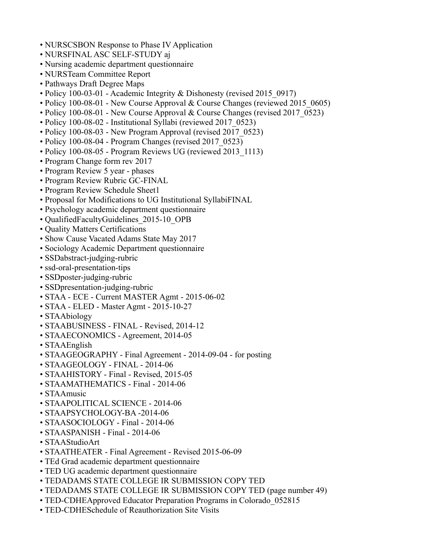- NURSCSBON Response to Phase IV Application
- NURSFINAL ASC SELF-STUDY aj
- Nursing academic department questionnaire
- NURSTeam Committee Report
- Pathways Draft Degree Maps
- Policy 100-03-01 Academic Integrity & Dishonesty (revised 2015 0917)
- Policy 100-08-01 New Course Approval & Course Changes (reviewed 2015 0605)
- Policy 100-08-01 New Course Approval & Course Changes (revised 2017 0523)
- Policy 100-08-02 Institutional Syllabi (reviewed 2017\_0523)
- Policy 100-08-03 New Program Approval (revised 2017\_0523)
- Policy 100-08-04 Program Changes (revised 2017 0523)
- Policy 100-08-05 Program Reviews UG (reviewed 2013 1113)
- Program Change form rev 2017
- Program Review 5 year phases
- Program Review Rubric GC-FINAL
- Program Review Schedule Sheet1
- Proposal for Modifications to UG Institutional SyllabiFINAL
- Psychology academic department questionnaire
- QualifiedFacultyGuidelines\_2015-10\_OPB
- Quality Matters Certifications
- Show Cause Vacated Adams State May 2017
- Sociology Academic Department questionnaire
- SSDabstract-judging-rubric
- ssd-oral-presentation-tips
- SSDposter-judging-rubric
- SSDpresentation-judging-rubric
- STAA ECE Current MASTER Agmt 2015-06-02
- STAA ELED Master Agmt 2015-10-27
- STAAbiology
- STAABUSINESS FINAL Revised, 2014-12
- STAAECONOMICS Agreement, 2014-05
- STAAEnglish
- STAAGEOGRAPHY Final Agreement 2014-09-04 for posting
- STAAGEOLOGY FINAL 2014-06
- STAAHISTORY Final Revised, 2015-05
- STAAMATHEMATICS Final 2014-06
- STAAmusic
- STAAPOLITICAL SCIENCE 2014-06
- STAAPSYCHOLOGY-BA -2014-06
- STAASOCIOLOGY Final 2014-06
- STAASPANISH Final 2014-06
- STAAStudioArt
- STAATHEATER Final Agreement Revised 2015-06-09
- TEd Grad academic department questionnaire
- TED UG academic department questionnaire
- TEDADAMS STATE COLLEGE IR SUBMISSION COPY TED
- TEDADAMS STATE COLLEGE IR SUBMISSION COPY TED (page number 49)
- TED-CDHEApproved Educator Preparation Programs in Colorado 052815
- TED-CDHESchedule of Reauthorization Site Visits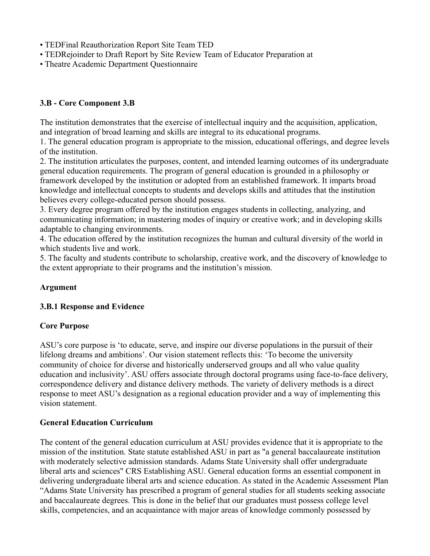- TEDFinal Reauthorization Report Site Team TED
- TEDRejoinder to Draft Report by Site Review Team of Educator Preparation at
- Theatre Academic Department Questionnaire

### **3.B - Core Component 3.B**

The institution demonstrates that the exercise of intellectual inquiry and the acquisition, application, and integration of broad learning and skills are integral to its educational programs.

1. The general education program is appropriate to the mission, educational offerings, and degree levels of the institution.

2. The institution articulates the purposes, content, and intended learning outcomes of its undergraduate general education requirements. The program of general education is grounded in a philosophy or framework developed by the institution or adopted from an established framework. It imparts broad knowledge and intellectual concepts to students and develops skills and attitudes that the institution believes every college-educated person should possess.

3. Every degree program offered by the institution engages students in collecting, analyzing, and communicating information; in mastering modes of inquiry or creative work; and in developing skills adaptable to changing environments.

4. The education offered by the institution recognizes the human and cultural diversity of the world in which students live and work.

5. The faculty and students contribute to scholarship, creative work, and the discovery of knowledge to the extent appropriate to their programs and the institution's mission.

#### **Argument**

#### **3.B.1 Response and Evidence**

#### **Core Purpose**

ASU's core purpose is 'to educate, serve, and inspire our diverse populations in the pursuit of their lifelong dreams and ambitions'. Our vision statement reflects this: 'To become the university community of choice for diverse and historically underserved groups and all who value quality education and inclusivity'. ASU offers associate through doctoral programs using face-to-face delivery, correspondence delivery and distance delivery methods. The variety of delivery methods is a direct response to meet ASU's designation as a regional education provider and a way of implementing this vision statement.

### **General Education Curriculum**

The content of the general education curriculum at ASU provides evidence that it is appropriate to the mission of the institution. State statute established ASU in part as "a general baccalaureate institution with moderately selective admission standards. Adams State University shall offer undergraduate liberal arts and sciences" CRS Establishing ASU. General education forms an essential component in delivering undergraduate liberal arts and science education. As stated in the Academic Assessment Plan "Adams State University has prescribed a program of general studies for all students seeking associate and baccalaureate degrees. This is done in the belief that our graduates must possess college level skills, competencies, and an acquaintance with major areas of knowledge commonly possessed by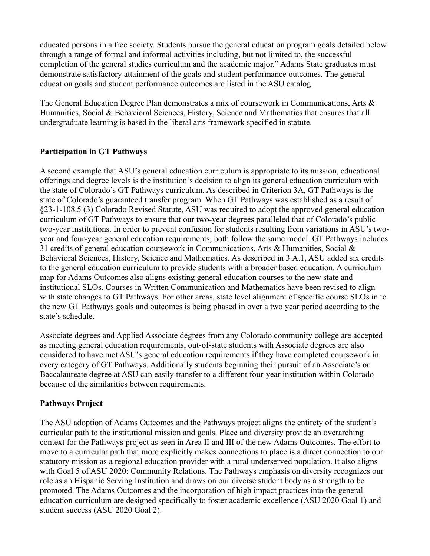educated persons in a free society. Students pursue the general education program goals detailed below through a range of formal and informal activities including, but not limited to, the successful completion of the general studies curriculum and the academic major." Adams State graduates must demonstrate satisfactory attainment of the goals and student performance outcomes. The general education goals and student performance outcomes are listed in the ASU catalog.

The General Education Degree Plan demonstrates a mix of coursework in Communications, Arts & Humanities, Social & Behavioral Sciences, History, Science and Mathematics that ensures that all undergraduate learning is based in the liberal arts framework specified in statute.

### **Participation in GT Pathways**

A second example that ASU's general education curriculum is appropriate to its mission, educational offerings and degree levels is the institution's decision to align its general education curriculum with the state of Colorado's GT Pathways curriculum. As described in Criterion 3A, GT Pathways is the state of Colorado's guaranteed transfer program. When GT Pathways was established as a result of §23-1-108.5 (3) Colorado Revised Statute, ASU was required to adopt the approved general education curriculum of GT Pathways to ensure that our two-year degrees paralleled that of Colorado's public two-year institutions. In order to prevent confusion for students resulting from variations in ASU's twoyear and four-year general education requirements, both follow the same model. GT Pathways includes 31 credits of general education coursework in Communications, Arts & Humanities, Social & Behavioral Sciences, History, Science and Mathematics. As described in 3.A.1, ASU added six credits to the general education curriculum to provide students with a broader based education. A curriculum map for Adams Outcomes also aligns existing general education courses to the new state and institutional SLOs. Courses in Written Communication and Mathematics have been revised to align with state changes to GT Pathways. For other areas, state level alignment of specific course SLOs in to the new GT Pathways goals and outcomes is being phased in over a two year period according to the state's schedule.

Associate degrees and Applied Associate degrees from any Colorado community college are accepted as meeting general education requirements, out-of-state students with Associate degrees are also considered to have met ASU's general education requirements if they have completed coursework in every category of GT Pathways. Additionally students beginning their pursuit of an Associate's or Baccalaureate degree at ASU can easily transfer to a different four-year institution within Colorado because of the similarities between requirements.

#### **Pathways Project**

The ASU adoption of Adams Outcomes and the Pathways project aligns the entirety of the student's curricular path to the institutional mission and goals. Place and diversity provide an overarching context for the Pathways project as seen in Area II and III of the new Adams Outcomes. The effort to move to a curricular path that more explicitly makes connections to place is a direct connection to our statutory mission as a regional education provider with a rural underserved population. It also aligns with Goal 5 of ASU 2020: Community Relations. The Pathways emphasis on diversity recognizes our role as an Hispanic Serving Institution and draws on our diverse student body as a strength to be promoted. The Adams Outcomes and the incorporation of high impact practices into the general education curriculum are designed specifically to foster academic excellence (ASU 2020 Goal 1) and student success (ASU 2020 Goal 2).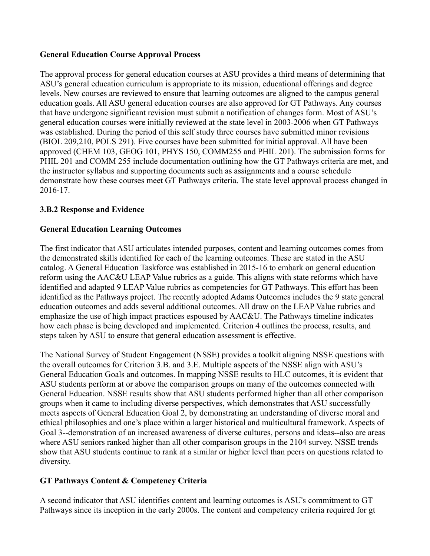### **General Education Course Approval Process**

The approval process for general education courses at ASU provides a third means of determining that ASU's general education curriculum is appropriate to its mission, educational offerings and degree levels. New courses are reviewed to ensure that learning outcomes are aligned to the campus general education goals. All ASU general education courses are also approved for GT Pathways. Any courses that have undergone significant revision must submit a notification of changes form. Most of ASU's general education courses were initially reviewed at the state level in 2003-2006 when GT Pathways was established. During the period of this self study three courses have submitted minor revisions (BIOL 209,210, POLS 291). Five courses have been submitted for initial approval. All have been approved (CHEM 103, GEOG 101, PHYS 150, COMM255 and PHIL 201). The submission forms for PHIL 201 and COMM 255 include documentation outlining how the GT Pathways criteria are met, and the instructor syllabus and supporting documents such as assignments and a course schedule demonstrate how these courses meet GT Pathways criteria. The state level approval process changed in 2016-17.

### **3.B.2 Response and Evidence**

### **General Education Learning Outcomes**

The first indicator that ASU articulates intended purposes, content and learning outcomes comes from the demonstrated skills identified for each of the learning outcomes. These are stated in the ASU catalog. A General Education Taskforce was established in 2015-16 to embark on general education reform using the AAC&U LEAP Value rubrics as a guide. This aligns with state reforms which have identified and adapted 9 LEAP Value rubrics as competencies for GT Pathways. This effort has been identified as the Pathways project. The recently adopted Adams Outcomes includes the 9 state general education outcomes and adds several additional outcomes. All draw on the LEAP Value rubrics and emphasize the use of high impact practices espoused by  $AAC&U$ . The Pathways timeline indicates how each phase is being developed and implemented. Criterion 4 outlines the process, results, and steps taken by ASU to ensure that general education assessment is effective.

The National Survey of Student Engagement (NSSE) provides a toolkit aligning NSSE questions with the overall outcomes for Criterion 3.B. and 3.E. Multiple aspects of the NSSE align with ASU's General Education Goals and outcomes. In mapping NSSE results to HLC outcomes, it is evident that ASU students perform at or above the comparison groups on many of the outcomes connected with General Education. NSSE results show that ASU students performed higher than all other comparison groups when it came to including diverse perspectives, which demonstrates that ASU successfully meets aspects of General Education Goal 2, by demonstrating an understanding of diverse moral and ethical philosophies and one's place within a larger historical and multicultural framework. Aspects of Goal 3--demonstration of an increased awareness of diverse cultures, persons and ideas--also are areas where ASU seniors ranked higher than all other comparison groups in the 2104 survey. NSSE trends show that ASU students continue to rank at a similar or higher level than peers on questions related to diversity.

### **GT Pathways Content & Competency Criteria**

A second indicator that ASU identifies content and learning outcomes is ASU's commitment to GT Pathways since its inception in the early 2000s. The content and competency criteria required for gt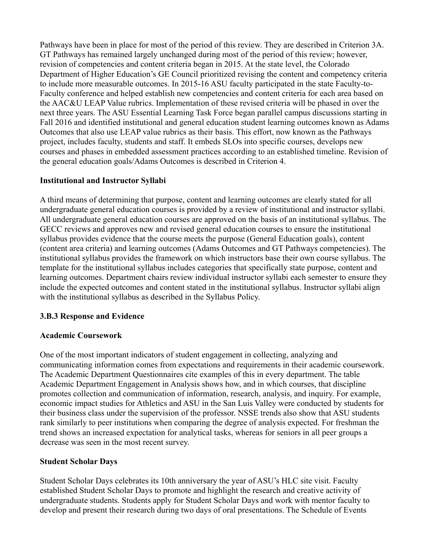Pathways have been in place for most of the period of this review. They are described in Criterion 3A. GT Pathways has remained largely unchanged during most of the period of this review; however, revision of competencies and content criteria began in 2015. At the state level, the Colorado Department of Higher Education's GE Council prioritized revising the content and competency criteria to include more measurable outcomes. In 2015-16 ASU faculty participated in the state Faculty-to-Faculty conference and helped establish new competencies and content criteria for each area based on the AAC&U LEAP Value rubrics. Implementation of these revised criteria will be phased in over the next three years. The ASU Essential Learning Task Force began parallel campus discussions starting in Fall 2016 and identified institutional and general education student learning outcomes known as Adams Outcomes that also use LEAP value rubrics as their basis. This effort, now known as the Pathways project, includes faculty, students and staff. It embeds SLOs into specific courses, develops new courses and phases in embedded assessment practices according to an established timeline. Revision of the general education goals/Adams Outcomes is described in Criterion 4.

### **Institutional and Instructor Syllabi**

A third means of determining that purpose, content and learning outcomes are clearly stated for all undergraduate general education courses is provided by a review of institutional and instructor syllabi. All undergraduate general education courses are approved on the basis of an institutional syllabus. The GECC reviews and approves new and revised general education courses to ensure the institutional syllabus provides evidence that the course meets the purpose (General Education goals), content (content area criteria) and learning outcomes (Adams Outcomes and GT Pathways competencies). The institutional syllabus provides the framework on which instructors base their own course syllabus. The template for the institutional syllabus includes categories that specifically state purpose, content and learning outcomes. Department chairs review individual instructor syllabi each semester to ensure they include the expected outcomes and content stated in the institutional syllabus. Instructor syllabi align with the institutional syllabus as described in the Syllabus Policy.

# **3.B.3 Response and Evidence**

### **Academic Coursework**

One of the most important indicators of student engagement in collecting, analyzing and communicating information comes from expectations and requirements in their academic coursework. The Academic Department Questionnaires cite examples of this in every department. The table Academic Department Engagement in Analysis shows how, and in which courses, that discipline promotes collection and communication of information, research, analysis, and inquiry. For example, economic impact studies for Athletics and ASU in the San Luis Valley were conducted by students for their business class under the supervision of the professor. NSSE trends also show that ASU students rank similarly to peer institutions when comparing the degree of analysis expected. For freshman the trend shows an increased expectation for analytical tasks, whereas for seniors in all peer groups a decrease was seen in the most recent survey.

# **Student Scholar Days**

Student Scholar Days celebrates its 10th anniversary the year of ASU's HLC site visit. Faculty established Student Scholar Days to promote and highlight the research and creative activity of undergraduate students. Students apply for Student Scholar Days and work with mentor faculty to develop and present their research during two days of oral presentations. The Schedule of Events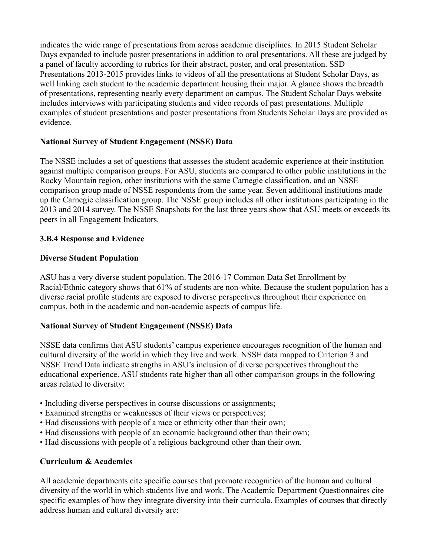indicates the wide range of presentations from across academic disciplines. In 2015 Student Scholar Days expanded to include poster presentations in addition to oral presentations. All these are judged by a panel of faculty according to rubrics for their abstract, poster, and oral presentation. SSD Presentations 2013-2015 provides links to videos of all the presentations at Student Scholar Days, as well linking each student to the academic department housing their major. A glance shows the breadth of presentations, representing nearly every department on campus. The Student Scholar Days website includes interviews with participating students and video records of past presentations. Multiple examples of student presentations and poster presentations from Students Scholar Days are provided as evidence.

## **National Survey of Student Engagement (NSSE) Data**

The NSSE includes a set of questions that assesses the student academic experience at their institution against multiple comparison groups. For ASU, students are compared to other public institutions in the Rocky Mountain region, other institutions with the same Carnegie classification, and an NSSE comparison group made of NSSE respondents from the same year. Seven additional institutions made up the Carnegie classification group. The NSSE group includes all other institutions participating in the 2013 and 2014 survey. The NSSE Snapshots for the last three years show that ASU meets or exceeds its peers in all Engagement Indicators.

### **3.B.4 Response and Evidence**

### **Diverse Student Population**

ASU has a very diverse student population. The 2016-17 Common Data Set Enrollment by Racial/Ethnic category shows that 61% of students are non-white. Because the student population has a diverse racial profile students are exposed to diverse perspectives throughout their experience on campus, both in the academic and non-academic aspects of campus life.

### **National Survey of Student Engagement (NSSE) Data**

NSSE data confirms that ASU students' campus experience encourages recognition of the human and cultural diversity of the world in which they live and work. NSSE data mapped to Criterion 3 and NSSE Trend Data indicate strengths in ASU's inclusion of diverse perspectives throughout the educational experience. ASU students rate higher than all other comparison groups in the following areas related to diversity:

- Including diverse perspectives in course discussions or assignments;
- Examined strengths or weaknesses of their views or perspectives;
- Had discussions with people of a race or ethnicity other than their own;
- Had discussions with people of an economic background other than their own;
- Had discussions with people of a religious background other than their own.

# **Curriculum & Academics**

All academic departments cite specific courses that promote recognition of the human and cultural diversity of the world in which students live and work. The Academic Department Questionnaires cite specific examples of how they integrate diversity into their curricula. Examples of courses that directly address human and cultural diversity are: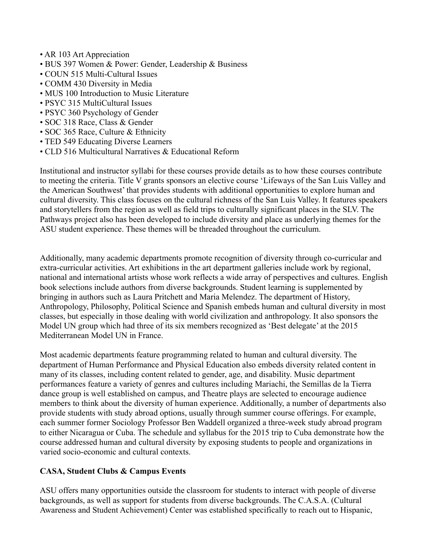- AR 103 Art Appreciation
- BUS 397 Women & Power: Gender, Leadership & Business
- COUN 515 Multi-Cultural Issues
- COMM 430 Diversity in Media
- MUS 100 Introduction to Music Literature
- PSYC 315 MultiCultural Issues
- PSYC 360 Psychology of Gender
- SOC 318 Race, Class & Gender
- SOC 365 Race, Culture & Ethnicity
- TED 549 Educating Diverse Learners
- CLD 516 Multicultural Narratives & Educational Reform

Institutional and instructor syllabi for these courses provide details as to how these courses contribute to meeting the criteria. Title V grants sponsors an elective course 'Lifeways of the San Luis Valley and the American Southwest' that provides students with additional opportunities to explore human and cultural diversity. This class focuses on the cultural richness of the San Luis Valley. It features speakers and storytellers from the region as well as field trips to culturally significant places in the SLV. The Pathways project also has been developed to include diversity and place as underlying themes for the ASU student experience. These themes will be threaded throughout the curriculum.

Additionally, many academic departments promote recognition of diversity through co-curricular and extra-curricular activities. Art exhibitions in the art department galleries include work by regional, national and international artists whose work reflects a wide array of perspectives and cultures. English book selections include authors from diverse backgrounds. Student learning is supplemented by bringing in authors such as Laura Pritchett and Maria Melendez. The department of History, Anthropology, Philosophy, Political Science and Spanish embeds human and cultural diversity in most classes, but especially in those dealing with world civilization and anthropology. It also sponsors the Model UN group which had three of its six members recognized as 'Best delegate' at the 2015 Mediterranean Model UN in France.

Most academic departments feature programming related to human and cultural diversity. The department of Human Performance and Physical Education also embeds diversity related content in many of its classes, including content related to gender, age, and disability. Music department performances feature a variety of genres and cultures including Mariachi, the Semillas de la Tierra dance group is well established on campus, and Theatre plays are selected to encourage audience members to think about the diversity of human experience. Additionally, a number of departments also provide students with study abroad options, usually through summer course offerings. For example, each summer former Sociology Professor Ben Waddell organized a three-week study abroad program to either Nicaragua or Cuba. The schedule and syllabus for the 2015 trip to Cuba demonstrate how the course addressed human and cultural diversity by exposing students to people and organizations in varied socio-economic and cultural contexts.

### **CASA, Student Clubs & Campus Events**

ASU offers many opportunities outside the classroom for students to interact with people of diverse backgrounds, as well as support for students from diverse backgrounds. The C.A.S.A. (Cultural Awareness and Student Achievement) Center was established specifically to reach out to Hispanic,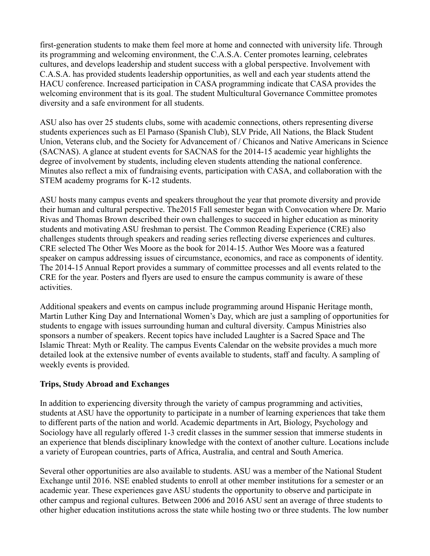first-generation students to make them feel more at home and connected with university life. Through its programming and welcoming environment, the C.A.S.A. Center promotes learning, celebrates cultures, and develops leadership and student success with a global perspective. Involvement with C.A.S.A. has provided students leadership opportunities, as well and each year students attend the HACU conference. Increased participation in CASA programming indicate that CASA provides the welcoming environment that is its goal. The student Multicultural Governance Committee promotes diversity and a safe environment for all students.

ASU also has over 25 students clubs, some with academic connections, others representing diverse students experiences such as El Parnaso (Spanish Club), SLV Pride, All Nations, the Black Student Union, Veterans club, and the Society for Advancement of / Chicanos and Native Americans in Science (SACNAS). A glance at student events for SACNAS for the 2014-15 academic year highlights the degree of involvement by students, including eleven students attending the national conference. Minutes also reflect a mix of fundraising events, participation with CASA, and collaboration with the STEM academy programs for K-12 students.

ASU hosts many campus events and speakers throughout the year that promote diversity and provide their human and cultural perspective. The2015 Fall semester began with Convocation where Dr. Mario Rivas and Thomas Brown described their own challenges to succeed in higher education as minority students and motivating ASU freshman to persist. The Common Reading Experience (CRE) also challenges students through speakers and reading series reflecting diverse experiences and cultures. CRE selected The Other Wes Moore as the book for 2014-15. Author Wes Moore was a featured speaker on campus addressing issues of circumstance, economics, and race as components of identity. The 2014-15 Annual Report provides a summary of committee processes and all events related to the CRE for the year. Posters and flyers are used to ensure the campus community is aware of these activities.

Additional speakers and events on campus include programming around Hispanic Heritage month, Martin Luther King Day and International Women's Day, which are just a sampling of opportunities for students to engage with issues surrounding human and cultural diversity. Campus Ministries also sponsors a number of speakers. Recent topics have included Laughter is a Sacred Space and The Islamic Threat: Myth or Reality. The campus Events Calendar on the website provides a much more detailed look at the extensive number of events available to students, staff and faculty. A sampling of weekly events is provided.

# **Trips, Study Abroad and Exchanges**

In addition to experiencing diversity through the variety of campus programming and activities, students at ASU have the opportunity to participate in a number of learning experiences that take them to different parts of the nation and world. Academic departments in Art, Biology, Psychology and Sociology have all regularly offered 1-3 credit classes in the summer session that immerse students in an experience that blends disciplinary knowledge with the context of another culture. Locations include a variety of European countries, parts of Africa, Australia, and central and South America.

Several other opportunities are also available to students. ASU was a member of the National Student Exchange until 2016. NSE enabled students to enroll at other member institutions for a semester or an academic year. These experiences gave ASU students the opportunity to observe and participate in other campus and regional cultures. Between 2006 and 2016 ASU sent an average of three students to other higher education institutions across the state while hosting two or three students. The low number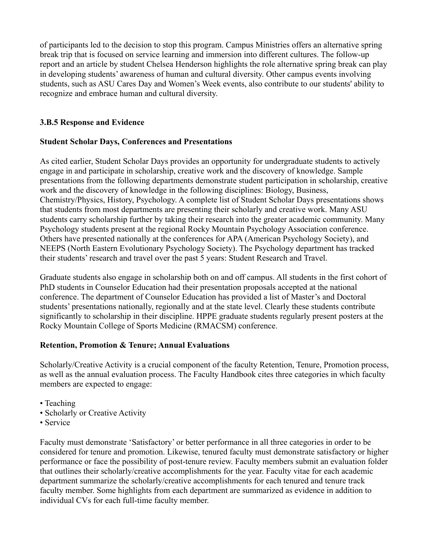of participants led to the decision to stop this program. Campus Ministries offers an alternative spring break trip that is focused on service learning and immersion into different cultures. The follow-up report and an article by student Chelsea Henderson highlights the role alternative spring break can play in developing students' awareness of human and cultural diversity. Other campus events involving students, such as ASU Cares Day and Women's Week events, also contribute to our students' ability to recognize and embrace human and cultural diversity.

## **3.B.5 Response and Evidence**

### **Student Scholar Days, Conferences and Presentations**

As cited earlier, Student Scholar Days provides an opportunity for undergraduate students to actively engage in and participate in scholarship, creative work and the discovery of knowledge. Sample presentations from the following departments demonstrate student participation in scholarship, creative work and the discovery of knowledge in the following disciplines: Biology, Business, Chemistry/Physics, History, Psychology. A complete list of Student Scholar Days presentations shows that students from most departments are presenting their scholarly and creative work. Many ASU students carry scholarship further by taking their research into the greater academic community. Many Psychology students present at the regional Rocky Mountain Psychology Association conference. Others have presented nationally at the conferences for APA (American Psychology Society), and NEEPS (North Eastern Evolutionary Psychology Society). The Psychology department has tracked their students' research and travel over the past 5 years: Student Research and Travel.

Graduate students also engage in scholarship both on and off campus. All students in the first cohort of PhD students in Counselor Education had their presentation proposals accepted at the national conference. The department of Counselor Education has provided a list of Master's and Doctoral students' presentations nationally, regionally and at the state level. Clearly these students contribute significantly to scholarship in their discipline. HPPE graduate students regularly present posters at the Rocky Mountain College of Sports Medicine (RMACSM) conference.

### **Retention, Promotion & Tenure; Annual Evaluations**

Scholarly/Creative Activity is a crucial component of the faculty Retention, Tenure, Promotion process, as well as the annual evaluation process. The Faculty Handbook cites three categories in which faculty members are expected to engage:

- Teaching
- Scholarly or Creative Activity
- Service

Faculty must demonstrate 'Satisfactory' or better performance in all three categories in order to be considered for tenure and promotion. Likewise, tenured faculty must demonstrate satisfactory or higher performance or face the possibility of post-tenure review. Faculty members submit an evaluation folder that outlines their scholarly/creative accomplishments for the year. Faculty vitae for each academic department summarize the scholarly/creative accomplishments for each tenured and tenure track faculty member. Some highlights from each department are summarized as evidence in addition to individual CVs for each full-time faculty member.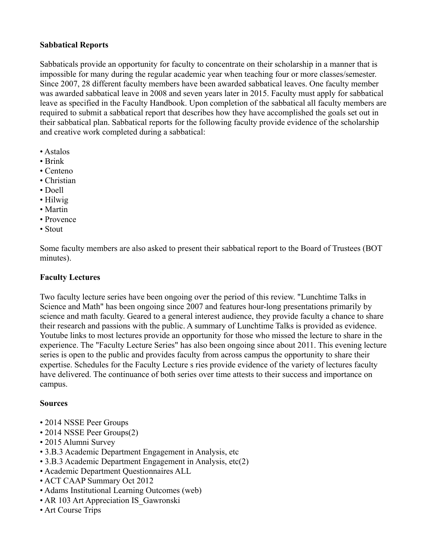### **Sabbatical Reports**

Sabbaticals provide an opportunity for faculty to concentrate on their scholarship in a manner that is impossible for many during the regular academic year when teaching four or more classes/semester. Since 2007, 28 different faculty members have been awarded sabbatical leaves. One faculty member was awarded sabbatical leave in 2008 and seven years later in 2015. Faculty must apply for sabbatical leave as specified in the Faculty Handbook. Upon completion of the sabbatical all faculty members are required to submit a sabbatical report that describes how they have accomplished the goals set out in their sabbatical plan. Sabbatical reports for the following faculty provide evidence of the scholarship and creative work completed during a sabbatical:

- Astalos
- Brink
- Centeno
- Christian
- Doell
- Hilwig
- Martin
- Provence
- Stout

Some faculty members are also asked to present their sabbatical report to the Board of Trustees (BOT minutes).

### **Faculty Lectures**

Two faculty lecture series have been ongoing over the period of this review. "Lunchtime Talks in Science and Math" has been ongoing since 2007 and features hour-long presentations primarily by science and math faculty. Geared to a general interest audience, they provide faculty a chance to share their research and passions with the public. A summary of Lunchtime Talks is provided as evidence. Youtube links to most lectures provide an opportunity for those who missed the lecture to share in the experience. The "Faculty Lecture Series" has also been ongoing since about 2011. This evening lecture series is open to the public and provides faculty from across campus the opportunity to share their expertise. Schedules for the Faculty Lecture s ries provide evidence of the variety of lectures faculty have delivered. The continuance of both series over time attests to their success and importance on campus.

#### **Sources**

- 2014 NSSE Peer Groups
- 2014 NSSE Peer Groups(2)
- 2015 Alumni Survey
- 3.B.3 Academic Department Engagement in Analysis, etc
- 3.B.3 Academic Department Engagement in Analysis, etc(2)
- Academic Department Questionnaires ALL
- ACT CAAP Summary Oct 2012
- Adams Institutional Learning Outcomes (web)
- AR 103 Art Appreciation IS Gawronski
- Art Course Trips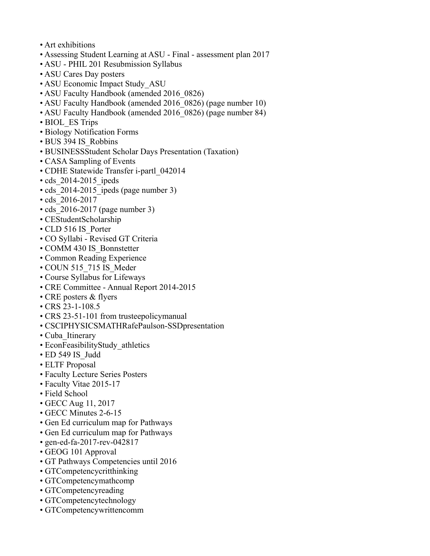- Art exhibitions
- Assessing Student Learning at ASU Final assessment plan 2017
- ASU PHIL 201 Resubmission Syllabus
- ASU Cares Day posters
- ASU Economic Impact Study\_ASU
- ASU Faculty Handbook (amended 2016 0826)
- ASU Faculty Handbook (amended 2016 0826) (page number 10)
- ASU Faculty Handbook (amended 2016 0826) (page number 84)
- BIOL\_ES Trips
- Biology Notification Forms
- BUS 394 IS Robbins
- BUSINESSStudent Scholar Days Presentation (Taxation)
- CASA Sampling of Events
- CDHE Statewide Transfer i-partl\_042014
- cds 2014-2015 ipeds
- cds 2014-2015 ipeds (page number 3)
- cds 2016-2017
- cds 2016-2017 (page number 3)
- CEStudentScholarship
- CLD 516 IS Porter
- CO Syllabi Revised GT Criteria
- COMM 430 IS\_Bonnstetter
- Common Reading Experience
- COUN 515 715 IS Meder
- Course Syllabus for Lifeways
- CRE Committee Annual Report 2014-2015
- CRE posters & flyers
- CRS 23-1-108.5
- CRS 23-51-101 from trusteepolicymanual
- CSCIPHYSICSMATHRafePaulson-SSDpresentation
- Cuba Itinerary
- EconFeasibilityStudy\_athletics
- ED 549 IS\_Judd
- ELTF Proposal
- Faculty Lecture Series Posters
- Faculty Vitae 2015-17
- Field School
- GECC Aug 11, 2017
- GECC Minutes 2-6-15
- Gen Ed curriculum map for Pathways
- Gen Ed curriculum map for Pathways
- gen-ed-fa-2017-rev-042817
- GEOG 101 Approval
- GT Pathways Competencies until 2016
- GTCompetencycritthinking
- GTCompetencymathcomp
- GTCompetencyreading
- GTCompetencytechnology
- GTCompetencywrittencomm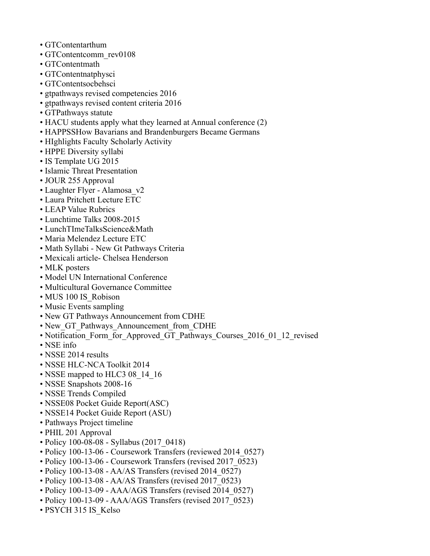- GTContentarthum
- GTContentcomm\_rev0108
- GTContentmath
- GTContentnatphysci
- GTContentsocbehsci
- gtpathways revised competencies 2016
- gtpathways revised content criteria 2016
- GTPathways statute
- HACU students apply what they learned at Annual conference (2)
- HAPPSSHow Bavarians and Brandenburgers Became Germans
- HIghlights Faculty Scholarly Activity
- HPPE Diversity syllabi
- IS Template UG 2015
- Islamic Threat Presentation
- JOUR 255 Approval
- Laughter Flyer Alamosa v2
- Laura Pritchett Lecture ETC
- LEAP Value Rubrics
- Lunchtime Talks 2008-2015
- LunchTImeTalksScience&Math
- Maria Melendez Lecture ETC
- Math Syllabi New Gt Pathways Criteria
- Mexicali article- Chelsea Henderson
- MLK posters
- Model UN International Conference
- Multicultural Governance Committee
- MUS 100 IS\_Robison
- Music Events sampling
- New GT Pathways Announcement from CDHE
- New GT\_Pathways\_Announcement\_from\_CDHE
- Notification Form for Approved GT Pathways Courses 2016 01 12 revised
- NSE info
- NSSE 2014 results
- NSSE HLC-NCA Toolkit 2014
- NSSE mapped to HLC3 08 14 16
- NSSE Snapshots 2008-16
- NSSE Trends Compiled
- NSSE08 Pocket Guide Report(ASC)
- NSSE14 Pocket Guide Report (ASU)
- Pathways Project timeline
- PHIL 201 Approval
- Policy 100-08-08 Syllabus (2017\_0418)
- Policy 100-13-06 Coursework Transfers (reviewed 2014\_0527)
- Policy 100-13-06 Coursework Transfers (revised 2017 0523)
- Policy 100-13-08 AA/AS Transfers (revised 2014\_0527)
- Policy 100-13-08 AA/AS Transfers (revised 2017 0523)
- Policy 100-13-09 AAA/AGS Transfers (revised 2014\_0527)
- Policy 100-13-09 AAA/AGS Transfers (revised 2017\_0523)
- PSYCH 315 IS Kelso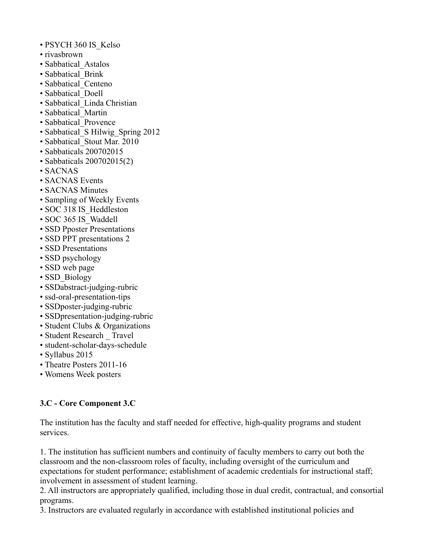- PSYCH 360 IS Kelso
- rivasbrown
- Sabbatical Astalos
- Sabbatical\_Brink
- Sabbatical Centeno
- Sabbatical\_Doell
- Sabbatical\_Linda Christian
- Sabbatical\_Martin
- Sabbatical\_Provence
- Sabbatical S Hilwig Spring 2012
- Sabbatical Stout Mar. 2010
- Sabbaticals 200702015
- Sabbaticals 200702015(2)
- SACNAS
- SACNAS Events
- SACNAS Minutes
- Sampling of Weekly Events
- SOC 318 IS\_Heddleston
- SOC 365 IS Waddell
- SSD Pposter Presentations
- SSD PPT presentations 2
- SSD Presentations
- SSD psychology
- SSD web page
- SSD\_Biology
- SSDabstract-judging-rubric
- ssd-oral-presentation-tips
- SSDposter-judging-rubric
- SSDpresentation-judging-rubric
- Student Clubs & Organizations
- Student Research \_ Travel
- student-scholar-days-schedule
- Syllabus 2015
- Theatre Posters 2011-16
- Womens Week posters

#### **3.C - Core Component 3.C**

The institution has the faculty and staff needed for effective, high-quality programs and student services.

1. The institution has sufficient numbers and continuity of faculty members to carry out both the classroom and the non-classroom roles of faculty, including oversight of the curriculum and expectations for student performance; establishment of academic credentials for instructional staff; involvement in assessment of student learning.

2. All instructors are appropriately qualified, including those in dual credit, contractual, and consortial programs.

3. Instructors are evaluated regularly in accordance with established institutional policies and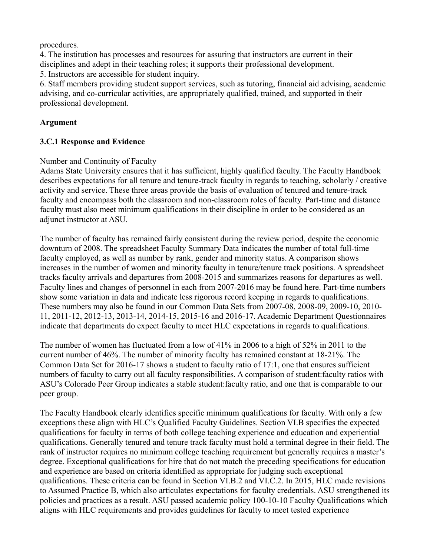procedures.

4. The institution has processes and resources for assuring that instructors are current in their disciplines and adept in their teaching roles; it supports their professional development.

5. Instructors are accessible for student inquiry.

6. Staff members providing student support services, such as tutoring, financial aid advising, academic advising, and co-curricular activities, are appropriately qualified, trained, and supported in their professional development.

### **Argument**

### **3.C.1 Response and Evidence**

### Number and Continuity of Faculty

Adams State University ensures that it has sufficient, highly qualified faculty. The Faculty Handbook describes expectations for all tenure and tenure-track faculty in regards to teaching, scholarly / creative activity and service. These three areas provide the basis of evaluation of tenured and tenure-track faculty and encompass both the classroom and non-classroom roles of faculty. Part-time and distance faculty must also meet minimum qualifications in their discipline in order to be considered as an adjunct instructor at ASU.

The number of faculty has remained fairly consistent during the review period, despite the economic downturn of 2008. The spreadsheet Faculty Summary Data indicates the number of total full-time faculty employed, as well as number by rank, gender and minority status. A comparison shows increases in the number of women and minority faculty in tenure/tenure track positions. A spreadsheet tracks faculty arrivals and departures from 2008-2015 and summarizes reasons for departures as well. Faculty lines and changes of personnel in each from 2007-2016 may be found here. Part-time numbers show some variation in data and indicate less rigorous record keeping in regards to qualifications. These numbers may also be found in our Common Data Sets from 2007-08, 2008-09, 2009-10, 2010- 11, 2011-12, 2012-13, 2013-14, 2014-15, 2015-16 and 2016-17. Academic Department Questionnaires indicate that departments do expect faculty to meet HLC expectations in regards to qualifications.

The number of women has fluctuated from a low of 41% in 2006 to a high of 52% in 2011 to the current number of 46%. The number of minority faculty has remained constant at 18-21%. The Common Data Set for 2016-17 shows a student to faculty ratio of 17:1, one that ensures sufficient numbers of faculty to carry out all faculty responsibilities. A comparison of student:faculty ratios with ASU's Colorado Peer Group indicates a stable student:faculty ratio, and one that is comparable to our peer group.

The Faculty Handbook clearly identifies specific minimum qualifications for faculty. With only a few exceptions these align with HLC's Qualified Faculty Guidelines. Section VI.B specifies the expected qualifications for faculty in terms of both college teaching experience and education and experiential qualifications. Generally tenured and tenure track faculty must hold a terminal degree in their field. The rank of instructor requires no minimum college teaching requirement but generally requires a master's degree. Exceptional qualifications for hire that do not match the preceding specifications for education and experience are based on criteria identified as appropriate for judging such exceptional qualifications. These criteria can be found in Section VI.B.2 and VI.C.2. In 2015, HLC made revisions to Assumed Practice B, which also articulates expectations for faculty credentials. ASU strengthened its policies and practices as a result. ASU passed academic policy 100-10-10 Faculty Qualifications which aligns with HLC requirements and provides guidelines for faculty to meet tested experience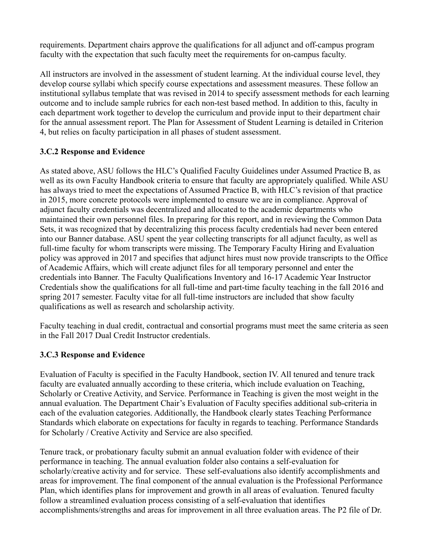requirements. Department chairs approve the qualifications for all adjunct and off-campus program faculty with the expectation that such faculty meet the requirements for on-campus faculty.

All instructors are involved in the assessment of student learning. At the individual course level, they develop course syllabi which specify course expectations and assessment measures. These follow an institutional syllabus template that was revised in 2014 to specify assessment methods for each learning outcome and to include sample rubrics for each non-test based method. In addition to this, faculty in each department work together to develop the curriculum and provide input to their department chair for the annual assessment report. The Plan for Assessment of Student Learning is detailed in Criterion 4, but relies on faculty participation in all phases of student assessment.

## **3.C.2 Response and Evidence**

As stated above, ASU follows the HLC's Qualified Faculty Guidelines under Assumed Practice B, as well as its own Faculty Handbook criteria to ensure that faculty are appropriately qualified. While ASU has always tried to meet the expectations of Assumed Practice B, with HLC's revision of that practice in 2015, more concrete protocols were implemented to ensure we are in compliance. Approval of adjunct faculty credentials was decentralized and allocated to the academic departments who maintained their own personnel files. In preparing for this report, and in reviewing the Common Data Sets, it was recognized that by decentralizing this process faculty credentials had never been entered into our Banner database. ASU spent the year collecting transcripts for all adjunct faculty, as well as full-time faculty for whom transcripts were missing. The Temporary Faculty Hiring and Evaluation policy was approved in 2017 and specifies that adjunct hires must now provide transcripts to the Office of Academic Affairs, which will create adjunct files for all temporary personnel and enter the credentials into Banner. The Faculty Qualifications Inventory and 16-17 Academic Year Instructor Credentials show the qualifications for all full-time and part-time faculty teaching in the fall 2016 and spring 2017 semester. Faculty vitae for all full-time instructors are included that show faculty qualifications as well as research and scholarship activity.

Faculty teaching in dual credit, contractual and consortial programs must meet the same criteria as seen in the Fall 2017 Dual Credit Instructor credentials.

### **3.C.3 Response and Evidence**

Evaluation of Faculty is specified in the Faculty Handbook, section IV. All tenured and tenure track faculty are evaluated annually according to these criteria, which include evaluation on Teaching, Scholarly or Creative Activity, and Service. Performance in Teaching is given the most weight in the annual evaluation. The Department Chair's Evaluation of Faculty specifies additional sub-criteria in each of the evaluation categories. Additionally, the Handbook clearly states Teaching Performance Standards which elaborate on expectations for faculty in regards to teaching. Performance Standards for Scholarly / Creative Activity and Service are also specified.

Tenure track, or probationary faculty submit an annual evaluation folder with evidence of their performance in teaching. The annual evaluation folder also contains a self-evaluation for scholarly/creative activity and for service. These self-evaluations also identify accomplishments and areas for improvement. The final component of the annual evaluation is the Professional Performance Plan, which identifies plans for improvement and growth in all areas of evaluation. Tenured faculty follow a streamlined evaluation process consisting of a self-evaluation that identifies accomplishments/strengths and areas for improvement in all three evaluation areas. The P2 file of Dr.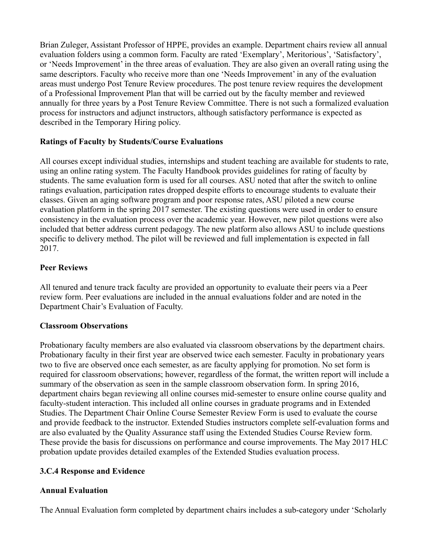Brian Zuleger, Assistant Professor of HPPE, provides an example. Department chairs review all annual evaluation folders using a common form. Faculty are rated 'Exemplary', Meritorious', 'Satisfactory', or 'Needs Improvement' in the three areas of evaluation. They are also given an overall rating using the same descriptors. Faculty who receive more than one 'Needs Improvement' in any of the evaluation areas must undergo Post Tenure Review procedures. The post tenure review requires the development of a Professional Improvement Plan that will be carried out by the faculty member and reviewed annually for three years by a Post Tenure Review Committee. There is not such a formalized evaluation process for instructors and adjunct instructors, although satisfactory performance is expected as described in the Temporary Hiring policy.

### **Ratings of Faculty by Students/Course Evaluations**

All courses except individual studies, internships and student teaching are available for students to rate, using an online rating system. The Faculty Handbook provides guidelines for rating of faculty by students. The same evaluation form is used for all courses. ASU noted that after the switch to online ratings evaluation, participation rates dropped despite efforts to encourage students to evaluate their classes. Given an aging software program and poor response rates, ASU piloted a new course evaluation platform in the spring 2017 semester. The existing questions were used in order to ensure consistency in the evaluation process over the academic year. However, new pilot questions were also included that better address current pedagogy. The new platform also allows ASU to include questions specific to delivery method. The pilot will be reviewed and full implementation is expected in fall 2017.

### **Peer Reviews**

All tenured and tenure track faculty are provided an opportunity to evaluate their peers via a Peer review form. Peer evaluations are included in the annual evaluations folder and are noted in the Department Chair's Evaluation of Faculty.

### **Classroom Observations**

Probationary faculty members are also evaluated via classroom observations by the department chairs. Probationary faculty in their first year are observed twice each semester. Faculty in probationary years two to five are observed once each semester, as are faculty applying for promotion. No set form is required for classroom observations; however, regardless of the format, the written report will include a summary of the observation as seen in the sample classroom observation form. In spring 2016, department chairs began reviewing all online courses mid-semester to ensure online course quality and faculty-student interaction. This included all online courses in graduate programs and in Extended Studies. The Department Chair Online Course Semester Review Form is used to evaluate the course and provide feedback to the instructor. Extended Studies instructors complete self-evaluation forms and are also evaluated by the Quality Assurance staff using the Extended Studies Course Review form. These provide the basis for discussions on performance and course improvements. The May 2017 HLC probation update provides detailed examples of the Extended Studies evaluation process.

# **3.C.4 Response and Evidence**

# **Annual Evaluation**

The Annual Evaluation form completed by department chairs includes a sub-category under 'Scholarly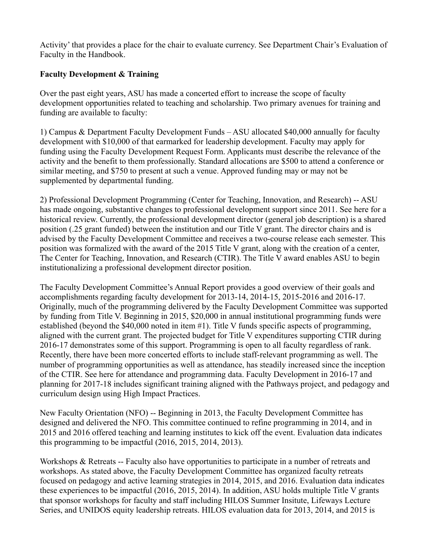Activity' that provides a place for the chair to evaluate currency. See Department Chair's Evaluation of Faculty in the Handbook.

## **Faculty Development & Training**

Over the past eight years, ASU has made a concerted effort to increase the scope of faculty development opportunities related to teaching and scholarship. Two primary avenues for training and funding are available to faculty:

1) Campus & Department Faculty Development Funds – ASU allocated \$40,000 annually for faculty development with \$10,000 of that earmarked for leadership development. Faculty may apply for funding using the Faculty Development Request Form. Applicants must describe the relevance of the activity and the benefit to them professionally. Standard allocations are \$500 to attend a conference or similar meeting, and \$750 to present at such a venue. Approved funding may or may not be supplemented by departmental funding.

2) Professional Development Programming (Center for Teaching, Innovation, and Research) -- ASU has made ongoing, substantive changes to professional development support since 2011. See here for a historical review. Currently, the professional development director (general job description) is a shared position (.25 grant funded) between the institution and our Title V grant. The director chairs and is advised by the Faculty Development Committee and receives a two-course release each semester. This position was formalized with the award of the 2015 Title V grant, along with the creation of a center, The Center for Teaching, Innovation, and Research (CTIR). The Title V award enables ASU to begin institutionalizing a professional development director position.

The Faculty Development Committee's Annual Report provides a good overview of their goals and accomplishments regarding faculty development for 2013-14, 2014-15, 2015-2016 and 2016-17. Originally, much of the programming delivered by the Faculty Development Committee was supported by funding from Title V. Beginning in 2015, \$20,000 in annual institutional programming funds were established (beyond the \$40,000 noted in item #1). Title V funds specific aspects of programming, aligned with the current grant. The projected budget for Title V expenditures supporting CTIR during 2016-17 demonstrates some of this support. Programming is open to all faculty regardless of rank. Recently, there have been more concerted efforts to include staff-relevant programming as well. The number of programming opportunities as well as attendance, has steadily increased since the inception of the CTIR. See here for attendance and programming data. Faculty Development in 2016-17 and planning for 2017-18 includes significant training aligned with the Pathways project, and pedagogy and curriculum design using High Impact Practices.

New Faculty Orientation (NFO) -- Beginning in 2013, the Faculty Development Committee has designed and delivered the NFO. This committee continued to refine programming in 2014, and in 2015 and 2016 offered teaching and learning institutes to kick off the event. Evaluation data indicates this programming to be impactful (2016, 2015, 2014, 2013).

Workshops & Retreats -- Faculty also have opportunities to participate in a number of retreats and workshops. As stated above, the Faculty Development Committee has organized faculty retreats focused on pedagogy and active learning strategies in 2014, 2015, and 2016. Evaluation data indicates these experiences to be impactful (2016, 2015, 2014). In addition, ASU holds multiple Title V grants that sponsor workshops for faculty and staff including HILOS Summer Insitute, Lifeways Lecture Series, and UNIDOS equity leadership retreats. HILOS evaluation data for 2013, 2014, and 2015 is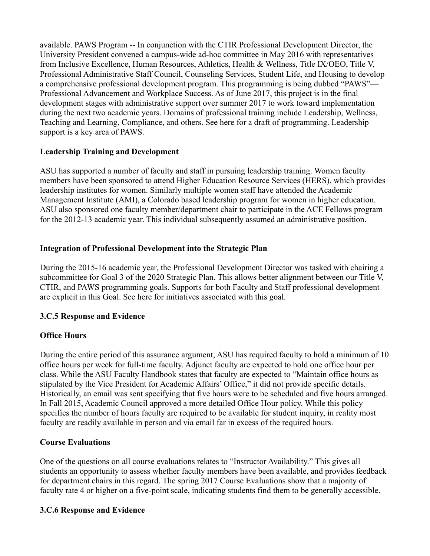available. PAWS Program -- In conjunction with the CTIR Professional Development Director, the University President convened a campus-wide ad-hoc committee in May 2016 with representatives from Inclusive Excellence, Human Resources, Athletics, Health & Wellness, Title IX/OEO, Title V, Professional Administrative Staff Council, Counseling Services, Student Life, and Housing to develop a comprehensive professional development program. This programming is being dubbed "PAWS"— Professional Advancement and Workplace Success. As of June 2017, this project is in the final development stages with administrative support over summer 2017 to work toward implementation during the next two academic years. Domains of professional training include Leadership, Wellness, Teaching and Learning, Compliance, and others. See here for a draft of programming. Leadership support is a key area of PAWS.

### **Leadership Training and Development**

ASU has supported a number of faculty and staff in pursuing leadership training. Women faculty members have been sponsored to attend Higher Education Resource Services (HERS), which provides leadership institutes for women. Similarly multiple women staff have attended the Academic Management Institute (AMI), a Colorado based leadership program for women in higher education. ASU also sponsored one faculty member/department chair to participate in the ACE Fellows program for the 2012-13 academic year. This individual subsequently assumed an administrative position.

## **Integration of Professional Development into the Strategic Plan**

During the 2015-16 academic year, the Professional Development Director was tasked with chairing a subcommittee for Goal 3 of the 2020 Strategic Plan. This allows better alignment between our Title V, CTIR, and PAWS programming goals. Supports for both Faculty and Staff professional development are explicit in this Goal. See here for initiatives associated with this goal.

# **3.C.5 Response and Evidence**

# **Office Hours**

During the entire period of this assurance argument, ASU has required faculty to hold a minimum of 10 office hours per week for full-time faculty. Adjunct faculty are expected to hold one office hour per class. While the ASU Faculty Handbook states that faculty are expected to "Maintain office hours as stipulated by the Vice President for Academic Affairs' Office," it did not provide specific details. Historically, an email was sent specifying that five hours were to be scheduled and five hours arranged. In Fall 2015, Academic Council approved a more detailed Office Hour policy. While this policy specifies the number of hours faculty are required to be available for student inquiry, in reality most faculty are readily available in person and via email far in excess of the required hours.

### **Course Evaluations**

One of the questions on all course evaluations relates to "Instructor Availability." This gives all students an opportunity to assess whether faculty members have been available, and provides feedback for department chairs in this regard. The spring 2017 Course Evaluations show that a majority of faculty rate 4 or higher on a five-point scale, indicating students find them to be generally accessible.

### **3.C.6 Response and Evidence**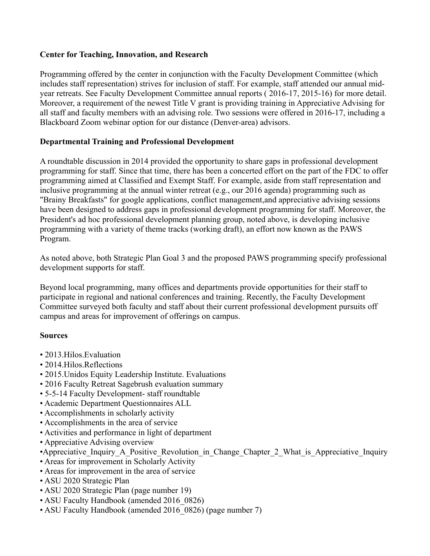### **Center for Teaching, Innovation, and Research**

Programming offered by the center in conjunction with the Faculty Development Committee (which includes staff representation) strives for inclusion of staff. For example, staff attended our annual midyear retreats. See Faculty Development Committee annual reports ( 2016-17, 2015-16) for more detail. Moreover, a requirement of the newest Title V grant is providing training in Appreciative Advising for all staff and faculty members with an advising role. Two sessions were offered in 2016-17, including a Blackboard Zoom webinar option for our distance (Denver-area) advisors.

### **Departmental Training and Professional Development**

A roundtable discussion in 2014 provided the opportunity to share gaps in professional development programming for staff. Since that time, there has been a concerted effort on the part of the FDC to offer programming aimed at Classified and Exempt Staff. For example, aside from staff representation and inclusive programming at the annual winter retreat (e.g., our 2016 agenda) programming such as "Brainy Breakfasts" for google applications, conflict management,and appreciative advising sessions have been designed to address gaps in professional development programming for staff. Moreover, the President's ad hoc professional development planning group, noted above, is developing inclusive programming with a variety of theme tracks (working draft), an effort now known as the PAWS Program.

As noted above, both Strategic Plan Goal 3 and the proposed PAWS programming specify professional development supports for staff.

Beyond local programming, many offices and departments provide opportunities for their staff to participate in regional and national conferences and training. Recently, the Faculty Development Committee surveyed both faculty and staff about their current professional development pursuits off campus and areas for improvement of offerings on campus.

#### **Sources**

- 2013.Hilos.Evaluation
- 2014. Hilos. Reflections
- 2015.Unidos Equity Leadership Institute. Evaluations
- 2016 Faculty Retreat Sagebrush evaluation summary
- 5-5-14 Faculty Development- staff roundtable
- Academic Department Questionnaires ALL
- Accomplishments in scholarly activity
- Accomplishments in the area of service
- Activities and performance in light of department
- Appreciative Advising overview
- •Appreciative Inquiry A Positive Revolution in Change Chapter 2 What is Appreciative Inquiry
- Areas for improvement in Scholarly Activity
- Areas for improvement in the area of service
- ASU 2020 Strategic Plan
- ASU 2020 Strategic Plan (page number 19)
- ASU Faculty Handbook (amended 2016 0826)
- ASU Faculty Handbook (amended 2016 0826) (page number 7)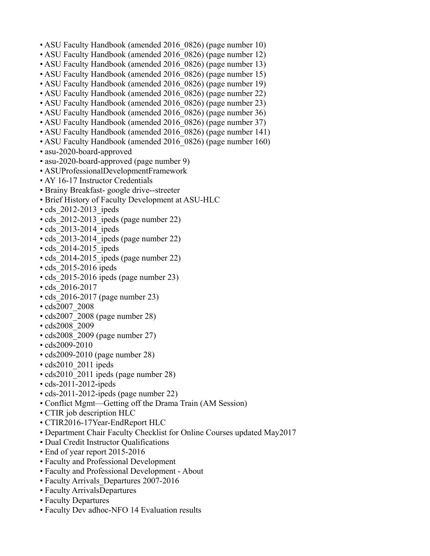- ASU Faculty Handbook (amended 2016 0826) (page number 10)
- ASU Faculty Handbook (amended 2016 0826) (page number 12)
- ASU Faculty Handbook (amended 2016 0826) (page number 13)
- ASU Faculty Handbook (amended 2016 0826) (page number 15)
- ASU Faculty Handbook (amended 2016\_0826) (page number 19)
- ASU Faculty Handbook (amended 2016 0826) (page number 22)
- ASU Faculty Handbook (amended 2016 0826) (page number 23)
- ASU Faculty Handbook (amended 2016 0826) (page number 36)
- ASU Faculty Handbook (amended 2016 0826) (page number 37)
- ASU Faculty Handbook (amended 2016 0826) (page number 141)
- ASU Faculty Handbook (amended 2016 0826) (page number 160)
- asu-2020-board-approved
- asu-2020-board-approved (page number 9)
- ASUProfessionalDevelopmentFramework
- AY 16-17 Instructor Credentials
- Brainy Breakfast- google drive--streeter
- Brief History of Faculty Development at ASU-HLC
- cds 2012-2013 ipeds
- cds 2012-2013 ipeds (page number 22)
- cds 2013-2014 ipeds
- cds 2013-2014 ipeds (page number 22)
- cds 2014-2015 ipeds
- cds 2014-2015 ipeds (page number 22)
- cds 2015-2016 ipeds
- cds 2015-2016 ipeds (page number 23)
- cds 2016-2017
- cds 2016-2017 (page number 23)
- cds2007\_2008
- cds2007\_2008 (page number 28)
- cds2008\_2009
- cds2008\_2009 (page number 27)
- cds2009-2010
- cds2009-2010 (page number 28)
- cds2010 2011 ipeds
- cds2010 2011 ipeds (page number 28)
- cds-2011-2012-ipeds
- cds-2011-2012-ipeds (page number 22)
- Conflict Mgmt—Getting off the Drama Train (AM Session)
- CTIR job description HLC
- CTIR2016-17Year-EndReport HLC
- Department Chair Faculty Checklist for Online Courses updated May2017
- Dual Credit Instructor Qualifications
- End of year report 2015-2016
- Faculty and Professional Development
- Faculty and Professional Development About
- Faculty Arrivals Departures 2007-2016
- Faculty ArrivalsDepartures
- Faculty Departures
- Faculty Dev adhoc-NFO 14 Evaluation results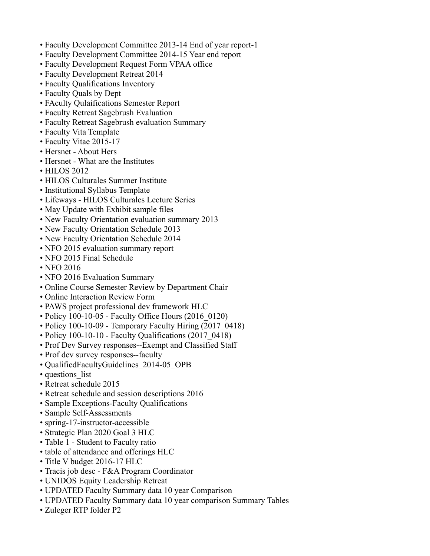- Faculty Development Committee 2013-14 End of year report-1
- Faculty Development Committee 2014-15 Year end report
- Faculty Development Request Form VPAA office
- Faculty Development Retreat 2014
- Faculty Qualifications Inventory
- Faculty Quals by Dept
- FAculty Qulaifications Semester Report
- Faculty Retreat Sagebrush Evaluation
- Faculty Retreat Sagebrush evaluation Summary
- Faculty Vita Template
- Faculty Vitae 2015-17
- Hersnet About Hers
- Hersnet What are the Institutes
- HILOS 2012
- HILOS Culturales Summer Institute
- Institutional Syllabus Template
- Lifeways HILOS Culturales Lecture Series
- May Update with Exhibit sample files
- New Faculty Orientation evaluation summary 2013
- New Faculty Orientation Schedule 2013
- New Faculty Orientation Schedule 2014
- NFO 2015 evaluation summary report
- NFO 2015 Final Schedule
- NFO 2016
- NFO 2016 Evaluation Summary
- Online Course Semester Review by Department Chair
- Online Interaction Review Form
- PAWS project professional dev framework HLC
- Policy 100-10-05 Faculty Office Hours (2016–0120)
- Policy 100-10-09 Temporary Faculty Hiring (2017\_0418)
- Policy 100-10-10 Faculty Qualifications (2017\_0418)
- Prof Dev Survey responses--Exempt and Classified Staff
- Prof dev survey responses--faculty
- QualifiedFacultyGuidelines\_2014-05\_OPB
- questions list
- Retreat schedule 2015
- Retreat schedule and session descriptions 2016
- Sample Exceptions-Faculty Qualifications
- Sample Self-Assessments
- spring-17-instructor-accessible
- Strategic Plan 2020 Goal 3 HLC
- Table 1 Student to Faculty ratio
- table of attendance and offerings HLC
- Title V budget 2016-17 HLC
- Tracis job desc F&A Program Coordinator
- UNIDOS Equity Leadership Retreat
- UPDATED Faculty Summary data 10 year Comparison
- UPDATED Faculty Summary data 10 year comparison Summary Tables
- Zuleger RTP folder P2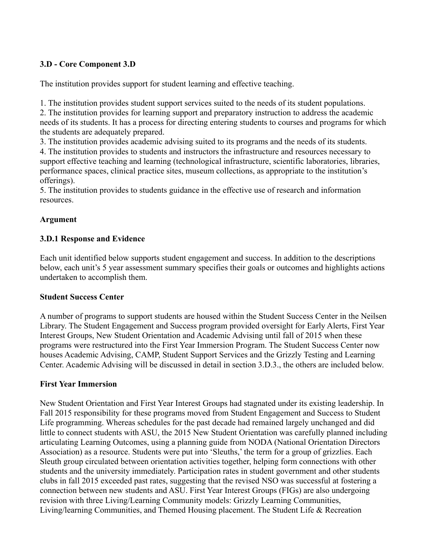## **3.D - Core Component 3.D**

The institution provides support for student learning and effective teaching.

1. The institution provides student support services suited to the needs of its student populations.

2. The institution provides for learning support and preparatory instruction to address the academic needs of its students. It has a process for directing entering students to courses and programs for which the students are adequately prepared.

3. The institution provides academic advising suited to its programs and the needs of its students.

4. The institution provides to students and instructors the infrastructure and resources necessary to support effective teaching and learning (technological infrastructure, scientific laboratories, libraries, performance spaces, clinical practice sites, museum collections, as appropriate to the institution's offerings).

5. The institution provides to students guidance in the effective use of research and information resources.

### **Argument**

### **3.D.1 Response and Evidence**

Each unit identified below supports student engagement and success. In addition to the descriptions below, each unit's 5 year assessment summary specifies their goals or outcomes and highlights actions undertaken to accomplish them.

#### **Student Success Center**

A number of programs to support students are housed within the Student Success Center in the Neilsen Library. The Student Engagement and Success program provided oversight for Early Alerts, First Year Interest Groups, New Student Orientation and Academic Advising until fall of 2015 when these programs were restructured into the First Year Immersion Program. The Student Success Center now houses Academic Advising, CAMP, Student Support Services and the Grizzly Testing and Learning Center. Academic Advising will be discussed in detail in section 3.D.3., the others are included below.

### **First Year Immersion**

New Student Orientation and First Year Interest Groups had stagnated under its existing leadership. In Fall 2015 responsibility for these programs moved from Student Engagement and Success to Student Life programming. Whereas schedules for the past decade had remained largely unchanged and did little to connect students with ASU, the 2015 New Student Orientation was carefully planned including articulating Learning Outcomes, using a planning guide from NODA (National Orientation Directors Association) as a resource. Students were put into 'Sleuths,' the term for a group of grizzlies. Each Sleuth group circulated between orientation activities together, helping form connections with other students and the university immediately. Participation rates in student government and other students clubs in fall 2015 exceeded past rates, suggesting that the revised NSO was successful at fostering a connection between new students and ASU. First Year Interest Groups (FIGs) are also undergoing revision with three Living/Learning Community models: Grizzly Learning Communities, Living/learning Communities, and Themed Housing placement. The Student Life & Recreation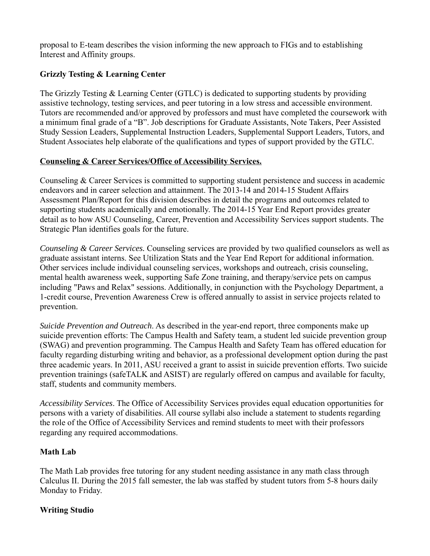proposal to E-team describes the vision informing the new approach to FIGs and to establishing Interest and Affinity groups.

# **Grizzly Testing & Learning Center**

The Grizzly Testing & Learning Center (GTLC) is dedicated to supporting students by providing assistive technology, testing services, and peer tutoring in a low stress and accessible environment. Tutors are recommended and/or approved by professors and must have completed the coursework with a minimum final grade of a "B". Job descriptions for Graduate Assistants, Note Takers, Peer Assisted Study Session Leaders, Supplemental Instruction Leaders, Supplemental Support Leaders, Tutors, and Student Associates help elaborate of the qualifications and types of support provided by the GTLC.

### **Counseling & Career Services/Office of Accessibility Services.**

Counseling & Career Services is committed to supporting student persistence and success in academic endeavors and in career selection and attainment. The 2013-14 and 2014-15 Student Affairs Assessment Plan/Report for this division describes in detail the programs and outcomes related to supporting students academically and emotionally. The 2014-15 Year End Report provides greater detail as to how ASU Counseling, Career, Prevention and Accessibility Services support students. The Strategic Plan identifies goals for the future.

*Counseling & Career Services.* Counseling services are provided by two qualified counselors as well as graduate assistant interns. See Utilization Stats and the Year End Report for additional information. Other services include individual counseling services, workshops and outreach, crisis counseling, mental health awareness week, supporting Safe Zone training, and therapy/service pets on campus including "Paws and Relax" sessions. Additionally, in conjunction with the Psychology Department, a 1-credit course, Prevention Awareness Crew is offered annually to assist in service projects related to prevention.

*Suicide Prevention and Outreach*. As described in the year-end report, three components make up suicide prevention efforts: The Campus Health and Safety team, a student led suicide prevention group (SWAG) and prevention programming. The Campus Health and Safety Team has offered education for faculty regarding disturbing writing and behavior, as a professional development option during the past three academic years. In 2011, ASU received a grant to assist in suicide prevention efforts. Two suicide prevention trainings (safeTALK and ASIST) are regularly offered on campus and available for faculty, staff, students and community members.

*Accessibility Services*. The Office of Accessibility Services provides equal education opportunities for persons with a variety of disabilities. All course syllabi also include a statement to students regarding the role of the Office of Accessibility Services and remind students to meet with their professors regarding any required accommodations.

# **Math Lab**

The Math Lab provides free tutoring for any student needing assistance in any math class through Calculus II. During the 2015 fall semester, the lab was staffed by student tutors from 5-8 hours daily Monday to Friday.

### **Writing Studio**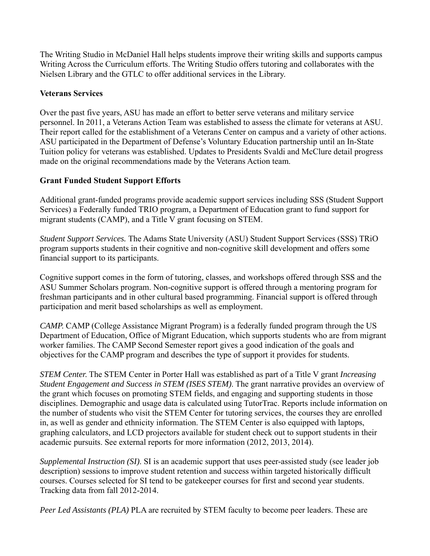The Writing Studio in McDaniel Hall helps students improve their writing skills and supports campus Writing Across the Curriculum efforts. The Writing Studio offers tutoring and collaborates with the Nielsen Library and the GTLC to offer additional services in the Library.

### **Veterans Services**

Over the past five years, ASU has made an effort to better serve veterans and military service personnel. In 2011, a Veterans Action Team was established to assess the climate for veterans at ASU. Their report called for the establishment of a Veterans Center on campus and a variety of other actions. ASU participated in the Department of Defense's Voluntary Education partnership until an In-State Tuition policy for veterans was established. Updates to Presidents Svaldi and McClure detail progress made on the original recommendations made by the Veterans Action team.

## **Grant Funded Student Support Efforts**

Additional grant-funded programs provide academic support services including SSS (Student Support Services) a Federally funded TRIO program, a Department of Education grant to fund support for migrant students (CAMP), and a Title V grant focusing on STEM.

*Student Support Services.* The Adams State University (ASU) Student Support Services (SSS) TRiO program supports students in their cognitive and non-cognitive skill development and offers some financial support to its participants.

Cognitive support comes in the form of tutoring, classes, and workshops offered through SSS and the ASU Summer Scholars program. Non-cognitive support is offered through a mentoring program for freshman participants and in other cultural based programming. Financial support is offered through participation and merit based scholarships as well as employment.

*CAMP*. CAMP (College Assistance Migrant Program) is a federally funded program through the US Department of Education, Office of Migrant Education, which supports students who are from migrant worker families. The CAMP Second Semester report gives a good indication of the goals and objectives for the CAMP program and describes the type of support it provides for students.

*STEM Center*. The STEM Center in Porter Hall was established as part of a Title V grant *Increasing Student Engagement and Success in STEM (ISES STEM)*. The grant narrative provides an overview of the grant which focuses on promoting STEM fields, and engaging and supporting students in those disciplines. Demographic and usage data is calculated using TutorTrac. Reports include information on the number of students who visit the STEM Center for tutoring services, the courses they are enrolled in, as well as gender and ethnicity information. The STEM Center is also equipped with laptops, graphing calculators, and LCD projectors available for student check out to support students in their academic pursuits. See external reports for more information (2012, 2013, 2014).

*Supplemental Instruction (SI)*. SI is an academic support that uses peer-assisted study (see leader job description) sessions to improve student retention and success within targeted historically difficult courses. Courses selected for SI tend to be gatekeeper courses for first and second year students. Tracking data from fall 2012-2014.

*Peer Led Assistants (PLA)* PLA are recruited by STEM faculty to become peer leaders. These are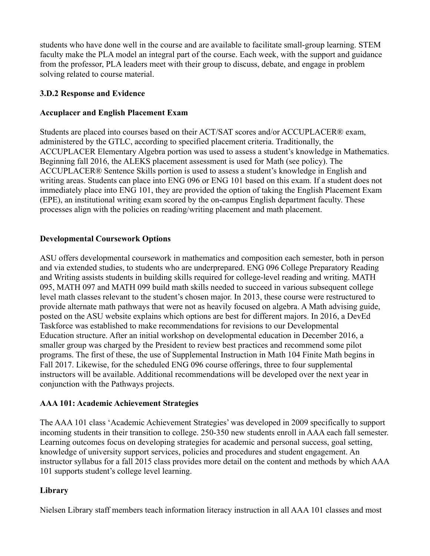students who have done well in the course and are available to facilitate small-group learning. STEM faculty make the PLA model an integral part of the course. Each week, with the support and guidance from the professor, PLA leaders meet with their group to discuss, debate, and engage in problem solving related to course material.

## **3.D.2 Response and Evidence**

## **Accuplacer and English Placement Exam**

Students are placed into courses based on their ACT/SAT scores and/or ACCUPLACER® exam, administered by the GTLC, according to specified placement criteria. Traditionally, the ACCUPLACER Elementary Algebra portion was used to assess a student's knowledge in Mathematics. Beginning fall 2016, the ALEKS placement assessment is used for Math (see policy). The ACCUPLACER® Sentence Skills portion is used to assess a student's knowledge in English and writing areas. Students can place into ENG 096 or ENG 101 based on this exam. If a student does not immediately place into ENG 101, they are provided the option of taking the English Placement Exam (EPE), an institutional writing exam scored by the on-campus English department faculty. These processes align with the policies on reading/writing placement and math placement.

## **Developmental Coursework Options**

ASU offers developmental coursework in mathematics and composition each semester, both in person and via extended studies, to students who are underprepared. ENG 096 College Preparatory Reading and Writing assists students in building skills required for college-level reading and writing. MATH 095, MATH 097 and MATH 099 build math skills needed to succeed in various subsequent college level math classes relevant to the student's chosen major. In 2013, these course were restructured to provide alternate math pathways that were not as heavily focused on algebra. A Math advising guide, posted on the ASU website explains which options are best for different majors. In 2016, a DevEd Taskforce was established to make recommendations for revisions to our Developmental Education structure. After an initial workshop on developmental education in December 2016, a smaller group was charged by the President to review best practices and recommend some pilot programs. The first of these, the use of Supplemental Instruction in Math 104 Finite Math begins in Fall 2017. Likewise, for the scheduled ENG 096 course offerings, three to four supplemental instructors will be available. Additional recommendations will be developed over the next year in conjunction with the Pathways projects.

### **AAA 101: Academic Achievement Strategies**

The AAA 101 class 'Academic Achievement Strategies' was developed in 2009 specifically to support incoming students in their transition to college. 250-350 new students enroll in AAA each fall semester. Learning outcomes focus on developing strategies for academic and personal success, goal setting, knowledge of university support services, policies and procedures and student engagement. An instructor syllabus for a fall 2015 class provides more detail on the content and methods by which AAA 101 supports student's college level learning.

### **Library**

Nielsen Library staff members teach information literacy instruction in all AAA 101 classes and most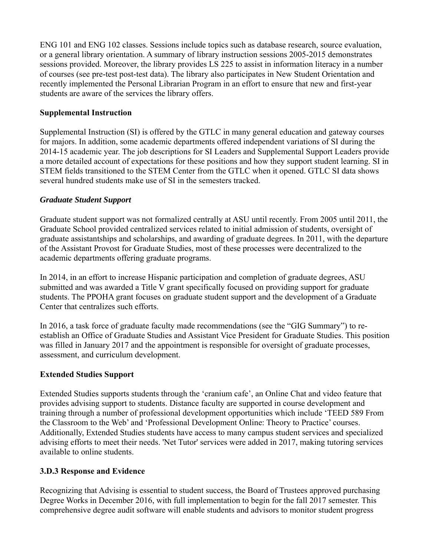ENG 101 and ENG 102 classes. Sessions include topics such as database research, source evaluation, or a general library orientation. A summary of library instruction sessions 2005-2015 demonstrates sessions provided. Moreover, the library provides LS 225 to assist in information literacy in a number of courses (see pre-test post-test data). The library also participates in New Student Orientation and recently implemented the Personal Librarian Program in an effort to ensure that new and first-year students are aware of the services the library offers.

## **Supplemental Instruction**

Supplemental Instruction (SI) is offered by the GTLC in many general education and gateway courses for majors. In addition, some academic departments offered independent variations of SI during the 2014-15 academic year. The job descriptions for SI Leaders and Supplemental Support Leaders provide a more detailed account of expectations for these positions and how they support student learning. SI in STEM fields transitioned to the STEM Center from the GTLC when it opened. GTLC SI data shows several hundred students make use of SI in the semesters tracked.

### *Graduate Student Support*

Graduate student support was not formalized centrally at ASU until recently. From 2005 until 2011, the Graduate School provided centralized services related to initial admission of students, oversight of graduate assistantships and scholarships, and awarding of graduate degrees. In 2011, with the departure of the Assistant Provost for Graduate Studies, most of these processes were decentralized to the academic departments offering graduate programs.

In 2014, in an effort to increase Hispanic participation and completion of graduate degrees, ASU submitted and was awarded a Title V grant specifically focused on providing support for graduate students. The PPOHA grant focuses on graduate student support and the development of a Graduate Center that centralizes such efforts.

In 2016, a task force of graduate faculty made recommendations (see the "GIG Summary") to reestablish an Office of Graduate Studies and Assistant Vice President for Graduate Studies. This position was filled in January 2017 and the appointment is responsible for oversight of graduate processes, assessment, and curriculum development.

### **Extended Studies Support**

Extended Studies supports students through the 'cranium cafe', an Online Chat and video feature that provides advising support to students. Distance faculty are supported in course development and training through a number of professional development opportunities which include 'TEED 589 From the Classroom to the Web' and 'Professional Development Online: Theory to Practice' courses. Additionally, Extended Studies students have access to many campus student services and specialized advising efforts to meet their needs. 'Net Tutor' services were added in 2017, making tutoring services available to online students.

# **3.D.3 Response and Evidence**

Recognizing that Advising is essential to student success, the Board of Trustees approved purchasing Degree Works in December 2016, with full implementation to begin for the fall 2017 semester. This comprehensive degree audit software will enable students and advisors to monitor student progress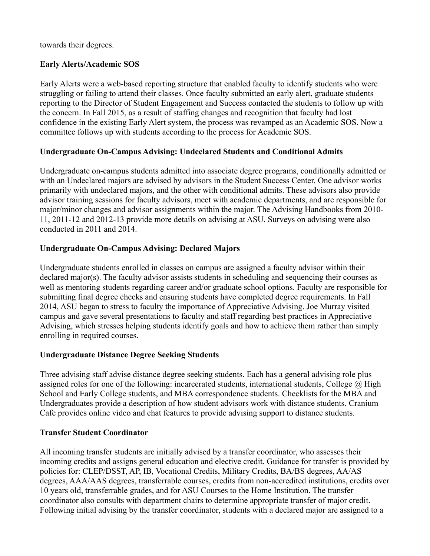towards their degrees.

### **Early Alerts/Academic SOS**

Early Alerts were a web-based reporting structure that enabled faculty to identify students who were struggling or failing to attend their classes. Once faculty submitted an early alert, graduate students reporting to the Director of Student Engagement and Success contacted the students to follow up with the concern. In Fall 2015, as a result of staffing changes and recognition that faculty had lost confidence in the existing Early Alert system, the process was revamped as an Academic SOS. Now a committee follows up with students according to the process for Academic SOS.

### **Undergraduate On-Campus Advising: Undeclared Students and Conditional Admits**

Undergraduate on-campus students admitted into associate degree programs, conditionally admitted or with an Undeclared majors are advised by advisors in the Student Success Center. One advisor works primarily with undeclared majors, and the other with conditional admits. These advisors also provide advisor training sessions for faculty advisors, meet with academic departments, and are responsible for major/minor changes and advisor assignments within the major. The Advising Handbooks from 2010- 11, 2011-12 and 2012-13 provide more details on advising at ASU. Surveys on advising were also conducted in 2011 and 2014.

### **Undergraduate On-Campus Advising: Declared Majors**

Undergraduate students enrolled in classes on campus are assigned a faculty advisor within their declared major(s). The faculty advisor assists students in scheduling and sequencing their courses as well as mentoring students regarding career and/or graduate school options. Faculty are responsible for submitting final degree checks and ensuring students have completed degree requirements. In Fall 2014, ASU began to stress to faculty the importance of Appreciative Advising. Joe Murray visited campus and gave several presentations to faculty and staff regarding best practices in Appreciative Advising, which stresses helping students identify goals and how to achieve them rather than simply enrolling in required courses.

#### **Undergraduate Distance Degree Seeking Students**

Three advising staff advise distance degree seeking students. Each has a general advising role plus assigned roles for one of the following: incarcerated students, international students, College  $\omega$  High School and Early College students, and MBA correspondence students. Checklists for the MBA and Undergraduates provide a description of how student advisors work with distance students. Cranium Cafe provides online video and chat features to provide advising support to distance students.

#### **Transfer Student Coordinator**

All incoming transfer students are initially advised by a transfer coordinator, who assesses their incoming credits and assigns general education and elective credit. Guidance for transfer is provided by policies for: CLEP/DSST, AP, IB, Vocational Credits, Military Credits, BA/BS degrees, AA/AS degrees, AAA/AAS degrees, transferrable courses, credits from non-accredited institutions, credits over 10 years old, transferrable grades, and for ASU Courses to the Home Institution. The transfer coordinator also consults with department chairs to determine appropriate transfer of major credit. Following initial advising by the transfer coordinator, students with a declared major are assigned to a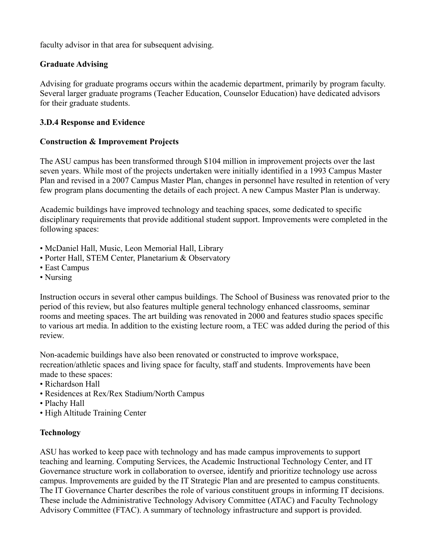faculty advisor in that area for subsequent advising.

## **Graduate Advising**

Advising for graduate programs occurs within the academic department, primarily by program faculty. Several larger graduate programs (Teacher Education, Counselor Education) have dedicated advisors for their graduate students.

### **3.D.4 Response and Evidence**

## **Construction & Improvement Projects**

The ASU campus has been transformed through \$104 million in improvement projects over the last seven years. While most of the projects undertaken were initially identified in a 1993 Campus Master Plan and revised in a 2007 Campus Master Plan, changes in personnel have resulted in retention of very few program plans documenting the details of each project. A new Campus Master Plan is underway.

Academic buildings have improved technology and teaching spaces, some dedicated to specific disciplinary requirements that provide additional student support. Improvements were completed in the following spaces:

- McDaniel Hall, Music, Leon Memorial Hall, Library
- Porter Hall, STEM Center, Planetarium & Observatory
- East Campus
- Nursing

Instruction occurs in several other campus buildings. The School of Business was renovated prior to the period of this review, but also features multiple general technology enhanced classrooms, seminar rooms and meeting spaces. The art building was renovated in 2000 and features studio spaces specific to various art media. In addition to the existing lecture room, a TEC was added during the period of this review.

Non-academic buildings have also been renovated or constructed to improve workspace, recreation/athletic spaces and living space for faculty, staff and students. Improvements have been made to these spaces:

- Richardson Hall
- Residences at Rex/Rex Stadium/North Campus
- Plachy Hall
- High Altitude Training Center

### **Technology**

ASU has worked to keep pace with technology and has made campus improvements to support teaching and learning. Computing Services, the Academic Instructional Technology Center, and IT Governance structure work in collaboration to oversee, identify and prioritize technology use across campus. Improvements are guided by the IT Strategic Plan and are presented to campus constituents. The IT Governance Charter describes the role of various constituent groups in informing IT decisions. These include the Administrative Technology Advisory Committee (ATAC) and Faculty Technology Advisory Committee (FTAC). A summary of technology infrastructure and support is provided.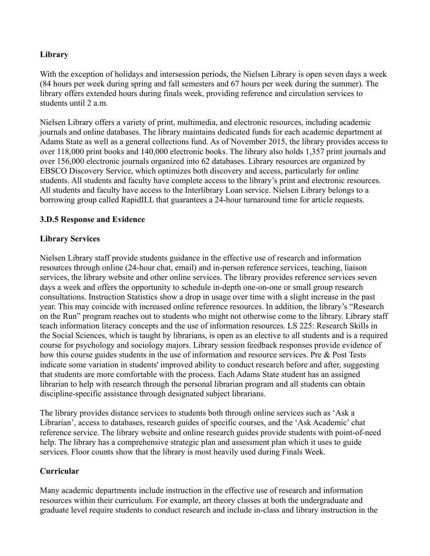## **Library**

With the exception of holidays and intersession periods, the Nielsen Library is open seven days a week (84 hours per week during spring and fall semesters and 67 hours per week during the summer). The library offers extended hours during finals week, providing reference and circulation services to students until 2 a.m.

Nielsen Library offers a variety of print, multimedia, and electronic resources, including academic journals and online databases. The library maintains dedicated funds for each academic department at Adams State as well as a general collections fund. As of November 2015, the library provides access to over 118,000 print books and 140,000 electronic books. The library also holds 1,357 print journals and over 156,000 electronic journals organized into 62 databases. Library resources are organized by EBSCO Discovery Service, which optimizes both discovery and access, particularly for online students. All students and faculty have complete access to the library's print and electronic resources. All students and faculty have access to the Interlibrary Loan service. Nielsen Library belongs to a borrowing group called RapidILL that guarantees a 24-hour turnaround time for article requests.

### **3.D.5 Response and Evidence**

### **Library Services**

Nielsen Library staff provide students guidance in the effective use of research and information resources through online (24-hour chat, email) and in-person reference services, teaching, liaison services, the library website and other online services. The library provides reference services seven days a week and offers the opportunity to schedule in-depth one-on-one or small group research consultations. Instruction Statistics show a drop in usage over time with a slight increase in the past year. This may coincide with increased online reference resources. In addition, the library's "Research on the Run" program reaches out to students who might not otherwise come to the library. Library staff teach information literacy concepts and the use of information resources. LS 225: Research Skills in the Social Sciences, which is taught by librarians, is open as an elective to all students and is a required course for psychology and sociology majors. Library session feedback responses provide evidence of how this course guides students in the use of information and resource services. Pre & Post Tests indicate some variation in students' improved ability to conduct research before and after, suggesting that students are more comfortable with the process. Each Adams State student has an assigned librarian to help with research through the personal librarian program and all students can obtain discipline-specific assistance through designated subject librarians.

The library provides distance services to students both through online services such as 'Ask a Librarian', access to databases, research guides of specific courses, and the 'Ask Academic' chat reference service. The library website and online research guides provide students with point-of-need help. The library has a comprehensive strategic plan and assessment plan which it uses to guide services. Floor counts show that the library is most heavily used during Finals Week.

### **Curricular**

Many academic departments include instruction in the effective use of research and information resources within their curriculum. For example, art theory classes at both the undergraduate and graduate level require students to conduct research and include in-class and library instruction in the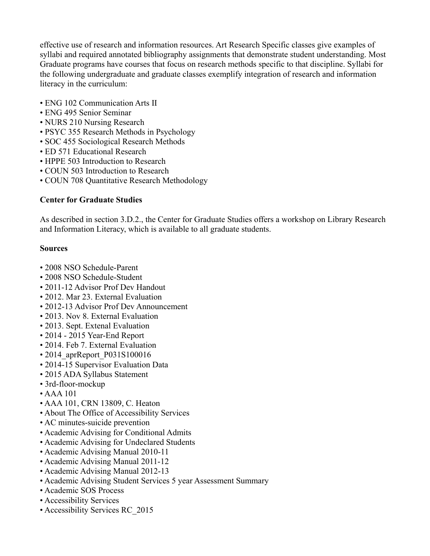effective use of research and information resources. Art Research Specific classes give examples of syllabi and required annotated bibliography assignments that demonstrate student understanding. Most Graduate programs have courses that focus on research methods specific to that discipline. Syllabi for the following undergraduate and graduate classes exemplify integration of research and information literacy in the curriculum:

- ENG 102 Communication Arts II
- ENG 495 Senior Seminar
- NURS 210 Nursing Research
- PSYC 355 Research Methods in Psychology
- SOC 455 Sociological Research Methods
- ED 571 Educational Research
- HPPE 503 Introduction to Research
- COUN 503 Introduction to Research
- COUN 708 Quantitative Research Methodology

### **Center for Graduate Studies**

As described in section 3.D.2., the Center for Graduate Studies offers a workshop on Library Research and Information Literacy, which is available to all graduate students.

#### **Sources**

- 2008 NSO Schedule-Parent
- 2008 NSO Schedule-Student
- 2011-12 Advisor Prof Dev Handout
- 2012. Mar 23. External Evaluation
- 2012-13 Advisor Prof Dev Announcement
- 2013. Nov 8. External Evaluation
- 2013. Sept. Extenal Evaluation
- 2014 2015 Year-End Report
- 2014. Feb 7. External Evaluation
- 2014 aprReport P031S100016
- 2014-15 Supervisor Evaluation Data
- 2015 ADA Syllabus Statement
- 3rd-floor-mockup
- AAA 101
- AAA 101, CRN 13809, C. Heaton
- About The Office of Accessibility Services
- AC minutes-suicide prevention
- Academic Advising for Conditional Admits
- Academic Advising for Undeclared Students
- Academic Advising Manual 2010-11
- Academic Advising Manual 2011-12
- Academic Advising Manual 2012-13
- Academic Advising Student Services 5 year Assessment Summary
- Academic SOS Process
- Accessibility Services
- Accessibility Services RC\_2015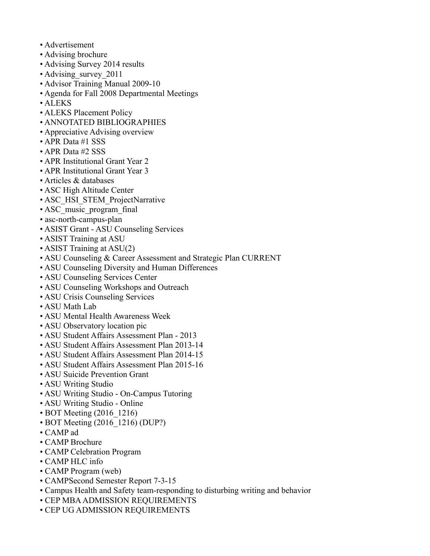- Advertisement
- Advising brochure
- Advising Survey 2014 results
- Advising\_survey\_2011
- Advisor Training Manual 2009-10
- Agenda for Fall 2008 Departmental Meetings
- ALEKS
- ALEKS Placement Policy
- ANNOTATED BIBLIOGRAPHIES
- Appreciative Advising overview
- APR Data #1 SSS
- APR Data #2 SSS
- APR Institutional Grant Year 2
- APR Institutional Grant Year 3
- Articles & databases
- ASC High Altitude Center
- ASC\_HSI\_STEM\_ProjectNarrative
- ASC music program final
- asc-north-campus-plan
- ASIST Grant ASU Counseling Services
- ASIST Training at ASU
- ASIST Training at ASU(2)
- ASU Counseling & Career Assessment and Strategic Plan CURRENT
- ASU Counseling Diversity and Human Differences
- ASU Counseling Services Center
- ASU Counseling Workshops and Outreach
- ASU Crisis Counseling Services
- ASU Math Lab
- ASU Mental Health Awareness Week
- ASU Observatory location pic
- ASU Student Affairs Assessment Plan 2013
- ASU Student Affairs Assessment Plan 2013-14
- ASU Student Affairs Assessment Plan 2014-15
- ASU Student Affairs Assessment Plan 2015-16
- ASU Suicide Prevention Grant
- ASU Writing Studio
- ASU Writing Studio On-Campus Tutoring
- ASU Writing Studio Online
- BOT Meeting (2016 1216)
- BOT Meeting (2016 1216) (DUP?)
- CAMP ad
- CAMP Brochure
- CAMP Celebration Program
- CAMP HLC info
- CAMP Program (web)
- CAMPSecond Semester Report 7-3-15
- Campus Health and Safety team-responding to disturbing writing and behavior
- CEP MBA ADMISSION REQUIREMENTS
- CEP UG ADMISSION REQUIREMENTS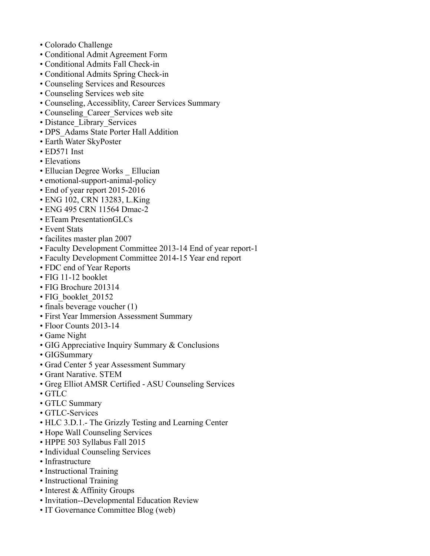- Colorado Challenge
- Conditional Admit Agreement Form
- Conditional Admits Fall Check-in
- Conditional Admits Spring Check-in
- Counseling Services and Resources
- Counseling Services web site
- Counseling, Accessiblity, Career Services Summary
- Counseling Career Services web site
- Distance\_Library\_Services
- DPS Adams State Porter Hall Addition
- Earth Water SkyPoster
- ED571 Inst
- Elevations
- Ellucian Degree Works \_ Ellucian
- emotional-support-animal-policy
- End of year report 2015-2016
- ENG 102, CRN 13283, L.King
- ENG 495 CRN 11564 Dmac-2
- ETeam PresentationGLCs
- Event Stats
- facilites master plan 2007
- Faculty Development Committee 2013-14 End of year report-1
- Faculty Development Committee 2014-15 Year end report
- FDC end of Year Reports
- FIG 11-12 booklet
- FIG Brochure 201314
- FIG booklet 20152
- finals beverage voucher (1)
- First Year Immersion Assessment Summary
- Floor Counts 2013-14
- Game Night
- GIG Appreciative Inquiry Summary & Conclusions
- GIGSummary
- Grad Center 5 year Assessment Summary
- Grant Narative. STEM
- Greg Elliot AMSR Certified ASU Counseling Services
- GTLC
- GTLC Summary
- GTLC-Services
- HLC 3.D.1.- The Grizzly Testing and Learning Center
- Hope Wall Counseling Services
- HPPE 503 Syllabus Fall 2015
- Individual Counseling Services
- Infrastructure
- Instructional Training
- Instructional Training
- Interest & Affinity Groups
- Invitation--Developmental Education Review
- IT Governance Committee Blog (web)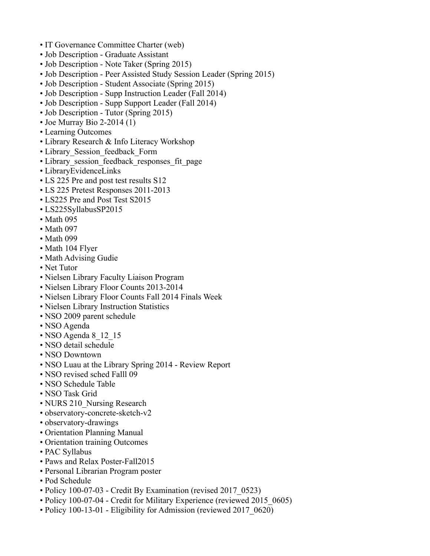- IT Governance Committee Charter (web)
- Job Description Graduate Assistant
- Job Description Note Taker (Spring 2015)
- Job Description Peer Assisted Study Session Leader (Spring 2015)
- Job Description Student Associate (Spring 2015)
- Job Description Supp Instruction Leader (Fall 2014)
- Job Description Supp Support Leader (Fall 2014)
- Job Description Tutor (Spring 2015)
- Joe Murray Bio 2-2014 (1)
- Learning Outcomes
- Library Research & Info Literacy Workshop
- Library\_Session\_feedback\_Form
- Library session feedback responses fit page
- LibraryEvidenceLinks
- LS 225 Pre and post test results S12
- LS 225 Pretest Responses 2011-2013
- LS225 Pre and Post Test S2015
- LS225SyllabusSP2015
- Math 095
- Math 097
- Math 099
- Math 104 Flyer
- Math Advising Gudie
- Net Tutor
- Nielsen Library Faculty Liaison Program
- Nielsen Library Floor Counts 2013-2014
- Nielsen Library Floor Counts Fall 2014 Finals Week
- Nielsen Library Instruction Statistics
- NSO 2009 parent schedule
- NSO Agenda
- NSO Agenda 8 12 15
- NSO detail schedule
- NSO Downtown
- NSO Luau at the Library Spring 2014 Review Report
- NSO revised sched Falll 09
- NSO Schedule Table
- NSO Task Grid
- NURS 210 Nursing Research
- observatory-concrete-sketch-v2
- observatory-drawings
- Orientation Planning Manual
- Orientation training Outcomes
- PAC Syllabus
- Paws and Relax Poster-Fall2015
- Personal Librarian Program poster
- Pod Schedule
- Policy 100-07-03 Credit By Examination (revised 2017\_0523)
- Policy 100-07-04 Credit for Military Experience (reviewed 2015\_0605)
- Policy 100-13-01 Eligibility for Admission (reviewed 2017 0620)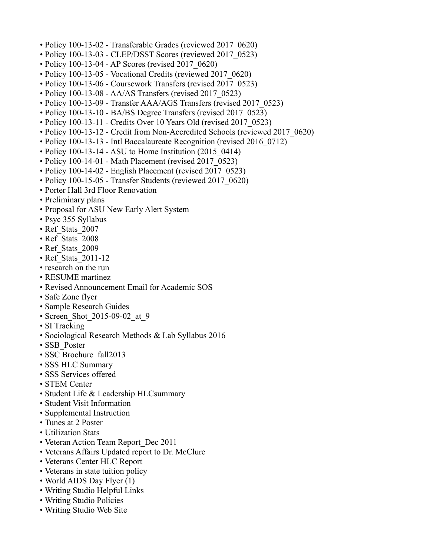- Policy 100-13-02 Transferable Grades (reviewed 2017\_0620)
- Policy 100-13-03 CLEP/DSST Scores (reviewed 2017 0523)
- Policy 100-13-04 AP Scores (revised 2017\_0620)
- Policy 100-13-05 Vocational Credits (reviewed 2017\_0620)
- Policy 100-13-06 Coursework Transfers (revised 2017 0523)
- Policy 100-13-08 AA/AS Transfers (revised 2017\_0523)
- Policy 100-13-09 Transfer AAA/AGS Transfers (revised 2017\_0523)
- Policy 100-13-10 BA/BS Degree Transfers (revised 2017\_0523)
- Policy 100-13-11 Credits Over 10 Years Old (revised 2017\_0523)
- Policy 100-13-12 Credit from Non-Accredited Schools (reviewed 2017\_0620)
- Policy 100-13-13 Intl Baccalaureate Recognition (revised 2016 0712)
- Policy 100-13-14 ASU to Home Institution  $(2015\,0414)$
- Policy 100-14-01 Math Placement (revised 2017 0523)
- Policy 100-14-02 English Placement (revised 2017 0523)
- Policy 100-15-05 Transfer Students (reviewed 2017\_0620)
- Porter Hall 3rd Floor Renovation
- Preliminary plans
- Proposal for ASU New Early Alert System
- Psyc 355 Syllabus
- Ref Stats 2007
- Ref Stats 2008
- Ref Stats 2009
- Ref Stats 2011-12
- research on the run
- RESUME martinez
- Revised Announcement Email for Academic SOS
- Safe Zone flyer
- Sample Research Guides
- Screen Shot 2015-09-02 at 9
- SI Tracking
- Sociological Research Methods & Lab Syllabus 2016
- SSB\_Poster
- SSC Brochure fall2013
- SSS HLC Summary
- SSS Services offered
- STEM Center
- Student Life & Leadership HLCsummary
- Student Visit Information
- Supplemental Instruction
- Tunes at 2 Poster
- Utilization Stats
- Veteran Action Team Report Dec 2011
- Veterans Affairs Updated report to Dr. McClure
- Veterans Center HLC Report
- Veterans in state tuition policy
- World AIDS Day Flyer (1)
- Writing Studio Helpful Links
- Writing Studio Policies
- Writing Studio Web Site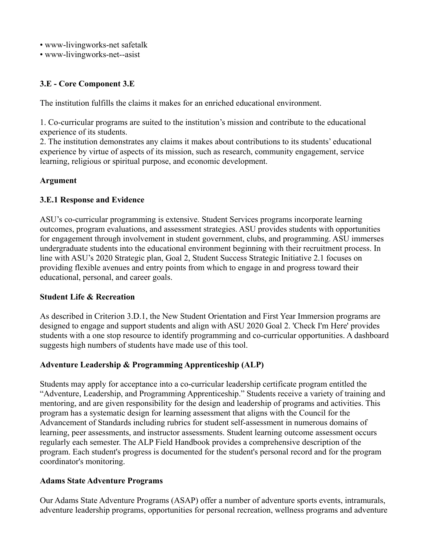- www-livingworks-net safetalk
- www-livingworks-net--asist

## **3.E - Core Component 3.E**

The institution fulfills the claims it makes for an enriched educational environment.

1. Co-curricular programs are suited to the institution's mission and contribute to the educational experience of its students.

2. The institution demonstrates any claims it makes about contributions to its students' educational experience by virtue of aspects of its mission, such as research, community engagement, service learning, religious or spiritual purpose, and economic development.

### **Argument**

### **3.E.1 Response and Evidence**

ASU's co-curricular programming is extensive. Student Services programs incorporate learning outcomes, program evaluations, and assessment strategies. ASU provides students with opportunities for engagement through involvement in student government, clubs, and programming. ASU immerses undergraduate students into the educational environment beginning with their recruitment process. In line with ASU's 2020 Strategic plan, Goal 2, Student Success Strategic Initiative 2.1 focuses on providing flexible avenues and entry points from which to engage in and progress toward their educational, personal, and career goals.

#### **Student Life & Recreation**

As described in Criterion 3.D.1, the New Student Orientation and First Year Immersion programs are designed to engage and support students and align with ASU 2020 Goal 2. 'Check I'm Here' provides students with a one stop resource to identify programming and co-curricular opportunities. A dashboard suggests high numbers of students have made use of this tool.

### **Adventure Leadership & Programming Apprenticeship (ALP)**

Students may apply for acceptance into a co-curricular leadership certificate program entitled the "Adventure, Leadership, and Programming Apprenticeship." Students receive a variety of training and mentoring, and are given responsibility for the design and leadership of programs and activities. This program has a systematic design for learning assessment that aligns with the Council for the Advancement of Standards including rubrics for student self-assessment in numerous domains of learning, peer assessments, and instructor assessments. Student learning outcome assessment occurs regularly each semester. The ALP Field Handbook provides a comprehensive description of the program. Each student's progress is documented for the student's personal record and for the program coordinator's monitoring.

#### **Adams State Adventure Programs**

Our Adams State Adventure Programs (ASAP) offer a number of adventure sports events, intramurals, adventure leadership programs, opportunities for personal recreation, wellness programs and adventure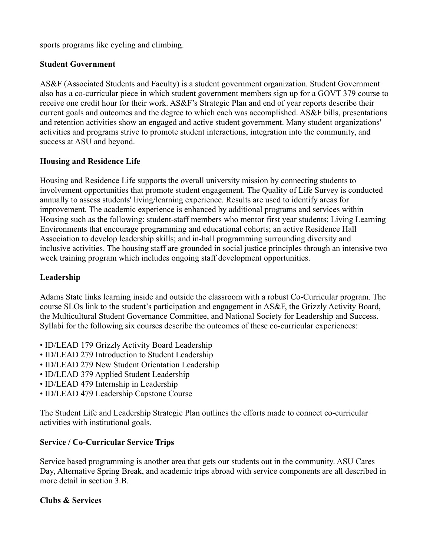sports programs like cycling and climbing.

## **Student Government**

AS&F (Associated Students and Faculty) is a student government organization. Student Government also has a co-curricular piece in which student government members sign up for a GOVT 379 course to receive one credit hour for their work. AS&F's Strategic Plan and end of year reports describe their current goals and outcomes and the degree to which each was accomplished. AS&F bills, presentations and retention activities show an engaged and active student government. Many student organizations' activities and programs strive to promote student interactions, integration into the community, and success at ASU and beyond.

## **Housing and Residence Life**

Housing and Residence Life supports the overall university mission by connecting students to involvement opportunities that promote student engagement. The Quality of Life Survey is conducted annually to assess students' living/learning experience. Results are used to identify areas for improvement. The academic experience is enhanced by additional programs and services within Housing such as the following: student-staff members who mentor first year students; Living Learning Environments that encourage programming and educational cohorts; an active Residence Hall Association to develop leadership skills; and in-hall programming surrounding diversity and inclusive activities. The housing staff are grounded in social justice principles through an intensive two week training program which includes ongoing staff development opportunities.

## **Leadership**

Adams State links learning inside and outside the classroom with a robust Co-Curricular program. The course SLOs link to the student's participation and engagement in AS&F, the Grizzly Activity Board, the Multicultural Student Governance Committee, and National Society for Leadership and Success. Syllabi for the following six courses describe the outcomes of these co-curricular experiences:

- ID/LEAD 179 Grizzly Activity Board Leadership
- ID/LEAD 279 Introduction to Student Leadership
- ID/LEAD 279 New Student Orientation Leadership
- ID/LEAD 379 Applied Student Leadership
- ID/LEAD 479 Internship in Leadership
- ID/LEAD 479 Leadership Capstone Course

The Student Life and Leadership Strategic Plan outlines the efforts made to connect co-curricular activities with institutional goals.

# **Service / Co-Curricular Service Trips**

Service based programming is another area that gets our students out in the community. ASU Cares Day, Alternative Spring Break, and academic trips abroad with service components are all described in more detail in section 3.B.

# **Clubs & Services**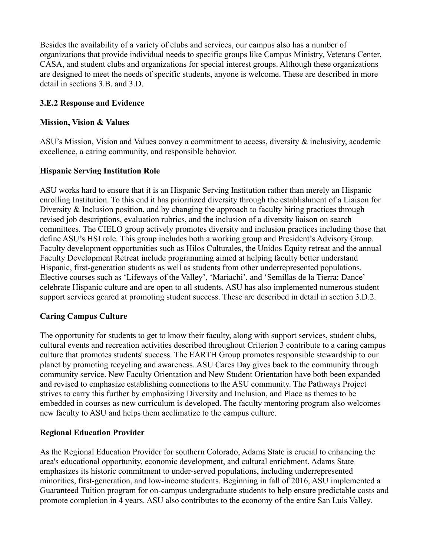Besides the availability of a variety of clubs and services, our campus also has a number of organizations that provide individual needs to specific groups like Campus Ministry, Veterans Center, CASA, and student clubs and organizations for special interest groups. Although these organizations are designed to meet the needs of specific students, anyone is welcome. These are described in more detail in sections 3.B. and 3.D.

## **3.E.2 Response and Evidence**

### **Mission, Vision & Values**

ASU's Mission, Vision and Values convey a commitment to access, diversity  $\&$  inclusivity, academic excellence, a caring community, and responsible behavior.

### **Hispanic Serving Institution Role**

ASU works hard to ensure that it is an Hispanic Serving Institution rather than merely an Hispanic enrolling Institution. To this end it has prioritized diversity through the establishment of a Liaison for Diversity & Inclusion position, and by changing the approach to faculty hiring practices through revised job descriptions, evaluation rubrics, and the inclusion of a diversity liaison on search committees. The CIELO group actively promotes diversity and inclusion practices including those that define ASU's HSI role. This group includes both a working group and President's Advisory Group. Faculty development opportunities such as Hilos Culturales, the Unidos Equity retreat and the annual Faculty Development Retreat include programming aimed at helping faculty better understand Hispanic, first-generation students as well as students from other underrepresented populations. Elective courses such as 'Lifeways of the Valley', 'Mariachi', and 'Semillas de la Tierra: Dance' celebrate Hispanic culture and are open to all students. ASU has also implemented numerous student support services geared at promoting student success. These are described in detail in section 3.D.2.

### **Caring Campus Culture**

The opportunity for students to get to know their faculty, along with support services, student clubs, cultural events and recreation activities described throughout Criterion 3 contribute to a caring campus culture that promotes students' success. The EARTH Group promotes responsible stewardship to our planet by promoting recycling and awareness. ASU Cares Day gives back to the community through community service. New Faculty Orientation and New Student Orientation have both been expanded and revised to emphasize establishing connections to the ASU community. The Pathways Project strives to carry this further by emphasizing Diversity and Inclusion, and Place as themes to be embedded in courses as new curriculum is developed. The faculty mentoring program also welcomes new faculty to ASU and helps them acclimatize to the campus culture.

### **Regional Education Provider**

As the Regional Education Provider for southern Colorado, Adams State is crucial to enhancing the area's educational opportunity, economic development, and cultural enrichment. Adams State emphasizes its historic commitment to under-served populations, including underrepresented minorities, first-generation, and low-income students. Beginning in fall of 2016, ASU implemented a Guaranteed Tuition program for on-campus undergraduate students to help ensure predictable costs and promote completion in 4 years. ASU also contributes to the economy of the entire San Luis Valley.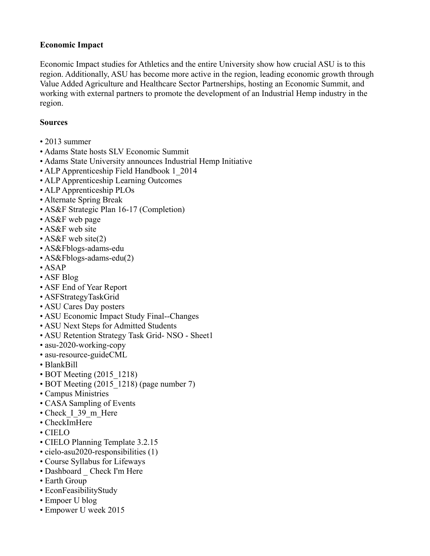## **Economic Impact**

Economic Impact studies for Athletics and the entire University show how crucial ASU is to this region. Additionally, ASU has become more active in the region, leading economic growth through Value Added Agriculture and Healthcare Sector Partnerships, hosting an Economic Summit, and working with external partners to promote the development of an Industrial Hemp industry in the region.

### **Sources**

- 2013 summer
- Adams State hosts SLV Economic Summit
- Adams State University announces Industrial Hemp Initiative
- ALP Apprenticeship Field Handbook 1\_2014
- ALP Apprenticeship Learning Outcomes
- ALP Apprenticeship PLOs
- Alternate Spring Break
- AS&F Strategic Plan 16-17 (Completion)
- AS&F web page
- AS&F web site
- AS&F web site(2)
- AS&Fblogs-adams-edu
- AS&Fblogs-adams-edu(2)
- ASAP
- ASF Blog
- ASF End of Year Report
- ASFStrategyTaskGrid
- ASU Cares Day posters
- ASU Economic Impact Study Final--Changes
- ASU Next Steps for Admitted Students
- ASU Retention Strategy Task Grid- NSO Sheet1
- asu-2020-working-copy
- asu-resource-guideCML
- BlankBill
- BOT Meeting (2015 1218)
- BOT Meeting (2015\_1218) (page number 7)
- Campus Ministries
- CASA Sampling of Events
- Check I 39 m Here
- CheckImHere
- CIELO
- CIELO Planning Template 3.2.15
- cielo-asu2020-responsibilities (1)
- Course Syllabus for Lifeways
- Dashboard \_ Check I'm Here
- Earth Group
- EconFeasibilityStudy
- Empoer U blog
- Empower U week 2015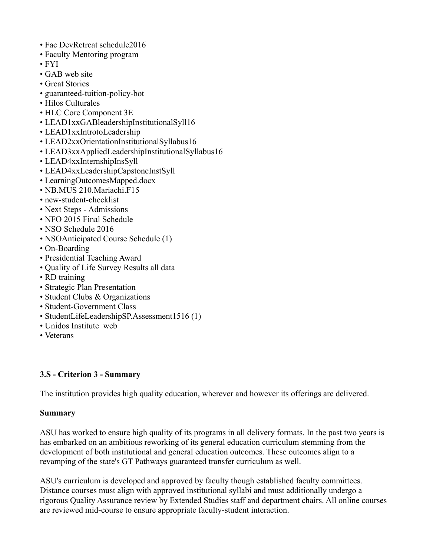- Fac DevRetreat schedule2016
- Faculty Mentoring program
- FYI
- GAB web site
- Great Stories
- guaranteed-tuition-policy-bot
- Hilos Culturales
- HLC Core Component 3E
- LEAD1xxGABleadershipInstitutionalSyll16
- LEAD1xxIntrotoLeadership
- LEAD2xxOrientationInstitutionalSyllabus16
- LEAD3xxAppliedLeadershipInstitutionalSyllabus16
- LEAD4xxInternshipInsSyll
- LEAD4xxLeadershipCapstoneInstSyll
- LearningOutcomesMapped.docx
- NB.MUS 210.Mariachi.F15
- new-student-checklist
- Next Steps Admissions
- NFO 2015 Final Schedule
- NSO Schedule 2016
- NSOAnticipated Course Schedule (1)
- On-Boarding
- Presidential Teaching Award
- Quality of Life Survey Results all data
- RD training
- Strategic Plan Presentation
- Student Clubs & Organizations
- Student-Government Class
- StudentLifeLeadershipSP.Assessment1516 (1)
- Unidos Institute\_web
- Veterans

## **3.S - Criterion 3 - Summary**

The institution provides high quality education, wherever and however its offerings are delivered.

## **Summary**

ASU has worked to ensure high quality of its programs in all delivery formats. In the past two years is has embarked on an ambitious reworking of its general education curriculum stemming from the development of both institutional and general education outcomes. These outcomes align to a revamping of the state's GT Pathways guaranteed transfer curriculum as well.

ASU's curriculum is developed and approved by faculty though established faculty committees. Distance courses must align with approved institutional syllabi and must additionally undergo a rigorous Quality Assurance review by Extended Studies staff and department chairs. All online courses are reviewed mid-course to ensure appropriate faculty-student interaction.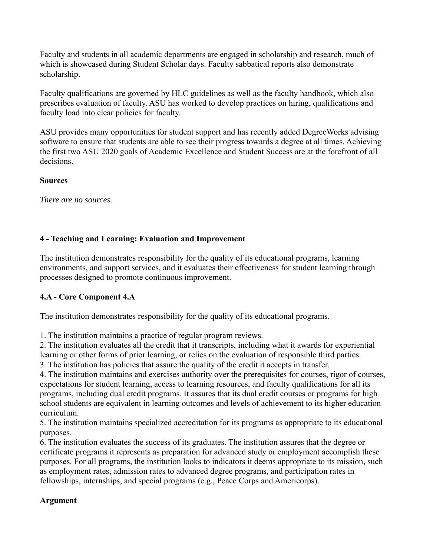Faculty and students in all academic departments are engaged in scholarship and research, much of which is showcased during Student Scholar days. Faculty sabbatical reports also demonstrate scholarship.

Faculty qualifications are governed by HLC guidelines as well as the faculty handbook, which also prescribes evaluation of faculty. ASU has worked to develop practices on hiring, qualifications and faculty load into clear policies for faculty.

ASU provides many opportunities for student support and has recently added DegreeWorks advising software to ensure that students are able to see their progress towards a degree at all times. Achieving the first two ASU 2020 goals of Academic Excellence and Student Success are at the forefront of all decisions.

### **Sources**

*There are no sources.*

## **4 - Teaching and Learning: Evaluation and Improvement**

The institution demonstrates responsibility for the quality of its educational programs, learning environments, and support services, and it evaluates their effectiveness for student learning through processes designed to promote continuous improvement.

## **4.A - Core Component 4.A**

The institution demonstrates responsibility for the quality of its educational programs.

1. The institution maintains a practice of regular program reviews.

2. The institution evaluates all the credit that it transcripts, including what it awards for experiential learning or other forms of prior learning, or relies on the evaluation of responsible third parties.

3. The institution has policies that assure the quality of the credit it accepts in transfer.

4. The institution maintains and exercises authority over the prerequisites for courses, rigor of courses, expectations for student learning, access to learning resources, and faculty qualifications for all its programs, including dual credit programs. It assures that its dual credit courses or programs for high school students are equivalent in learning outcomes and levels of achievement to its higher education curriculum.

5. The institution maintains specialized accreditation for its programs as appropriate to its educational purposes.

6. The institution evaluates the success of its graduates. The institution assures that the degree or certificate programs it represents as preparation for advanced study or employment accomplish these purposes. For all programs, the institution looks to indicators it deems appropriate to its mission, such as employment rates, admission rates to advanced degree programs, and participation rates in fellowships, internships, and special programs (e.g., Peace Corps and Americorps).

## **Argument**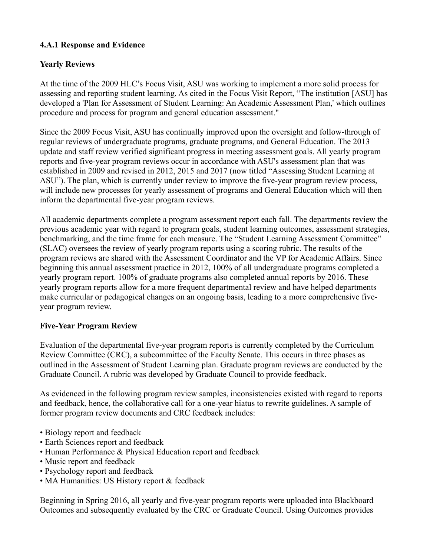## **4.A.1 Response and Evidence**

## **Yearly Reviews**

At the time of the 2009 HLC's Focus Visit, ASU was working to implement a more solid process for assessing and reporting student learning. As cited in the Focus Visit Report, "The institution [ASU] has developed a 'Plan for Assessment of Student Learning: An Academic Assessment Plan,' which outlines procedure and process for program and general education assessment."

Since the 2009 Focus Visit, ASU has continually improved upon the oversight and follow-through of regular reviews of undergraduate programs, graduate programs, and General Education. The 2013 update and staff review verified significant progress in meeting assessment goals. All yearly program reports and five-year program reviews occur in accordance with ASU's assessment plan that was established in 2009 and revised in 2012, 2015 and 2017 (now titled "Assessing Student Learning at ASU"). The plan, which is currently under review to improve the five-year program review process, will include new processes for yearly assessment of programs and General Education which will then inform the departmental five-year program reviews.

All academic departments complete a program assessment report each fall. The departments review the previous academic year with regard to program goals, student learning outcomes, assessment strategies, benchmarking, and the time frame for each measure. The "Student Learning Assessment Committee" (SLAC) oversees the review of yearly program reports using a scoring rubric. The results of the program reviews are shared with the Assessment Coordinator and the VP for Academic Affairs. Since beginning this annual assessment practice in 2012, 100% of all undergraduate programs completed a yearly program report. 100% of graduate programs also completed annual reports by 2016. These yearly program reports allow for a more frequent departmental review and have helped departments make curricular or pedagogical changes on an ongoing basis, leading to a more comprehensive fiveyear program review.

## **Five-Year Program Review**

Evaluation of the departmental five-year program reports is currently completed by the Curriculum Review Committee (CRC), a subcommittee of the Faculty Senate. This occurs in three phases as outlined in the Assessment of Student Learning plan. Graduate program reviews are conducted by the Graduate Council. A rubric was developed by Graduate Council to provide feedback.

As evidenced in the following program review samples, inconsistencies existed with regard to reports and feedback, hence, the collaborative call for a one-year hiatus to rewrite guidelines. A sample of former program review documents and CRC feedback includes:

- Biology report and feedback
- Earth Sciences report and feedback
- Human Performance & Physical Education report and feedback
- Music report and feedback
- Psychology report and feedback
- MA Humanities: US History report & feedback

Beginning in Spring 2016, all yearly and five-year program reports were uploaded into Blackboard Outcomes and subsequently evaluated by the CRC or Graduate Council. Using Outcomes provides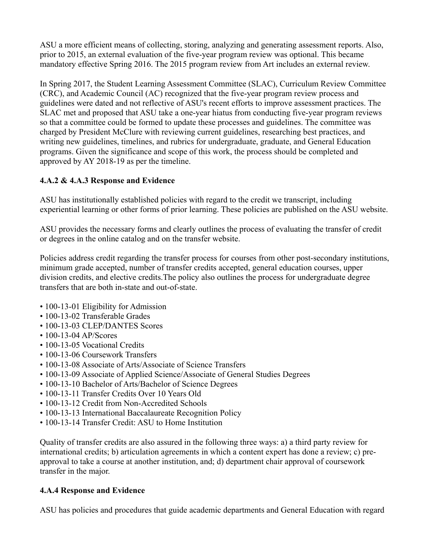ASU a more efficient means of collecting, storing, analyzing and generating assessment reports. Also, prior to 2015, an external evaluation of the five-year program review was optional. This became mandatory effective Spring 2016. The 2015 program review from Art includes an external review.

In Spring 2017, the Student Learning Assessment Committee (SLAC), Curriculum Review Committee (CRC), and Academic Council (AC) recognized that the five-year program review process and guidelines were dated and not reflective of ASU's recent efforts to improve assessment practices. The SLAC met and proposed that ASU take a one-year hiatus from conducting five-year program reviews so that a committee could be formed to update these processes and guidelines. The committee was charged by President McClure with reviewing current guidelines, researching best practices, and writing new guidelines, timelines, and rubrics for undergraduate, graduate, and General Education programs. Given the significance and scope of this work, the process should be completed and approved by AY 2018-19 as per the timeline.

# **4.A.2 & 4.A.3 Response and Evidence**

ASU has institutionally established policies with regard to the credit we transcript, including experiential learning or other forms of prior learning. These policies are published on the ASU website.

ASU provides the necessary forms and clearly outlines the process of evaluating the transfer of credit or degrees in the online catalog and on the transfer website.

Policies address credit regarding the transfer process for courses from other post-secondary institutions, minimum grade accepted, number of transfer credits accepted, general education courses, upper division credits, and elective credits.The policy also outlines the process for undergraduate degree transfers that are both in-state and out-of-state.

- 100-13-01 Eligibility for Admission
- 100-13-02 Transferable Grades
- 100-13-03 CLEP/DANTES Scores
- 100-13-04 AP/Scores
- 100-13-05 Vocational Credits
- 100-13-06 Coursework Transfers
- 100-13-08 Associate of Arts/Associate of Science Transfers
- 100-13-09 Associate of Applied Science/Associate of General Studies Degrees
- 100-13-10 Bachelor of Arts/Bachelor of Science Degrees
- 100-13-11 Transfer Credits Over 10 Years Old
- 100-13-12 Credit from Non-Accredited Schools
- 100-13-13 International Baccalaureate Recognition Policy
- 100-13-14 Transfer Credit: ASU to Home Institution

Quality of transfer credits are also assured in the following three ways: a) a third party review for international credits; b) articulation agreements in which a content expert has done a review; c) preapproval to take a course at another institution, and; d) department chair approval of coursework transfer in the major.

## **4.A.4 Response and Evidence**

ASU has policies and procedures that guide academic departments and General Education with regard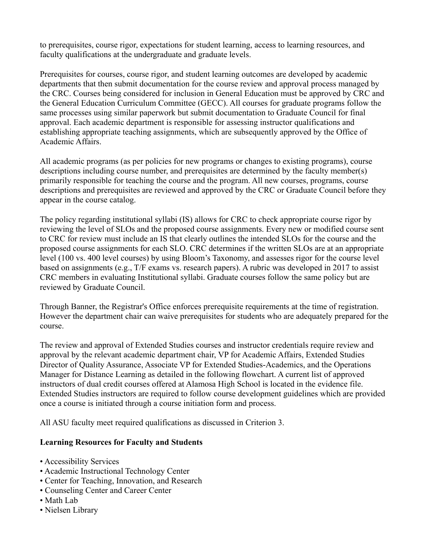to prerequisites, course rigor, expectations for student learning, access to learning resources, and faculty qualifications at the undergraduate and graduate levels.

Prerequisites for courses, course rigor, and student learning outcomes are developed by academic departments that then submit documentation for the course review and approval process managed by the CRC. Courses being considered for inclusion in General Education must be approved by CRC and the General Education Curriculum Committee (GECC). All courses for graduate programs follow the same processes using similar paperwork but submit documentation to Graduate Council for final approval. Each academic department is responsible for assessing instructor qualifications and establishing appropriate teaching assignments, which are subsequently approved by the Office of Academic Affairs.

All academic programs (as per policies for new programs or changes to existing programs), course descriptions including course number, and prerequisites are determined by the faculty member(s) primarily responsible for teaching the course and the program. All new courses, programs, course descriptions and prerequisites are reviewed and approved by the CRC or Graduate Council before they appear in the course catalog.

The policy regarding institutional syllabi (IS) allows for CRC to check appropriate course rigor by reviewing the level of SLOs and the proposed course assignments. Every new or modified course sent to CRC for review must include an IS that clearly outlines the intended SLOs for the course and the proposed course assignments for each SLO. CRC determines if the written SLOs are at an appropriate level (100 vs. 400 level courses) by using Bloom's Taxonomy, and assesses rigor for the course level based on assignments (e.g., T/F exams vs. research papers). A rubric was developed in 2017 to assist CRC members in evaluating Institutional syllabi. Graduate courses follow the same policy but are reviewed by Graduate Council.

Through Banner, the Registrar's Office enforces prerequisite requirements at the time of registration. However the department chair can waive prerequisites for students who are adequately prepared for the course.

The review and approval of Extended Studies courses and instructor credentials require review and approval by the relevant academic department chair, VP for Academic Affairs, Extended Studies Director of Quality Assurance, Associate VP for Extended Studies-Academics, and the Operations Manager for Distance Learning as detailed in the following flowchart. A current list of approved instructors of dual credit courses offered at Alamosa High School is located in the evidence file. Extended Studies instructors are required to follow course development guidelines which are provided once a course is initiated through a course initiation form and process.

All ASU faculty meet required qualifications as discussed in Criterion 3.

## **Learning Resources for Faculty and Students**

- Accessibility Services
- Academic Instructional Technology Center
- Center for Teaching, Innovation, and Research
- Counseling Center and Career Center
- Math Lab
- Nielsen Library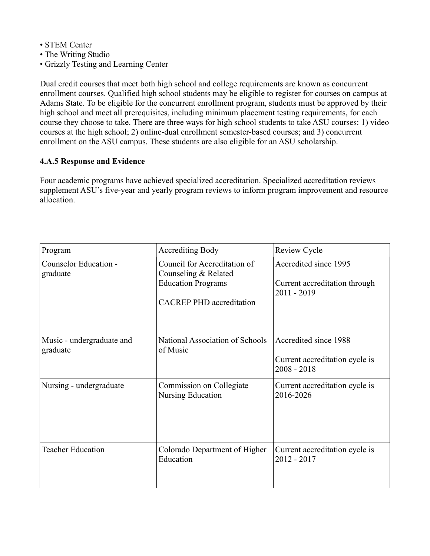- STEM Center
- The Writing Studio
- Grizzly Testing and Learning Center

Dual credit courses that meet both high school and college requirements are known as concurrent enrollment courses. Qualified high school students may be eligible to register for courses on campus at Adams State. To be eligible for the concurrent enrollment program, students must be approved by their high school and meet all prerequisites, including minimum placement testing requirements, for each course they choose to take. There are three ways for high school students to take ASU courses: 1) video courses at the high school; 2) online-dual enrollment semester-based courses; and 3) concurrent enrollment on the ASU campus. These students are also eligible for an ASU scholarship.

## **4.A.5 Response and Evidence**

Four academic programs have achieved specialized accreditation. Specialized accreditation reviews supplement ASU's five-year and yearly program reviews to inform program improvement and resource allocation.

| Program                               | <b>Accrediting Body</b>                                                                                              | Review Cycle                                                             |
|---------------------------------------|----------------------------------------------------------------------------------------------------------------------|--------------------------------------------------------------------------|
| Counselor Education -<br>graduate     | Council for Accreditation of<br>Counseling & Related<br><b>Education Programs</b><br><b>CACREP PHD</b> accreditation | Accredited since 1995<br>Current accreditation through<br>2011 - 2019    |
| Music - undergraduate and<br>graduate | National Association of Schools<br>of Music                                                                          | Accredited since 1988<br>Current accreditation cycle is<br>$2008 - 2018$ |
| Nursing - undergraduate               | Commission on Collegiate<br>Nursing Education                                                                        | Current accreditation cycle is<br>2016-2026                              |
| <b>Teacher Education</b>              | Colorado Department of Higher<br>Education                                                                           | Current accreditation cycle is<br>$2012 - 2017$                          |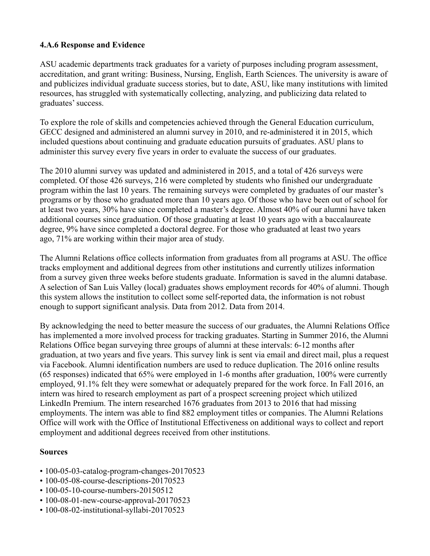### **4.A.6 Response and Evidence**

ASU academic departments track graduates for a variety of purposes including program assessment, accreditation, and grant writing: Business, Nursing, English, Earth Sciences. The university is aware of and publicizes individual graduate success stories, but to date, ASU, like many institutions with limited resources, has struggled with systematically collecting, analyzing, and publicizing data related to graduates' success.

To explore the role of skills and competencies achieved through the General Education curriculum, GECC designed and administered an alumni survey in 2010, and re-administered it in 2015, which included questions about continuing and graduate education pursuits of graduates. ASU plans to administer this survey every five years in order to evaluate the success of our graduates.

The 2010 alumni survey was updated and administered in 2015, and a total of 426 surveys were completed. Of those 426 surveys, 216 were completed by students who finished our undergraduate program within the last 10 years. The remaining surveys were completed by graduates of our master's programs or by those who graduated more than 10 years ago. Of those who have been out of school for at least two years, 30% have since completed a master's degree. Almost 40% of our alumni have taken additional courses since graduation. Of those graduating at least 10 years ago with a baccalaureate degree, 9% have since completed a doctoral degree. For those who graduated at least two years ago, 71% are working within their major area of study.

The Alumni Relations office collects information from graduates from all programs at ASU. The office tracks employment and additional degrees from other institutions and currently utilizes information from a survey given three weeks before students graduate. Information is saved in the alumni database. A selection of San Luis Valley (local) graduates shows employment records for 40% of alumni. Though this system allows the institution to collect some self-reported data, the information is not robust enough to support significant analysis. Data from 2012. Data from 2014.

By acknowledging the need to better measure the success of our graduates, the Alumni Relations Office has implemented a more involved process for tracking graduates. Starting in Summer 2016, the Alumni Relations Office began surveying three groups of alumni at these intervals: 6-12 months after graduation, at two years and five years. This survey link is sent via email and direct mail, plus a request via Facebook. Alumni identification numbers are used to reduce duplication. The 2016 online results (65 responses) indicated that 65% were employed in 1-6 months after graduation, 100% were currently employed, 91.1% felt they were somewhat or adequately prepared for the work force. In Fall 2016, an intern was hired to research employment as part of a prospect screening project which utilized LinkedIn Premium. The intern researched 1676 graduates from 2013 to 2016 that had missing employments. The intern was able to find 882 employment titles or companies. The Alumni Relations Office will work with the Office of Institutional Effectiveness on additional ways to collect and report employment and additional degrees received from other institutions.

## **Sources**

- 100-05-03-catalog-program-changes-20170523
- 100-05-08-course-descriptions-20170523
- 100-05-10-course-numbers-20150512
- 100-08-01-new-course-approval-20170523
- 100-08-02-institutional-syllabi-20170523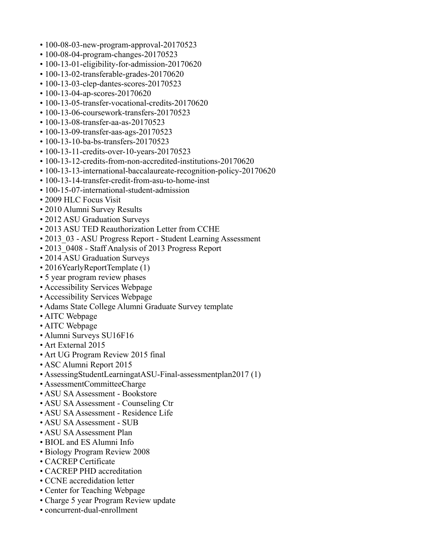- 100-08-03-new-program-approval-20170523
- 100-08-04-program-changes-20170523
- 100-13-01-eligibility-for-admission-20170620
- 100-13-02-transferable-grades-20170620
- 100-13-03-clep-dantes-scores-20170523
- 100-13-04-ap-scores-20170620
- 100-13-05-transfer-vocational-credits-20170620
- 100-13-06-coursework-transfers-20170523
- 100-13-08-transfer-aa-as-20170523
- 100-13-09-transfer-aas-ags-20170523
- 100-13-10-ba-bs-transfers-20170523
- 100-13-11-credits-over-10-vears-20170523
- 100-13-12-credits-from-non-accredited-institutions-20170620
- 100-13-13-international-baccalaureate-recognition-policy-20170620
- 100-13-14-transfer-credit-from-asu-to-home-inst
- 100-15-07-international-student-admission
- 2009 HLC Focus Visit
- 2010 Alumni Survey Results
- 2012 ASU Graduation Surveys
- 2013 ASU TED Reauthorization Letter from CCHE
- 2013 03 ASU Progress Report Student Learning Assessment
- 2013 0408 Staff Analysis of 2013 Progress Report
- 2014 ASU Graduation Surveys
- 2016 Yearly Report Template (1)
- 5 year program review phases
- Accessibility Services Webpage
- Accessibility Services Webpage
- Adams State College Alumni Graduate Survey template
- AITC Webpage
- AITC Webpage
- Alumni Surveys SU16F16
- Art External 2015
- Art UG Program Review 2015 final
- ASC Alumni Report 2015
- AssessingStudentLearningatASU-Final-assessmentplan2017 (1)
- AssessmentCommitteeCharge
- ASU SA Assessment Bookstore
- ASU SA Assessment Counseling Ctr
- ASU SA Assessment Residence Life
- ASU SA Assessment SUB
- ASU SA Assessment Plan
- BIOL and ES Alumni Info
- Biology Program Review 2008
- CACREP Certificate
- CACREP PHD accreditation
- CCNE accredidation letter
- Center for Teaching Webpage
- Charge 5 year Program Review update
- concurrent-dual-enrollment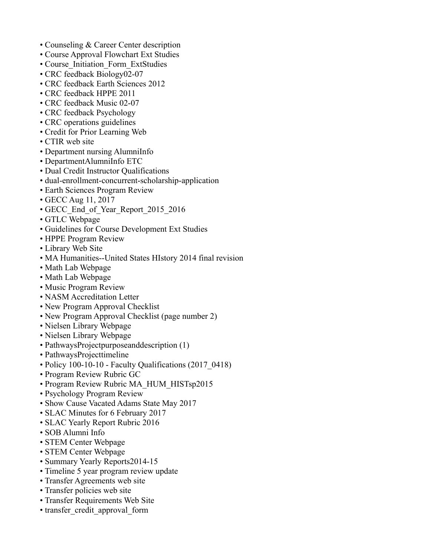- Counseling & Career Center description
- Course Approval Flowchart Ext Studies
- Course\_Initiation\_Form\_ExtStudies
- CRC feedback Biology02-07
- CRC feedback Earth Sciences 2012
- CRC feedback HPPE 2011
- CRC feedback Music 02-07
- CRC feedback Psychology
- CRC operations guidelines
- Credit for Prior Learning Web
- CTIR web site
- Department nursing AlumniInfo
- DepartmentAlumniInfo ETC
- Dual Credit Instructor Qualifications
- dual-enrollment-concurrent-scholarship-application
- Earth Sciences Program Review
- GECC Aug 11, 2017
- GECC\_End\_of\_Year\_Report\_2015\_2016
- GTLC Webpage
- Guidelines for Course Development Ext Studies
- HPPE Program Review
- Library Web Site
- MA Humanities--United States HIstory 2014 final revision
- Math Lab Webpage
- Math Lab Webpage
- Music Program Review
- NASM Accreditation Letter
- New Program Approval Checklist
- New Program Approval Checklist (page number 2)
- Nielsen Library Webpage
- Nielsen Library Webpage
- PathwaysProjectpurposeanddescription (1)
- PathwaysProjecttimeline
- Policy 100-10-10 Faculty Qualifications (2017\_0418)
- Program Review Rubric GC
- Program Review Rubric MA\_HUM\_HISTsp2015
- Psychology Program Review
- Show Cause Vacated Adams State May 2017
- SLAC Minutes for 6 February 2017
- SLAC Yearly Report Rubric 2016
- SOB Alumni Info
- STEM Center Webpage
- STEM Center Webpage
- Summary Yearly Reports2014-15
- Timeline 5 year program review update
- Transfer Agreements web site
- Transfer policies web site
- Transfer Requirements Web Site
- transfer credit approval form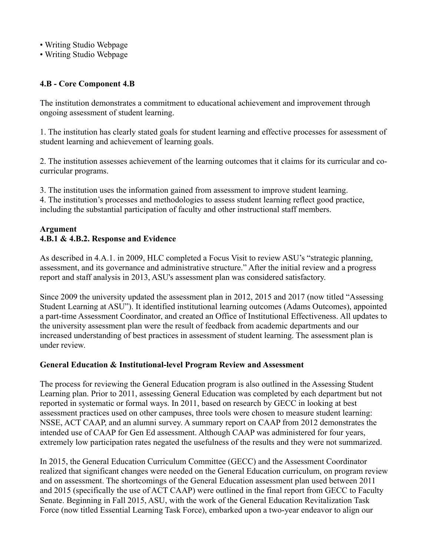- Writing Studio Webpage
- Writing Studio Webpage

### **4.B - Core Component 4.B**

The institution demonstrates a commitment to educational achievement and improvement through ongoing assessment of student learning.

1. The institution has clearly stated goals for student learning and effective processes for assessment of student learning and achievement of learning goals.

2. The institution assesses achievement of the learning outcomes that it claims for its curricular and cocurricular programs.

3. The institution uses the information gained from assessment to improve student learning.

4. The institution's processes and methodologies to assess student learning reflect good practice, including the substantial participation of faculty and other instructional staff members.

### **Argument 4.B.1 & 4.B.2. Response and Evidence**

As described in 4.A.1. in 2009, HLC completed a Focus Visit to review ASU's "strategic planning, assessment, and its governance and administrative structure." After the initial review and a progress report and staff analysis in 2013, ASU's assessment plan was considered satisfactory.

Since 2009 the university updated the assessment plan in 2012, 2015 and 2017 (now titled "Assessing Student Learning at ASU"). It identified institutional learning outcomes (Adams Outcomes), appointed a part-time Assessment Coordinator, and created an Office of Institutional Effectiveness. All updates to the university assessment plan were the result of feedback from academic departments and our increased understanding of best practices in assessment of student learning. The assessment plan is under review.

## **General Education & Institutional-level Program Review and Assessment**

The process for reviewing the General Education program is also outlined in the Assessing Student Learning plan. Prior to 2011, assessing General Education was completed by each department but not reported in systematic or formal ways. In 2011, based on research by GECC in looking at best assessment practices used on other campuses, three tools were chosen to measure student learning: NSSE, ACT CAAP, and an alumni survey. A summary report on CAAP from 2012 demonstrates the intended use of CAAP for Gen Ed assessment. Although CAAP was administered for four years, extremely low participation rates negated the usefulness of the results and they were not summarized.

In 2015, the General Education Curriculum Committee (GECC) and the Assessment Coordinator realized that significant changes were needed on the General Education curriculum, on program review and on assessment. The shortcomings of the General Education assessment plan used between 2011 and 2015 (specifically the use of ACT CAAP) were outlined in the final report from GECC to Faculty Senate. Beginning in Fall 2015, ASU, with the work of the General Education Revitalization Task Force (now titled Essential Learning Task Force), embarked upon a two-year endeavor to align our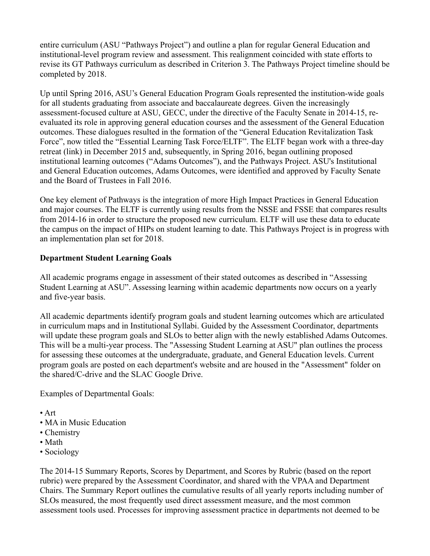entire curriculum (ASU "Pathways Project") and outline a plan for regular General Education and institutional-level program review and assessment. This realignment coincided with state efforts to revise its GT Pathways curriculum as described in Criterion 3. The Pathways Project timeline should be completed by 2018.

Up until Spring 2016, ASU's General Education Program Goals represented the institution-wide goals for all students graduating from associate and baccalaureate degrees. Given the increasingly assessment-focused culture at ASU, GECC, under the directive of the Faculty Senate in 2014-15, reevaluated its role in approving general education courses and the assessment of the General Education outcomes. These dialogues resulted in the formation of the "General Education Revitalization Task Force", now titled the "Essential Learning Task Force/ELTF". The ELTF began work with a three-day retreat (link) in December 2015 and, subsequently, in Spring 2016, began outlining proposed institutional learning outcomes ("Adams Outcomes"), and the Pathways Project. ASU's Institutional and General Education outcomes, Adams Outcomes, were identified and approved by Faculty Senate and the Board of Trustees in Fall 2016.

One key element of Pathways is the integration of more High Impact Practices in General Education and major courses. The ELTF is currently using results from the NSSE and FSSE that compares results from 2014-16 in order to structure the proposed new curriculum. ELTF will use these data to educate the campus on the impact of HIPs on student learning to date. This Pathways Project is in progress with an implementation plan set for 2018.

## **Department Student Learning Goals**

All academic programs engage in assessment of their stated outcomes as described in "Assessing Student Learning at ASU". Assessing learning within academic departments now occurs on a yearly and five-year basis.

All academic departments identify program goals and student learning outcomes which are articulated in curriculum maps and in Institutional Syllabi. Guided by the Assessment Coordinator, departments will update these program goals and SLOs to better align with the newly established Adams Outcomes. This will be a multi-year process. The "Assessing Student Learning at ASU" plan outlines the process for assessing these outcomes at the undergraduate, graduate, and General Education levels. Current program goals are posted on each department's website and are housed in the "Assessment" folder on the shared/C-drive and the SLAC Google Drive.

Examples of Departmental Goals:

- Art
- MA in Music Education
- Chemistry
- Math
- Sociology

The 2014-15 Summary Reports, Scores by Department, and Scores by Rubric (based on the report rubric) were prepared by the Assessment Coordinator, and shared with the VPAA and Department Chairs. The Summary Report outlines the cumulative results of all yearly reports including number of SLOs measured, the most frequently used direct assessment measure, and the most common assessment tools used. Processes for improving assessment practice in departments not deemed to be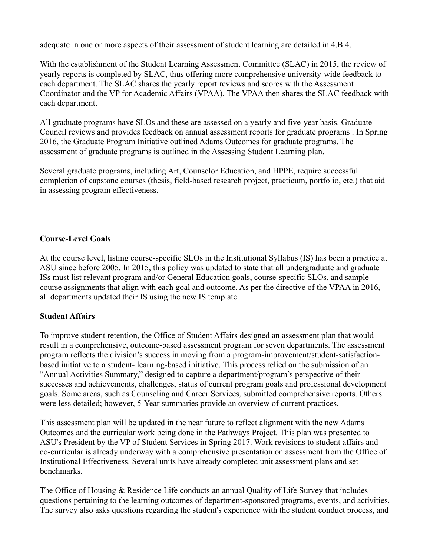adequate in one or more aspects of their assessment of student learning are detailed in 4.B.4.

With the establishment of the Student Learning Assessment Committee (SLAC) in 2015, the review of yearly reports is completed by SLAC, thus offering more comprehensive university-wide feedback to each department. The SLAC shares the yearly report reviews and scores with the Assessment Coordinator and the VP for Academic Affairs (VPAA). The VPAA then shares the SLAC feedback with each department.

All graduate programs have SLOs and these are assessed on a yearly and five-year basis. Graduate Council reviews and provides feedback on annual assessment reports for graduate programs . In Spring 2016, the Graduate Program Initiative outlined Adams Outcomes for graduate programs. The assessment of graduate programs is outlined in the Assessing Student Learning plan.

Several graduate programs, including Art, Counselor Education, and HPPE, require successful completion of capstone courses (thesis, field-based research project, practicum, portfolio, etc.) that aid in assessing program effectiveness.

## **Course-Level Goals**

At the course level, listing course-specific SLOs in the Institutional Syllabus (IS) has been a practice at ASU since before 2005. In 2015, this policy was updated to state that all undergraduate and graduate ISs must list relevant program and/or General Education goals, course-specific SLOs, and sample course assignments that align with each goal and outcome. As per the directive of the VPAA in 2016, all departments updated their IS using the new IS template.

## **Student Affairs**

To improve student retention, the Office of Student Affairs designed an assessment plan that would result in a comprehensive, outcome-based assessment program for seven departments. The assessment program reflects the division's success in moving from a program-improvement/student-satisfactionbased initiative to a student- learning-based initiative. This process relied on the submission of an "Annual Activities Summary," designed to capture a department/program's perspective of their successes and achievements, challenges, status of current program goals and professional development goals. Some areas, such as Counseling and Career Services, submitted comprehensive reports. Others were less detailed; however, 5-Year summaries provide an overview of current practices.

This assessment plan will be updated in the near future to reflect alignment with the new Adams Outcomes and the curricular work being done in the Pathways Project. This plan was presented to ASU's President by the VP of Student Services in Spring 2017. Work revisions to student affairs and co-curricular is already underway with a comprehensive presentation on assessment from the Office of Institutional Effectiveness. Several units have already completed unit assessment plans and set benchmarks.

The Office of Housing & Residence Life conducts an annual Quality of Life Survey that includes questions pertaining to the learning outcomes of department-sponsored programs, events, and activities. The survey also asks questions regarding the student's experience with the student conduct process, and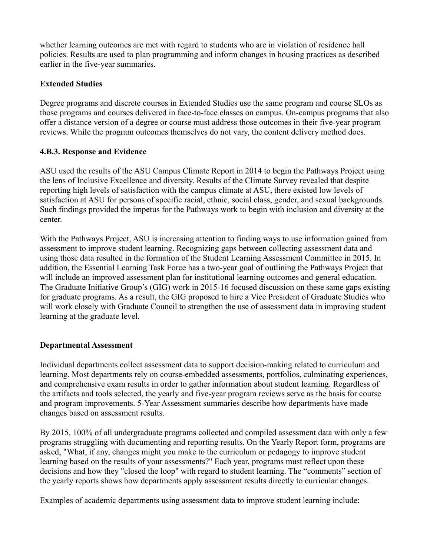whether learning outcomes are met with regard to students who are in violation of residence hall policies. Results are used to plan programming and inform changes in housing practices as described earlier in the five-year summaries.

## **Extended Studies**

Degree programs and discrete courses in Extended Studies use the same program and course SLOs as those programs and courses delivered in face-to-face classes on campus. On-campus programs that also offer a distance version of a degree or course must address those outcomes in their five-year program reviews. While the program outcomes themselves do not vary, the content delivery method does.

## **4.B.3. Response and Evidence**

ASU used the results of the ASU Campus Climate Report in 2014 to begin the Pathways Project using the lens of Inclusive Excellence and diversity. Results of the Climate Survey revealed that despite reporting high levels of satisfaction with the campus climate at ASU, there existed low levels of satisfaction at ASU for persons of specific racial, ethnic, social class, gender, and sexual backgrounds. Such findings provided the impetus for the Pathways work to begin with inclusion and diversity at the center.

With the Pathways Project, ASU is increasing attention to finding ways to use information gained from assessment to improve student learning. Recognizing gaps between collecting assessment data and using those data resulted in the formation of the Student Learning Assessment Committee in 2015. In addition, the Essential Learning Task Force has a two-year goal of outlining the Pathways Project that will include an improved assessment plan for institutional learning outcomes and general education. The Graduate Initiative Group's (GIG) work in 2015-16 focused discussion on these same gaps existing for graduate programs. As a result, the GIG proposed to hire a Vice President of Graduate Studies who will work closely with Graduate Council to strengthen the use of assessment data in improving student learning at the graduate level.

## **Departmental Assessment**

Individual departments collect assessment data to support decision-making related to curriculum and learning. Most departments rely on course-embedded assessments, portfolios, culminating experiences, and comprehensive exam results in order to gather information about student learning. Regardless of the artifacts and tools selected, the yearly and five-year program reviews serve as the basis for course and program improvements. 5-Year Assessment summaries describe how departments have made changes based on assessment results.

By 2015, 100% of all undergraduate programs collected and compiled assessment data with only a few programs struggling with documenting and reporting results. On the Yearly Report form, programs are asked, "What, if any, changes might you make to the curriculum or pedagogy to improve student learning based on the results of your assessments?" Each year, programs must reflect upon these decisions and how they "closed the loop" with regard to student learning. The "comments" section of the yearly reports shows how departments apply assessment results directly to curricular changes.

Examples of academic departments using assessment data to improve student learning include: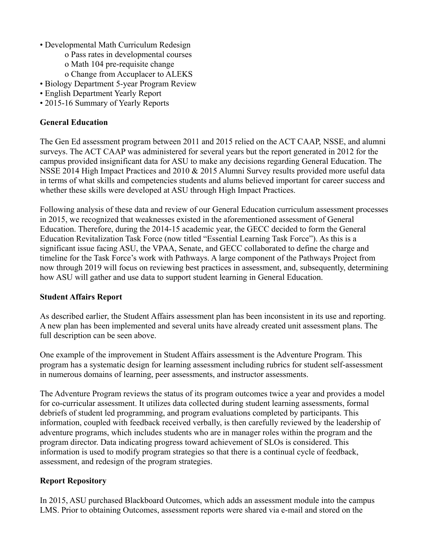- Developmental Math Curriculum Redesign
	- o Pass rates in developmental courses
		- o Math 104 pre-requisite change
	- o Change from Accuplacer to ALEKS
- Biology Department 5-year Program Review
- English Department Yearly Report
- 2015-16 Summary of Yearly Reports

## **General Education**

The Gen Ed assessment program between 2011 and 2015 relied on the ACT CAAP, NSSE, and alumni surveys. The ACT CAAP was administered for several years but the report generated in 2012 for the campus provided insignificant data for ASU to make any decisions regarding General Education. The NSSE 2014 High Impact Practices and 2010 & 2015 Alumni Survey results provided more useful data in terms of what skills and competencies students and alums believed important for career success and whether these skills were developed at ASU through High Impact Practices.

Following analysis of these data and review of our General Education curriculum assessment processes in 2015, we recognized that weaknesses existed in the aforementioned assessment of General Education. Therefore, during the 2014-15 academic year, the GECC decided to form the General Education Revitalization Task Force (now titled "Essential Learning Task Force"). As this is a significant issue facing ASU, the VPAA, Senate, and GECC collaborated to define the charge and timeline for the Task Force's work with Pathways. A large component of the Pathways Project from now through 2019 will focus on reviewing best practices in assessment, and, subsequently, determining how ASU will gather and use data to support student learning in General Education.

## **Student Affairs Report**

As described earlier, the Student Affairs assessment plan has been inconsistent in its use and reporting. A new plan has been implemented and several units have already created unit assessment plans. The full description can be seen above.

One example of the improvement in Student Affairs assessment is the Adventure Program. This program has a systematic design for learning assessment including rubrics for student self-assessment in numerous domains of learning, peer assessments, and instructor assessments.

The Adventure Program reviews the status of its program outcomes twice a year and provides a model for co-curricular assessment. It utilizes data collected during student learning assessments, formal debriefs of student led programming, and program evaluations completed by participants. This information, coupled with feedback received verbally, is then carefully reviewed by the leadership of adventure programs, which includes students who are in manager roles within the program and the program director. Data indicating progress toward achievement of SLOs is considered. This information is used to modify program strategies so that there is a continual cycle of feedback, assessment, and redesign of the program strategies.

# **Report Repository**

In 2015, ASU purchased Blackboard Outcomes, which adds an assessment module into the campus LMS. Prior to obtaining Outcomes, assessment reports were shared via e-mail and stored on the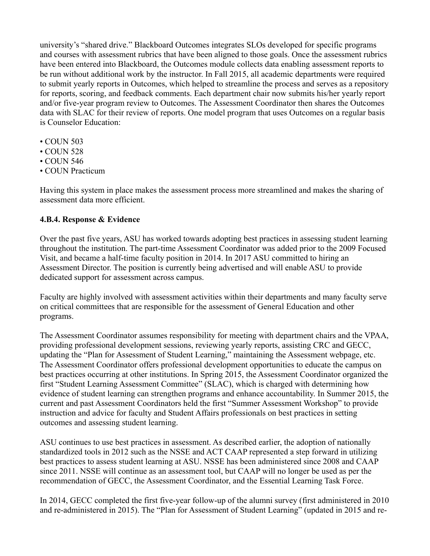university's "shared drive." Blackboard Outcomes integrates SLOs developed for specific programs and courses with assessment rubrics that have been aligned to those goals. Once the assessment rubrics have been entered into Blackboard, the Outcomes module collects data enabling assessment reports to be run without additional work by the instructor. In Fall 2015, all academic departments were required to submit yearly reports in Outcomes, which helped to streamline the process and serves as a repository for reports, scoring, and feedback comments. Each department chair now submits his/her yearly report and/or five-year program review to Outcomes. The Assessment Coordinator then shares the Outcomes data with SLAC for their review of reports. One model program that uses Outcomes on a regular basis is Counselor Education:

- COUN 503
- COUN 528
- COUN 546
- COUN Practicum

Having this system in place makes the assessment process more streamlined and makes the sharing of assessment data more efficient.

## **4.B.4. Response & Evidence**

Over the past five years, ASU has worked towards adopting best practices in assessing student learning throughout the institution. The part-time Assessment Coordinator was added prior to the 2009 Focused Visit, and became a half-time faculty position in 2014. In 2017 ASU committed to hiring an Assessment Director. The position is currently being advertised and will enable ASU to provide dedicated support for assessment across campus.

Faculty are highly involved with assessment activities within their departments and many faculty serve on critical committees that are responsible for the assessment of General Education and other programs.

The Assessment Coordinator assumes responsibility for meeting with department chairs and the VPAA, providing professional development sessions, reviewing yearly reports, assisting CRC and GECC, updating the "Plan for Assessment of Student Learning," maintaining the Assessment webpage, etc. The Assessment Coordinator offers professional development opportunities to educate the campus on best practices occurring at other institutions. In Spring 2015, the Assessment Coordinator organized the first "Student Learning Assessment Committee" (SLAC), which is charged with determining how evidence of student learning can strengthen programs and enhance accountability. In Summer 2015, the current and past Assessment Coordinators held the first "Summer Assessment Workshop" to provide instruction and advice for faculty and Student Affairs professionals on best practices in setting outcomes and assessing student learning.

ASU continues to use best practices in assessment. As described earlier, the adoption of nationally standardized tools in 2012 such as the NSSE and ACT CAAP represented a step forward in utilizing best practices to assess student learning at ASU. NSSE has been administered since 2008 and CAAP since 2011. NSSE will continue as an assessment tool, but CAAP will no longer be used as per the recommendation of GECC, the Assessment Coordinator, and the Essential Learning Task Force.

In 2014, GECC completed the first five-year follow-up of the alumni survey (first administered in 2010 and re-administered in 2015). The "Plan for Assessment of Student Learning" (updated in 2015 and re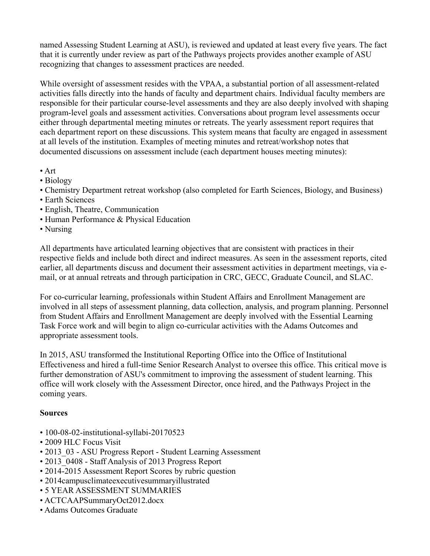named Assessing Student Learning at ASU), is reviewed and updated at least every five years. The fact that it is currently under review as part of the Pathways projects provides another example of ASU recognizing that changes to assessment practices are needed.

While oversight of assessment resides with the VPAA, a substantial portion of all assessment-related activities falls directly into the hands of faculty and department chairs. Individual faculty members are responsible for their particular course-level assessments and they are also deeply involved with shaping program-level goals and assessment activities. Conversations about program level assessments occur either through departmental meeting minutes or retreats. The yearly assessment report requires that each department report on these discussions. This system means that faculty are engaged in assessment at all levels of the institution. Examples of meeting minutes and retreat/workshop notes that documented discussions on assessment include (each department houses meeting minutes):

- Art
- Biology
- Chemistry Department retreat workshop (also completed for Earth Sciences, Biology, and Business)
- Earth Sciences
- English, Theatre, Communication
- Human Performance & Physical Education
- Nursing

All departments have articulated learning objectives that are consistent with practices in their respective fields and include both direct and indirect measures. As seen in the assessment reports, cited earlier, all departments discuss and document their assessment activities in department meetings, via email, or at annual retreats and through participation in CRC, GECC, Graduate Council, and SLAC.

For co-curricular learning, professionals within Student Affairs and Enrollment Management are involved in all steps of assessment planning, data collection, analysis, and program planning. Personnel from Student Affairs and Enrollment Management are deeply involved with the Essential Learning Task Force work and will begin to align co-curricular activities with the Adams Outcomes and appropriate assessment tools.

In 2015, ASU transformed the Institutional Reporting Office into the Office of Institutional Effectiveness and hired a full-time Senior Research Analyst to oversee this office. This critical move is further demonstration of ASU's commitment to improving the assessment of student learning. This office will work closely with the Assessment Director, once hired, and the Pathways Project in the coming years.

## **Sources**

- 100-08-02-institutional-syllabi-20170523
- 2009 HLC Focus Visit
- 2013 03 ASU Progress Report Student Learning Assessment
- 2013 0408 Staff Analysis of 2013 Progress Report
- 2014-2015 Assessment Report Scores by rubric question
- 2014campusclimateexecutivesummaryillustrated
- 5 YEAR ASSESSMENT SUMMARIES
- ACTCAAPSummaryOct2012.docx
- Adams Outcomes Graduate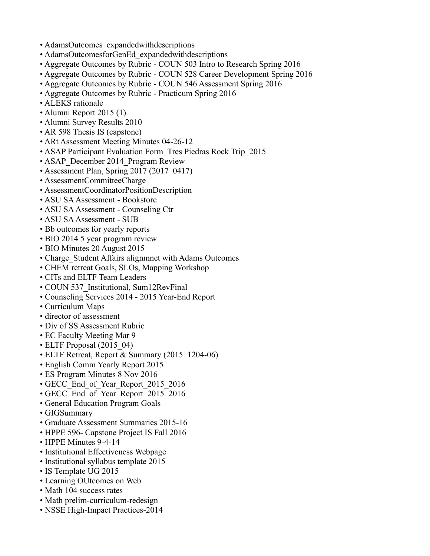- AdamsOutcomes\_expandedwithdescriptions
- AdamsOutcomesforGenEd\_expandedwithdescriptions
- Aggregate Outcomes by Rubric COUN 503 Intro to Research Spring 2016
- Aggregate Outcomes by Rubric COUN 528 Career Development Spring 2016
- Aggregate Outcomes by Rubric COUN 546 Assessment Spring 2016
- Aggregate Outcomes by Rubric Practicum Spring 2016
- ALEKS rationale
- Alumni Report 2015 (1)
- Alumni Survey Results 2010
- AR 598 Thesis IS (capstone)
- ARt Assessment Meeting Minutes 04-26-12
- ASAP Participant Evaluation Form Tres Piedras Rock Trip 2015
- ASAP December 2014 Program Review
- Assessment Plan, Spring 2017 (2017–0417)
- AssessmentCommitteeCharge
- AssessmentCoordinatorPositionDescription
- ASU SA Assessment Bookstore
- ASU SA Assessment Counseling Ctr
- ASU SA Assessment SUB
- Bb outcomes for yearly reports
- BIO 2014 5 year program review
- BIO Minutes 20 August 2015
- Charge Student Affairs alignmnet with Adams Outcomes
- CHEM retreat Goals, SLOs, Mapping Workshop
- CITs and ELTF Team Leaders
- COUN 537 Institutional, Sum12RevFinal
- Counseling Services 2014 2015 Year-End Report
- Curriculum Maps
- director of assessment
- Div of SS Assessment Rubric
- EC Faculty Meeting Mar 9
- ELTF Proposal (2015\_04)
- ELTF Retreat, Report & Summary (2015 1204-06)
- English Comm Yearly Report 2015
- ES Program Minutes 8 Nov 2016
- GECC\_End\_of\_Year\_Report\_2015\_2016
- GECC\_End\_of\_Year\_Report\_2015\_2016
- General Education Program Goals
- GIGSummary
- Graduate Assessment Summaries 2015-16
- HPPE 596- Capstone Project IS Fall 2016
- HPPE Minutes 9-4-14
- Institutional Effectiveness Webpage
- Institutional syllabus template 2015
- IS Template UG 2015
- Learning OUtcomes on Web
- Math 104 success rates
- Math prelim-curriculum-redesign
- NSSE High-Impact Practices-2014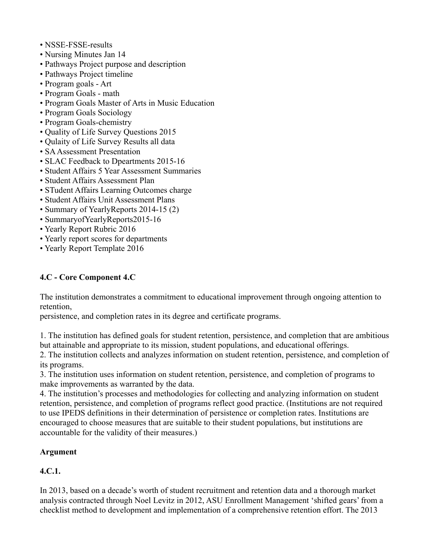- NSSE-FSSE-results
- Nursing Minutes Jan 14
- Pathways Project purpose and description
- Pathways Project timeline
- Program goals Art
- Program Goals math
- Program Goals Master of Arts in Music Education
- Program Goals Sociology
- Program Goals-chemistry
- Quality of Life Survey Questions 2015
- Qulaity of Life Survey Results all data
- SA Assessment Presentation
- SLAC Feedback to Dpeartments 2015-16
- Student Affairs 5 Year Assessment Summaries
- Student Affairs Assessment Plan
- STudent Affairs Learning Outcomes charge
- Student Affairs Unit Assessment Plans
- Summary of YearlyReports 2014-15 (2)
- SummaryofYearlyReports2015-16
- Yearly Report Rubric 2016
- Yearly report scores for departments
- Yearly Report Template 2016

## **4.C - Core Component 4.C**

The institution demonstrates a commitment to educational improvement through ongoing attention to retention,

persistence, and completion rates in its degree and certificate programs.

1. The institution has defined goals for student retention, persistence, and completion that are ambitious but attainable and appropriate to its mission, student populations, and educational offerings.

2. The institution collects and analyzes information on student retention, persistence, and completion of its programs.

3. The institution uses information on student retention, persistence, and completion of programs to make improvements as warranted by the data.

4. The institution's processes and methodologies for collecting and analyzing information on student retention, persistence, and completion of programs reflect good practice. (Institutions are not required to use IPEDS definitions in their determination of persistence or completion rates. Institutions are encouraged to choose measures that are suitable to their student populations, but institutions are accountable for the validity of their measures.)

## **Argument**

## **4.C.1.**

In 2013, based on a decade's worth of student recruitment and retention data and a thorough market analysis contracted through Noel Levitz in 2012, ASU Enrollment Management 'shifted gears' from a checklist method to development and implementation of a comprehensive retention effort. The 2013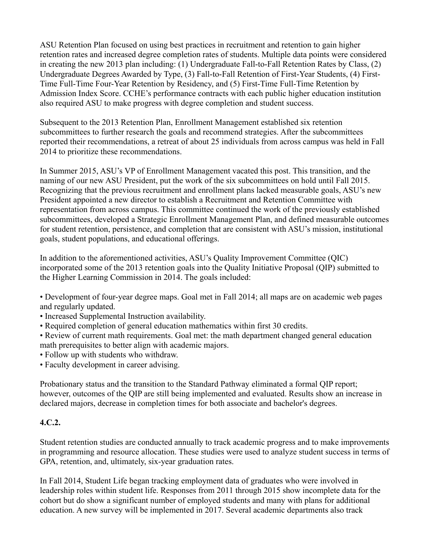ASU Retention Plan focused on using best practices in recruitment and retention to gain higher retention rates and increased degree completion rates of students. Multiple data points were considered in creating the new 2013 plan including: (1) Undergraduate Fall-to-Fall Retention Rates by Class, (2) Undergraduate Degrees Awarded by Type, (3) Fall-to-Fall Retention of First-Year Students, (4) First-Time Full-Time Four-Year Retention by Residency, and (5) First-Time Full-Time Retention by Admission Index Score. CCHE's performance contracts with each public higher education institution also required ASU to make progress with degree completion and student success.

Subsequent to the 2013 Retention Plan, Enrollment Management established six retention subcommittees to further research the goals and recommend strategies. After the subcommittees reported their recommendations, a retreat of about 25 individuals from across campus was held in Fall 2014 to prioritize these recommendations.

In Summer 2015, ASU's VP of Enrollment Management vacated this post. This transition, and the naming of our new ASU President, put the work of the six subcommittees on hold until Fall 2015. Recognizing that the previous recruitment and enrollment plans lacked measurable goals, ASU's new President appointed a new director to establish a Recruitment and Retention Committee with representation from across campus. This committee continued the work of the previously established subcommittees, developed a Strategic Enrollment Management Plan, and defined measurable outcomes for student retention, persistence, and completion that are consistent with ASU's mission, institutional goals, student populations, and educational offerings.

In addition to the aforementioned activities, ASU's Quality Improvement Committee (QIC) incorporated some of the 2013 retention goals into the Quality Initiative Proposal (QIP) submitted to the Higher Learning Commission in 2014. The goals included:

• Development of four-year degree maps. Goal met in Fall 2014; all maps are on academic web pages and regularly updated.

- Increased Supplemental Instruction availability.
- Required completion of general education mathematics within first 30 credits.
- Review of current math requirements. Goal met: the math department changed general education math prerequisites to better align with academic majors.
- Follow up with students who withdraw.
- Faculty development in career advising.

Probationary status and the transition to the Standard Pathway eliminated a formal QIP report; however, outcomes of the QIP are still being implemented and evaluated. Results show an increase in declared majors, decrease in completion times for both associate and bachelor's degrees.

# **4.C.2.**

Student retention studies are conducted annually to track academic progress and to make improvements in programming and resource allocation. These studies were used to analyze student success in terms of GPA, retention, and, ultimately, six-year graduation rates.

In Fall 2014, Student Life began tracking employment data of graduates who were involved in leadership roles within student life. Responses from 2011 through 2015 show incomplete data for the cohort but do show a significant number of employed students and many with plans for additional education. A new survey will be implemented in 2017. Several academic departments also track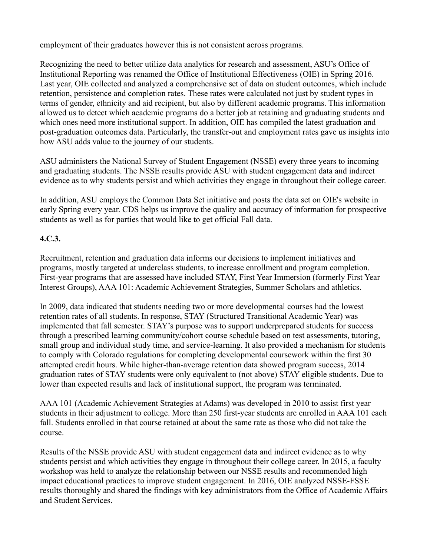employment of their graduates however this is not consistent across programs.

Recognizing the need to better utilize data analytics for research and assessment, ASU's Office of Institutional Reporting was renamed the Office of Institutional Effectiveness (OIE) in Spring 2016. Last year, OIE collected and analyzed a comprehensive set of data on student outcomes, which include retention, persistence and completion rates. These rates were calculated not just by student types in terms of gender, ethnicity and aid recipient, but also by different academic programs. This information allowed us to detect which academic programs do a better job at retaining and graduating students and which ones need more institutional support. In addition, OIE has compiled the latest graduation and post-graduation outcomes data. Particularly, the transfer-out and employment rates gave us insights into how ASU adds value to the journey of our students.

ASU administers the National Survey of Student Engagement (NSSE) every three years to incoming and graduating students. The NSSE results provide ASU with student engagement data and indirect evidence as to why students persist and which activities they engage in throughout their college career.

In addition, ASU employs the Common Data Set initiative and posts the data set on OIE's website in early Spring every year. CDS helps us improve the quality and accuracy of information for prospective students as well as for parties that would like to get official Fall data.

## **4.C.3.**

Recruitment, retention and graduation data informs our decisions to implement initiatives and programs, mostly targeted at underclass students, to increase enrollment and program completion. First-year programs that are assessed have included STAY, First Year Immersion (formerly First Year Interest Groups), AAA 101: Academic Achievement Strategies, Summer Scholars and athletics.

In 2009, data indicated that students needing two or more developmental courses had the lowest retention rates of all students. In response, STAY (Structured Transitional Academic Year) was implemented that fall semester. STAY's purpose was to support underprepared students for success through a prescribed learning community/cohort course schedule based on test assessments, tutoring, small group and individual study time, and service-learning. It also provided a mechanism for students to comply with Colorado regulations for completing developmental coursework within the first 30 attempted credit hours. While higher-than-average retention data showed program success, 2014 graduation rates of STAY students were only equivalent to (not above) STAY eligible students. Due to lower than expected results and lack of institutional support, the program was terminated.

AAA 101 (Academic Achievement Strategies at Adams) was developed in 2010 to assist first year students in their adjustment to college. More than 250 first-year students are enrolled in AAA 101 each fall. Students enrolled in that course retained at about the same rate as those who did not take the course.

Results of the NSSE provide ASU with student engagement data and indirect evidence as to why students persist and which activities they engage in throughout their college career. In 2015, a faculty workshop was held to analyze the relationship between our NSSE results and recommended high impact educational practices to improve student engagement. In 2016, OIE analyzed NSSE-FSSE results thoroughly and shared the findings with key administrators from the Office of Academic Affairs and Student Services.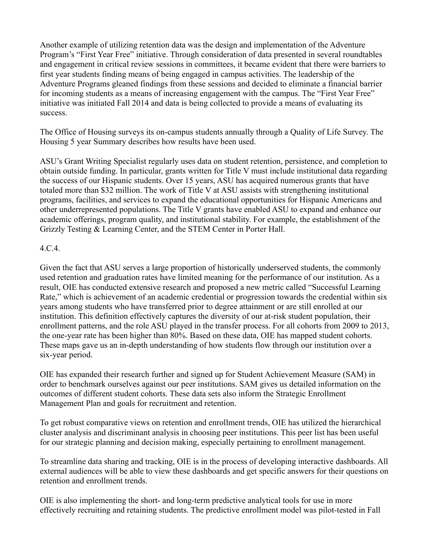Another example of utilizing retention data was the design and implementation of the Adventure Program's "First Year Free" initiative. Through consideration of data presented in several roundtables and engagement in critical review sessions in committees, it became evident that there were barriers to first year students finding means of being engaged in campus activities. The leadership of the Adventure Programs gleaned findings from these sessions and decided to eliminate a financial barrier for incoming students as a means of increasing engagement with the campus. The "First Year Free" initiative was initiated Fall 2014 and data is being collected to provide a means of evaluating its success.

The Office of Housing surveys its on-campus students annually through a Quality of Life Survey. The Housing 5 year Summary describes how results have been used.

ASU's Grant Writing Specialist regularly uses data on student retention, persistence, and completion to obtain outside funding. In particular, grants written for Title V must include institutional data regarding the success of our Hispanic students. Over 15 years, ASU has acquired numerous grants that have totaled more than \$32 million. The work of Title V at ASU assists with strengthening institutional programs, facilities, and services to expand the educational opportunities for Hispanic Americans and other underrepresented populations. The Title V grants have enabled ASU to expand and enhance our academic offerings, program quality, and institutional stability. For example, the establishment of the Grizzly Testing & Learning Center, and the STEM Center in Porter Hall.

## 4.C.4.

Given the fact that ASU serves a large proportion of historically underserved students, the commonly used retention and graduation rates have limited meaning for the performance of our institution. As a result, OIE has conducted extensive research and proposed a new metric called "Successful Learning Rate," which is achievement of an academic credential or progression towards the credential within six years among students who have transferred prior to degree attainment or are still enrolled at our institution. This definition effectively captures the diversity of our at-risk student population, their enrollment patterns, and the role ASU played in the transfer process. For all cohorts from 2009 to 2013, the one-year rate has been higher than 80%. Based on these data, OIE has mapped student cohorts. These maps gave us an in-depth understanding of how students flow through our institution over a six-year period.

OIE has expanded their research further and signed up for Student Achievement Measure (SAM) in order to benchmark ourselves against our peer institutions. SAM gives us detailed information on the outcomes of different student cohorts. These data sets also inform the Strategic Enrollment Management Plan and goals for recruitment and retention.

To get robust comparative views on retention and enrollment trends, OIE has utilized the hierarchical cluster analysis and discriminant analysis in choosing peer institutions. This peer list has been useful for our strategic planning and decision making, especially pertaining to enrollment management.

To streamline data sharing and tracking, OIE is in the process of developing interactive dashboards. All external audiences will be able to view these dashboards and get specific answers for their questions on retention and enrollment trends.

OIE is also implementing the short- and long-term predictive analytical tools for use in more effectively recruiting and retaining students. The predictive enrollment model was pilot-tested in Fall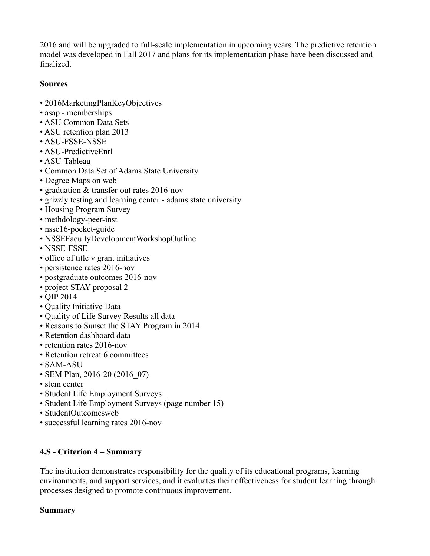2016 and will be upgraded to full-scale implementation in upcoming years. The predictive retention model was developed in Fall 2017 and plans for its implementation phase have been discussed and finalized.

### **Sources**

- 2016MarketingPlanKeyObjectives
- asap memberships
- ASU Common Data Sets
- ASU retention plan 2013
- ASU-FSSE-NSSE
- ASU-PredictiveEnrl
- ASU-Tableau
- Common Data Set of Adams State University
- Degree Maps on web
- graduation & transfer-out rates 2016-nov
- grizzly testing and learning center adams state university
- Housing Program Survey
- methdology-peer-inst
- nsse16-pocket-guide
- NSSEFacultyDevelopmentWorkshopOutline
- NSSE-FSSE
- office of title v grant initiatives
- persistence rates 2016-nov
- postgraduate outcomes 2016-nov
- project STAY proposal 2
- QIP 2014
- Quality Initiative Data
- Quality of Life Survey Results all data
- Reasons to Sunset the STAY Program in 2014
- Retention dashboard data
- retention rates 2016-nov
- Retention retreat 6 committees
- SAM-ASU
- SEM Plan, 2016-20 (2016–07)
- stem center
- Student Life Employment Surveys
- Student Life Employment Surveys (page number 15)
- StudentOutcomesweb
- successful learning rates 2016-nov

# **4.S - Criterion 4 – Summary**

The institution demonstrates responsibility for the quality of its educational programs, learning environments, and support services, and it evaluates their effectiveness for student learning through processes designed to promote continuous improvement.

## **Summary**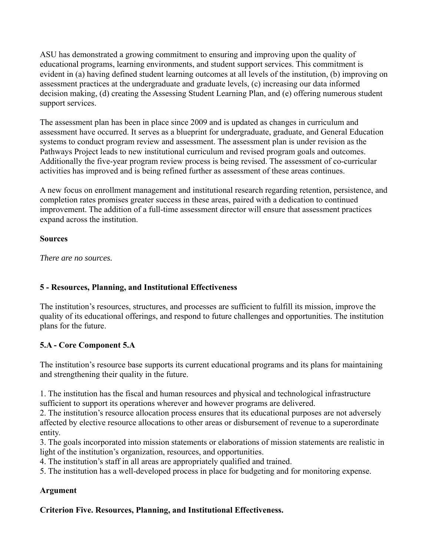ASU has demonstrated a growing commitment to ensuring and improving upon the quality of educational programs, learning environments, and student support services. This commitment is evident in (a) having defined student learning outcomes at all levels of the institution, (b) improving on assessment practices at the undergraduate and graduate levels, (c) increasing our data informed decision making, (d) creating the Assessing Student Learning Plan, and (e) offering numerous student support services.

The assessment plan has been in place since 2009 and is updated as changes in curriculum and assessment have occurred. It serves as a blueprint for undergraduate, graduate, and General Education systems to conduct program review and assessment. The assessment plan is under revision as the Pathways Project leads to new institutional curriculum and revised program goals and outcomes. Additionally the five-year program review process is being revised. The assessment of co-curricular activities has improved and is being refined further as assessment of these areas continues.

A new focus on enrollment management and institutional research regarding retention, persistence, and completion rates promises greater success in these areas, paired with a dedication to continued improvement. The addition of a full-time assessment director will ensure that assessment practices expand across the institution.

## **Sources**

*There are no sources.*

# **5 - Resources, Planning, and Institutional Effectiveness**

The institution's resources, structures, and processes are sufficient to fulfill its mission, improve the quality of its educational offerings, and respond to future challenges and opportunities. The institution plans for the future.

# **5.A - Core Component 5.A**

The institution's resource base supports its current educational programs and its plans for maintaining and strengthening their quality in the future.

1. The institution has the fiscal and human resources and physical and technological infrastructure sufficient to support its operations wherever and however programs are delivered.

2. The institution's resource allocation process ensures that its educational purposes are not adversely affected by elective resource allocations to other areas or disbursement of revenue to a superordinate entity.

3. The goals incorporated into mission statements or elaborations of mission statements are realistic in light of the institution's organization, resources, and opportunities.

4. The institution's staff in all areas are appropriately qualified and trained.

5. The institution has a well-developed process in place for budgeting and for monitoring expense.

## **Argument**

**Criterion Five. Resources, Planning, and Institutional Effectiveness.**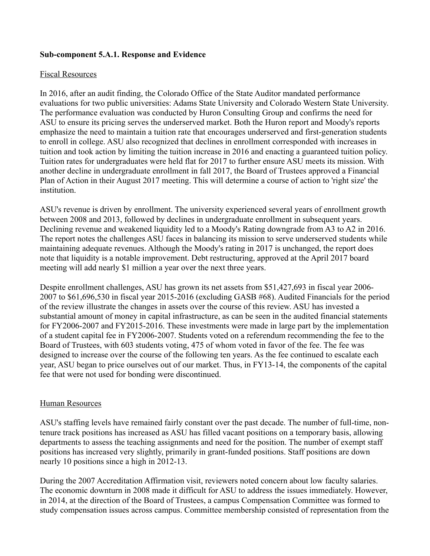### **Sub-component 5.A.1. Response and Evidence**

### Fiscal Resources

In 2016, after an audit finding, the Colorado Office of the State Auditor mandated performance evaluations for two public universities: Adams State University and Colorado Western State University. The performance evaluation was conducted by Huron Consulting Group and confirms the need for ASU to ensure its pricing serves the underserved market. Both the Huron report and Moody's reports emphasize the need to maintain a tuition rate that encourages underserved and first-generation students to enroll in college. ASU also recognized that declines in enrollment corresponded with increases in tuition and took action by limiting the tuition increase in 2016 and enacting a guaranteed tuition policy. Tuition rates for undergraduates were held flat for 2017 to further ensure ASU meets its mission. With another decline in undergraduate enrollment in fall 2017, the Board of Trustees approved a Financial Plan of Action in their August 2017 meeting. This will determine a course of action to 'right size' the institution.

ASU's revenue is driven by enrollment. The university experienced several years of enrollment growth between 2008 and 2013, followed by declines in undergraduate enrollment in subsequent years. Declining revenue and weakened liquidity led to a Moody's Rating downgrade from A3 to A2 in 2016. The report notes the challenges ASU faces in balancing its mission to serve underserved students while maintaining adequate revenues. Although the Moody's rating in 2017 is unchanged, the report does note that liquidity is a notable improvement. Debt restructuring, approved at the April 2017 board meeting will add nearly \$1 million a year over the next three years.

Despite enrollment challenges, ASU has grown its net assets from \$51,427,693 in fiscal year 2006- 2007 to \$61,696,530 in fiscal year 2015-2016 (excluding GASB #68). Audited Financials for the period of the review illustrate the changes in assets over the course of this review. ASU has invested a substantial amount of money in capital infrastructure, as can be seen in the audited financial statements for FY2006-2007 and FY2015-2016. These investments were made in large part by the implementation of a student capital fee in FY2006-2007. Students voted on a referendum recommending the fee to the Board of Trustees, with 603 students voting, 475 of whom voted in favor of the fee. The fee was designed to increase over the course of the following ten years. As the fee continued to escalate each year, ASU began to price ourselves out of our market. Thus, in FY13-14, the components of the capital fee that were not used for bonding were discontinued.

#### Human Resources

ASU's staffing levels have remained fairly constant over the past decade. The number of full-time, nontenure track positions has increased as ASU has filled vacant positions on a temporary basis, allowing departments to assess the teaching assignments and need for the position. The number of exempt staff positions has increased very slightly, primarily in grant-funded positions. Staff positions are down nearly 10 positions since a high in 2012-13.

During the 2007 Accreditation Affirmation visit, reviewers noted concern about low faculty salaries. The economic downturn in 2008 made it difficult for ASU to address the issues immediately. However, in 2014, at the direction of the Board of Trustees, a campus Compensation Committee was formed to study compensation issues across campus. Committee membership consisted of representation from the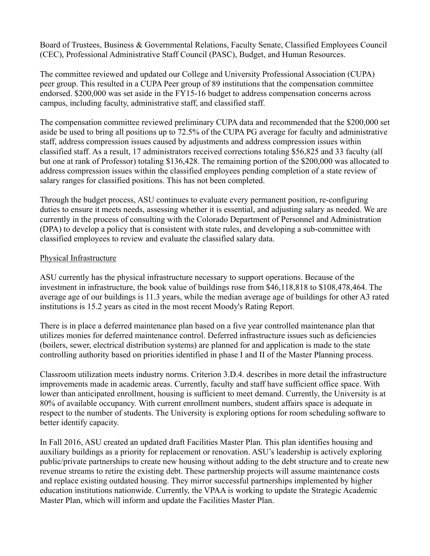Board of Trustees, Business & Governmental Relations, Faculty Senate, Classified Employees Council (CEC), Professional Administrative Staff Council (PASC), Budget, and Human Resources.

The committee reviewed and updated our College and University Professional Association (CUPA) peer group. This resulted in a CUPA Peer group of 89 institutions that the compensation committee endorsed. \$200,000 was set aside in the FY15-16 budget to address compensation concerns across campus, including faculty, administrative staff, and classified staff.

The compensation committee reviewed preliminary CUPA data and recommended that the \$200,000 set aside be used to bring all positions up to 72.5% of the CUPA PG average for faculty and administrative staff, address compression issues caused by adjustments and address compression issues within classified staff. As a result, 17 administrators received corrections totaling \$56,825 and 33 faculty (all but one at rank of Professor) totaling \$136,428. The remaining portion of the \$200,000 was allocated to address compression issues within the classified employees pending completion of a state review of salary ranges for classified positions. This has not been completed.

Through the budget process, ASU continues to evaluate every permanent position, re-configuring duties to ensure it meets needs, assessing whether it is essential, and adjusting salary as needed. We are currently in the process of consulting with the Colorado Department of Personnel and Administration (DPA) to develop a policy that is consistent with state rules, and developing a sub-committee with classified employees to review and evaluate the classified salary data.

### Physical Infrastructure

ASU currently has the physical infrastructure necessary to support operations. Because of the investment in infrastructure, the book value of buildings rose from \$46,118,818 to \$108,478,464. The average age of our buildings is 11.3 years, while the median average age of buildings for other A3 rated institutions is 15.2 years as cited in the most recent Moody's Rating Report.

There is in place a deferred maintenance plan based on a five year controlled maintenance plan that utilizes monies for deferred maintenance control. Deferred infrastructure issues such as deficiencies (boilers, sewer, electrical distribution systems) are planned for and application is made to the state controlling authority based on priorities identified in phase I and II of the Master Planning process.

Classroom utilization meets industry norms. Criterion 3.D.4. describes in more detail the infrastructure improvements made in academic areas. Currently, faculty and staff have sufficient office space. With lower than anticipated enrollment, housing is sufficient to meet demand. Currently, the University is at 80% of available occupancy. With current enrollment numbers, student affairs space is adequate in respect to the number of students. The University is exploring options for room scheduling software to better identify capacity.

In Fall 2016, ASU created an updated draft Facilities Master Plan. This plan identifies housing and auxiliary buildings as a priority for replacement or renovation. ASU's leadership is actively exploring public/private partnerships to create new housing without adding to the debt structure and to create new revenue streams to retire the existing debt. These partnership projects will assume maintenance costs and replace existing outdated housing. They mirror successful partnerships implemented by higher education institutions nationwide. Currently, the VPAA is working to update the Strategic Academic Master Plan, which will inform and update the Facilities Master Plan.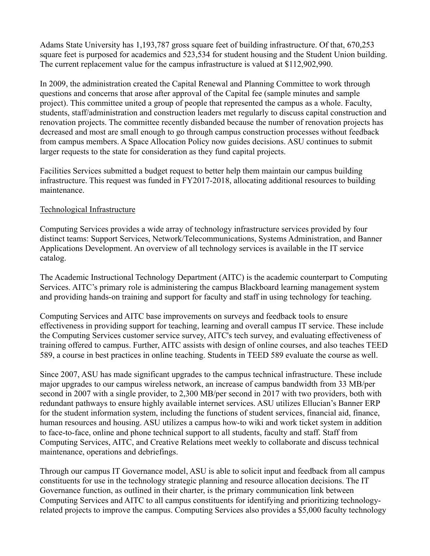Adams State University has 1,193,787 gross square feet of building infrastructure. Of that, 670,253 square feet is purposed for academics and 523,534 for student housing and the Student Union building. The current replacement value for the campus infrastructure is valued at \$112,902,990.

In 2009, the administration created the Capital Renewal and Planning Committee to work through questions and concerns that arose after approval of the Capital fee (sample minutes and sample project). This committee united a group of people that represented the campus as a whole. Faculty, students, staff/administration and construction leaders met regularly to discuss capital construction and renovation projects. The committee recently disbanded because the number of renovation projects has decreased and most are small enough to go through campus construction processes without feedback from campus members. A Space Allocation Policy now guides decisions. ASU continues to submit larger requests to the state for consideration as they fund capital projects.

Facilities Services submitted a budget request to better help them maintain our campus building infrastructure. This request was funded in FY2017-2018, allocating additional resources to building maintenance.

#### Technological Infrastructure

Computing Services provides a wide array of technology infrastructure services provided by four distinct teams: Support Services, Network/Telecommunications, Systems Administration, and Banner Applications Development. An overview of all technology services is available in the IT service catalog.

The Academic Instructional Technology Department (AITC) is the academic counterpart to Computing Services. AITC's primary role is administering the campus Blackboard learning management system and providing hands-on training and support for faculty and staff in using technology for teaching.

Computing Services and AITC base improvements on surveys and feedback tools to ensure effectiveness in providing support for teaching, learning and overall campus IT service. These include the Computing Services customer service survey, AITC's tech survey, and evaluating effectiveness of training offered to campus. Further, AITC assists with design of online courses, and also teaches TEED 589, a course in best practices in online teaching. Students in TEED 589 evaluate the course as well.

Since 2007, ASU has made significant upgrades to the campus technical infrastructure. These include major upgrades to our campus wireless network, an increase of campus bandwidth from 33 MB/per second in 2007 with a single provider, to 2,300 MB/per second in 2017 with two providers, both with redundant pathways to ensure highly available internet services. ASU utilizes Ellucian's Banner ERP for the student information system, including the functions of student services, financial aid, finance, human resources and housing. ASU utilizes a campus how-to wiki and work ticket system in addition to face-to-face, online and phone technical support to all students, faculty and staff. Staff from Computing Services, AITC, and Creative Relations meet weekly to collaborate and discuss technical maintenance, operations and debriefings.

Through our campus IT Governance model, ASU is able to solicit input and feedback from all campus constituents for use in the technology strategic planning and resource allocation decisions. The IT Governance function, as outlined in their charter, is the primary communication link between Computing Services and AITC to all campus constituents for identifying and prioritizing technologyrelated projects to improve the campus. Computing Services also provides a \$5,000 faculty technology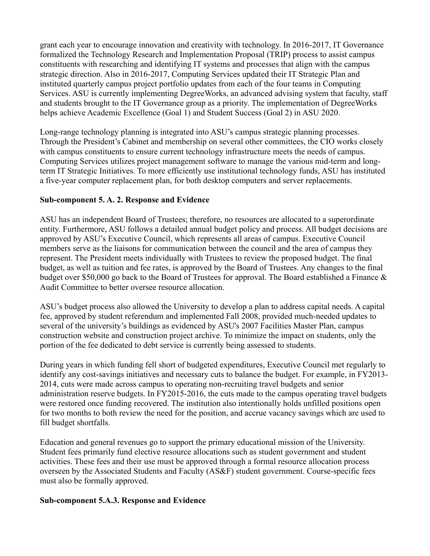grant each year to encourage innovation and creativity with technology. In 2016-2017, IT Governance formalized the Technology Research and Implementation Proposal (TRIP) process to assist campus constituents with researching and identifying IT systems and processes that align with the campus strategic direction. Also in 2016-2017, Computing Services updated their IT Strategic Plan and instituted quarterly campus project portfolio updates from each of the four teams in Computing Services. ASU is currently implementing DegreeWorks, an advanced advising system that faculty, staff and students brought to the IT Governance group as a priority. The implementation of DegreeWorks helps achieve Academic Excellence (Goal 1) and Student Success (Goal 2) in ASU 2020.

Long-range technology planning is integrated into ASU's campus strategic planning processes. Through the President's Cabinet and membership on several other committees, the CIO works closely with campus constituents to ensure current technology infrastructure meets the needs of campus. Computing Services utilizes project management software to manage the various mid-term and longterm IT Strategic Initiatives. To more efficiently use institutional technology funds, ASU has instituted a five-year computer replacement plan, for both desktop computers and server replacements.

## **Sub-component 5. A. 2. Response and Evidence**

ASU has an independent Board of Trustees; therefore, no resources are allocated to a superordinate entity. Furthermore, ASU follows a detailed annual budget policy and process. All budget decisions are approved by ASU's Executive Council, which represents all areas of campus. Executive Council members serve as the liaisons for communication between the council and the area of campus they represent. The President meets individually with Trustees to review the proposed budget. The final budget, as well as tuition and fee rates, is approved by the Board of Trustees. Any changes to the final budget over \$50,000 go back to the Board of Trustees for approval. The Board established a Finance & Audit Committee to better oversee resource allocation.

ASU's budget process also allowed the University to develop a plan to address capital needs. A capital fee, approved by student referendum and implemented Fall 2008, provided much-needed updates to several of the university's buildings as evidenced by ASU's 2007 Facilities Master Plan, campus construction website and construction project archive. To minimize the impact on students, only the portion of the fee dedicated to debt service is currently being assessed to students.

During years in which funding fell short of budgeted expenditures, Executive Council met regularly to identify any cost-savings initiatives and necessary cuts to balance the budget. For example, in FY2013- 2014, cuts were made across campus to operating non-recruiting travel budgets and senior administration reserve budgets. In FY2015-2016, the cuts made to the campus operating travel budgets were restored once funding recovered. The institution also intentionally holds unfilled positions open for two months to both review the need for the position, and accrue vacancy savings which are used to fill budget shortfalls.

Education and general revenues go to support the primary educational mission of the University. Student fees primarily fund elective resource allocations such as student government and student activities. These fees and their use must be approved through a formal resource allocation process overseen by the Associated Students and Faculty (AS&F) student government. Course-specific fees must also be formally approved.

## **Sub-component 5.A.3. Response and Evidence**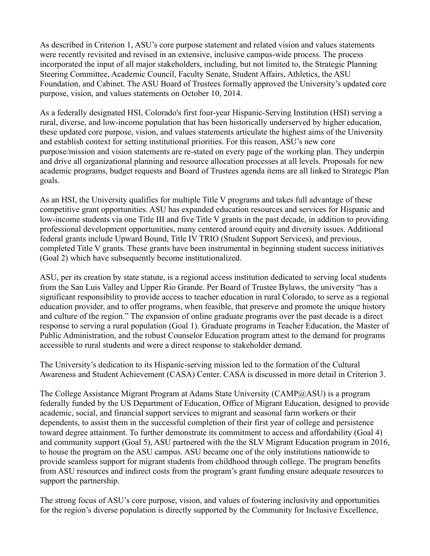As described in Criterion 1, ASU's core purpose statement and related vision and values statements were recently revisited and revised in an extensive, inclusive campus-wide process. The process incorporated the input of all major stakeholders, including, but not limited to, the Strategic Planning Steering Committee, Academic Council, Faculty Senate, Student Affairs, Athletics, the ASU Foundation, and Cabinet. The ASU Board of Trustees formally approved the University's updated core purpose, vision, and values statements on October 10, 2014.

As a federally designated HSI, Colorado's first four-year Hispanic-Serving Institution (HSI) serving a rural, diverse, and low-income population that has been historically underserved by higher education, these updated core purpose, vision, and values statements articulate the highest aims of the University and establish context for setting institutional priorities. For this reason, ASU's new core purpose/mission and vision statements are re-stated on every page of the working plan. They underpin and drive all organizational planning and resource allocation processes at all levels. Proposals for new academic programs, budget requests and Board of Trustees agenda items are all linked to Strategic Plan goals.

As an HSI, the University qualifies for multiple Title V programs and takes full advantage of these competitive grant opportunities. ASU has expanded education resources and services for Hispanic and low-income students via one Title III and five Title V grants in the past decade, in addition to providing professional development opportunities, many centered around equity and diversity issues. Additional federal grants include Upward Bound, Title IV TRIO (Student Support Services), and previous, completed Title V grants. These grants have been instrumental in beginning student success initiatives (Goal 2) which have subsequently become institutionalized.

ASU, per its creation by state statute, is a regional access institution dedicated to serving local students from the San Luis Valley and Upper Rio Grande. Per Board of Trustee Bylaws, the university "has a significant responsibility to provide access to teacher education in rural Colorado, to serve as a regional education provider, and to offer programs, when feasible, that preserve and promote the unique history and culture of the region." The expansion of online graduate programs over the past decade is a direct response to serving a rural population (Goal 1). Graduate programs in Teacher Education, the Master of Public Administration, and the robust Counselor Education program attest to the demand for programs accessible to rural students and were a direct response to stakeholder demand.

The University's dedication to its Hispanic-serving mission led to the formation of the Cultural Awareness and Student Achievement (CASA) Center. CASA is discussed in more detail in Criterion 3.

The College Assistance Migrant Program at Adams State University (CAMP@ASU) is a program federally funded by the US Department of Education, Office of Migrant Education, designed to provide academic, social, and financial support services to migrant and seasonal farm workers or their dependents, to assist them in the successful completion of their first year of college and persistence toward degree attainment. To further demonstrate its commitment to access and affordability (Goal 4) and community support (Goal 5), ASU partnered with the the SLV Migrant Education program in 2016, to house the program on the ASU campus. ASU became one of the only institutions nationwide to provide seamless support for migrant students from childhood through college. The program benefits from ASU resources and indirect costs from the program's grant funding ensure adequate resources to support the partnership.

The strong focus of ASU's core purpose, vision, and values of fostering inclusivity and opportunities for the region's diverse population is directly supported by the Community for Inclusive Excellence,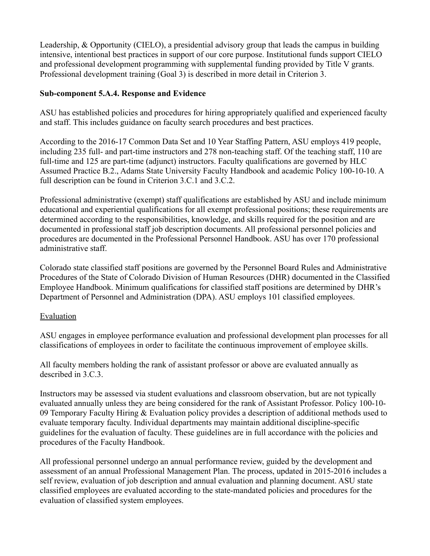Leadership, & Opportunity (CIELO), a presidential advisory group that leads the campus in building intensive, intentional best practices in support of our core purpose. Institutional funds support CIELO and professional development programming with supplemental funding provided by Title V grants. Professional development training (Goal 3) is described in more detail in Criterion 3.

### **Sub-component 5.A.4. Response and Evidence**

ASU has established policies and procedures for hiring appropriately qualified and experienced faculty and staff. This includes guidance on faculty search procedures and best practices.

According to the 2016-17 Common Data Set and 10 Year Staffing Pattern, ASU employs 419 people, including 235 full- and part-time instructors and 278 non-teaching staff. Of the teaching staff, 110 are full-time and 125 are part-time (adjunct) instructors. Faculty qualifications are governed by HLC Assumed Practice B.2., Adams State University Faculty Handbook and academic Policy 100-10-10. A full description can be found in Criterion 3.C.1 and 3.C.2.

Professional administrative (exempt) staff qualifications are established by ASU and include minimum educational and experiential qualifications for all exempt professional positions; these requirements are determined according to the responsibilities, knowledge, and skills required for the position and are documented in professional staff job description documents. All professional personnel policies and procedures are documented in the Professional Personnel Handbook. ASU has over 170 professional administrative staff.

Colorado state classified staff positions are governed by the Personnel Board Rules and Administrative Procedures of the State of Colorado Division of Human Resources (DHR) documented in the Classified Employee Handbook. Minimum qualifications for classified staff positions are determined by DHR's Department of Personnel and Administration (DPA). ASU employs 101 classified employees.

## Evaluation

ASU engages in employee performance evaluation and professional development plan processes for all classifications of employees in order to facilitate the continuous improvement of employee skills.

All faculty members holding the rank of assistant professor or above are evaluated annually as described in 3.C.3.

Instructors may be assessed via student evaluations and classroom observation, but are not typically evaluated annually unless they are being considered for the rank of Assistant Professor. Policy 100-10- 09 Temporary Faculty Hiring & Evaluation policy provides a description of additional methods used to evaluate temporary faculty. Individual departments may maintain additional discipline-specific guidelines for the evaluation of faculty. These guidelines are in full accordance with the policies and procedures of the Faculty Handbook.

All professional personnel undergo an annual performance review, guided by the development and assessment of an annual Professional Management Plan. The process, updated in 2015-2016 includes a self review, evaluation of job description and annual evaluation and planning document. ASU state classified employees are evaluated according to the state-mandated policies and procedures for the evaluation of classified system employees.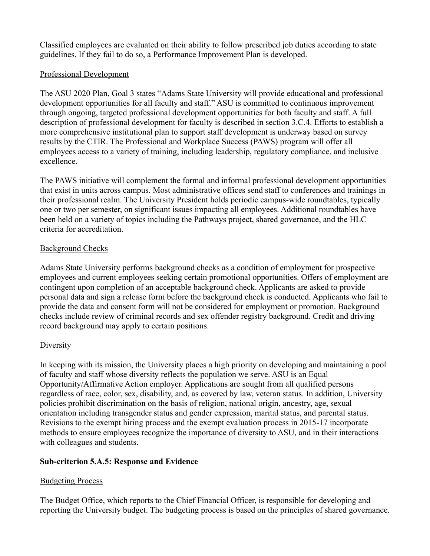Classified employees are evaluated on their ability to follow prescribed job duties according to state guidelines. If they fail to do so, a Performance Improvement Plan is developed.

### Professional Development

The ASU 2020 Plan, Goal 3 states "Adams State University will provide educational and professional development opportunities for all faculty and staff." ASU is committed to continuous improvement through ongoing, targeted professional development opportunities for both faculty and staff. A full description of professional development for faculty is described in section 3.C.4. Efforts to establish a more comprehensive institutional plan to support staff development is underway based on survey results by the CTIR. The Professional and Workplace Success (PAWS) program will offer all employees access to a variety of training, including leadership, regulatory compliance, and inclusive excellence.

The PAWS initiative will complement the formal and informal professional development opportunities that exist in units across campus. Most administrative offices send staff to conferences and trainings in their professional realm. The University President holds periodic campus-wide roundtables, typically one or two per semester, on significant issues impacting all employees. Additional roundtables have been held on a variety of topics including the Pathways project, shared governance, and the HLC criteria for accreditation.

## Background Checks

Adams State University performs background checks as a condition of employment for prospective employees and current employees seeking certain promotional opportunities. Offers of employment are contingent upon completion of an acceptable background check. Applicants are asked to provide personal data and sign a release form before the background check is conducted. Applicants who fail to provide the data and consent form will not be considered for employment or promotion. Background checks include review of criminal records and sex offender registry background. Credit and driving record background may apply to certain positions.

## **Diversity**

In keeping with its mission, the University places a high priority on developing and maintaining a pool of faculty and staff whose diversity reflects the population we serve. ASU is an Equal Opportunity/Affirmative Action employer. Applications are sought from all qualified persons regardless of race, color, sex, disability, and, as covered by law, veteran status. In addition, University policies prohibit discrimination on the basis of religion, national origin, ancestry, age, sexual orientation including transgender status and gender expression, marital status, and parental status. Revisions to the exempt hiring process and the exempt evaluation process in 2015-17 incorporate methods to ensure employees recognize the importance of diversity to ASU, and in their interactions with colleagues and students.

## **Sub-criterion 5.A.5: Response and Evidence**

## Budgeting Process

The Budget Office, which reports to the Chief Financial Officer, is responsible for developing and reporting the University budget. The budgeting process is based on the principles of shared governance.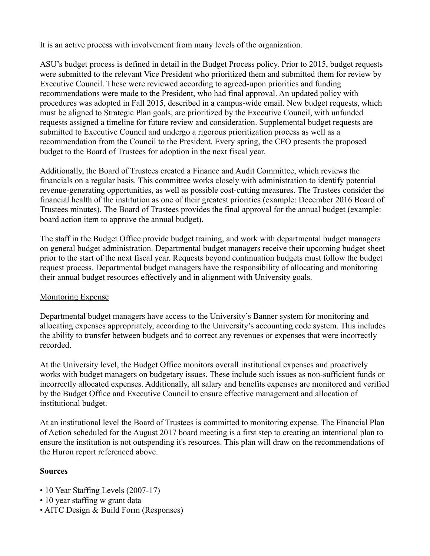It is an active process with involvement from many levels of the organization.

ASU's budget process is defined in detail in the Budget Process policy. Prior to 2015, budget requests were submitted to the relevant Vice President who prioritized them and submitted them for review by Executive Council. These were reviewed according to agreed-upon priorities and funding recommendations were made to the President, who had final approval. An updated policy with procedures was adopted in Fall 2015, described in a campus-wide email. New budget requests, which must be aligned to Strategic Plan goals, are prioritized by the Executive Council, with unfunded requests assigned a timeline for future review and consideration. Supplemental budget requests are submitted to Executive Council and undergo a rigorous prioritization process as well as a recommendation from the Council to the President. Every spring, the CFO presents the proposed budget to the Board of Trustees for adoption in the next fiscal year.

Additionally, the Board of Trustees created a Finance and Audit Committee, which reviews the financials on a regular basis. This committee works closely with administration to identify potential revenue-generating opportunities, as well as possible cost-cutting measures. The Trustees consider the financial health of the institution as one of their greatest priorities (example: December 2016 Board of Trustees minutes). The Board of Trustees provides the final approval for the annual budget (example: board action item to approve the annual budget).

The staff in the Budget Office provide budget training, and work with departmental budget managers on general budget administration. Departmental budget managers receive their upcoming budget sheet prior to the start of the next fiscal year. Requests beyond continuation budgets must follow the budget request process. Departmental budget managers have the responsibility of allocating and monitoring their annual budget resources effectively and in alignment with University goals.

## Monitoring Expense

Departmental budget managers have access to the University's Banner system for monitoring and allocating expenses appropriately, according to the University's accounting code system. This includes the ability to transfer between budgets and to correct any revenues or expenses that were incorrectly recorded.

At the University level, the Budget Office monitors overall institutional expenses and proactively works with budget managers on budgetary issues. These include such issues as non-sufficient funds or incorrectly allocated expenses. Additionally, all salary and benefits expenses are monitored and verified by the Budget Office and Executive Council to ensure effective management and allocation of institutional budget.

At an institutional level the Board of Trustees is committed to monitoring expense. The Financial Plan of Action scheduled for the August 2017 board meeting is a first step to creating an intentional plan to ensure the institution is not outspending it's resources. This plan will draw on the recommendations of the Huron report referenced above.

# **Sources**

- 10 Year Staffing Levels (2007-17)
- 10 year staffing w grant data
- AITC Design & Build Form (Responses)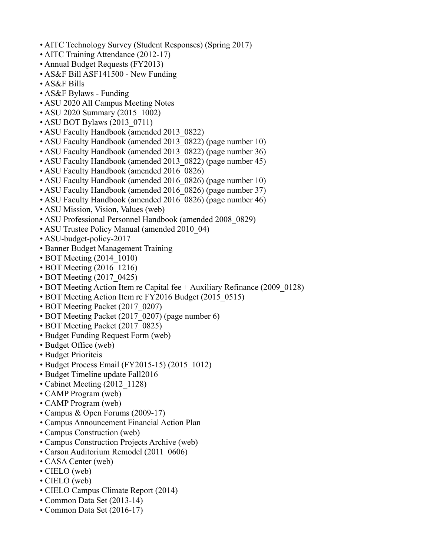- AITC Technology Survey (Student Responses) (Spring 2017)
- AITC Training Attendance (2012-17)
- Annual Budget Requests (FY2013)
- AS&F Bill ASF141500 New Funding
- AS&F Bills
- AS&F Bylaws Funding
- ASU 2020 All Campus Meeting Notes
- ASU 2020 Summary (2015–1002)
- ASU BOT Bylaws (2013–0711)
- ASU Faculty Handbook (amended 2013 0822)
- ASU Faculty Handbook (amended 2013 0822) (page number 10)
- ASU Faculty Handbook (amended 2013 0822) (page number 36)
- ASU Faculty Handbook (amended 2013 0822) (page number 45)
- ASU Faculty Handbook (amended 2016 0826)
- ASU Faculty Handbook (amended 2016 0826) (page number 10)
- ASU Faculty Handbook (amended 2016 0826) (page number 37)
- ASU Faculty Handbook (amended 2016 0826) (page number 46)
- ASU Mission, Vision, Values (web)
- ASU Professional Personnel Handbook (amended 2008\_0829)
- ASU Trustee Policy Manual (amended 2010 04)
- ASU-budget-policy-2017
- Banner Budget Management Training
- BOT Meeting (2014 1010)
- BOT Meeting (2016 1216)
- BOT Meeting (2017–0425)
- BOT Meeting Action Item re Capital fee + Auxiliary Refinance (2009–0128)
- BOT Meeting Action Item re FY2016 Budget (2015\_0515)
- BOT Meeting Packet (2017\_0207)
- BOT Meeting Packet (2017–0207) (page number 6)
- BOT Meeting Packet (2017\_0825)
- Budget Funding Request Form (web)
- Budget Office (web)
- Budget Prioriteis
- Budget Process Email (FY2015-15) (2015\_1012)
- Budget Timeline update Fall2016
- Cabinet Meeting (2012–1128)
- CAMP Program (web)
- CAMP Program (web)
- Campus & Open Forums (2009-17)
- Campus Announcement Financial Action Plan
- Campus Construction (web)
- Campus Construction Projects Archive (web)
- Carson Auditorium Remodel (2011\_0606)
- CASA Center (web)
- CIELO (web)
- CIELO (web)
- CIELO Campus Climate Report (2014)
- Common Data Set (2013-14)
- Common Data Set (2016-17)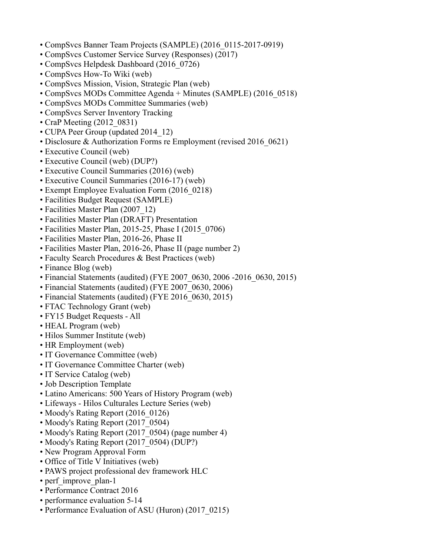- CompSvcs Banner Team Projects (SAMPLE) (2016 0115-2017-0919)
- CompSvcs Customer Service Survey (Responses) (2017)
- CompSvcs Helpdesk Dashboard (2016\_0726)
- CompSvcs How-To Wiki (web)
- CompSvcs Mission, Vision, Strategic Plan (web)
- CompSvcs MODs Committee Agenda + Minutes (SAMPLE) (2016–0518)
- CompSvcs MODs Committee Summaries (web)
- CompSvcs Server Inventory Tracking
- CraP Meeting (2012–0831)
- CUPA Peer Group (updated 2014 12)
- Disclosure & Authorization Forms re Employment (revised 2016\_0621)
- Executive Council (web)
- Executive Council (web) (DUP?)
- Executive Council Summaries (2016) (web)
- Executive Council Summaries (2016-17) (web)
- Exempt Employee Evaluation Form (2016–0218)
- Facilities Budget Request (SAMPLE)
- Facilities Master Plan (2007 12)
- Facilities Master Plan (DRAFT) Presentation
- Facilities Master Plan, 2015-25, Phase I (2015–0706)
- Facilities Master Plan, 2016-26, Phase II
- Facilities Master Plan, 2016-26, Phase II (page number 2)
- Faculty Search Procedures & Best Practices (web)
- Finance Blog (web)
- Financial Statements (audited) (FYE 2007\_0630, 2006 -2016\_0630, 2015)
- Financial Statements (audited) (FYE 2007\_0630, 2006)
- Financial Statements (audited) (FYE 2016\_0630, 2015)
- FTAC Technology Grant (web)
- FY15 Budget Requests All
- HEAL Program (web)
- Hilos Summer Institute (web)
- HR Employment (web)
- IT Governance Committee (web)
- IT Governance Committee Charter (web)
- IT Service Catalog (web)
- Job Description Template
- Latino Americans: 500 Years of History Program (web)
- Lifeways Hilos Culturales Lecture Series (web)
- Moody's Rating Report (2016–0126)
- Moody's Rating Report (2017–0504)
- Moody's Rating Report (2017–0504) (page number 4)
- Moody's Rating Report (2017–0504) (DUP?)
- New Program Approval Form
- Office of Title V Initiatives (web)
- PAWS project professional dev framework HLC
- perf improve plan-1
- Performance Contract 2016
- performance evaluation 5-14
- Performance Evaluation of ASU (Huron) (2017\_0215)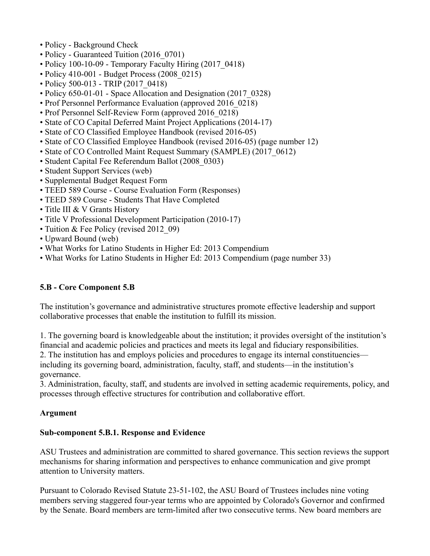- Policy Background Check
- Policy Guaranteed Tuition (2016 0701)
- Policy 100-10-09 Temporary Faculty Hiring (2017\_0418)
- Policy 410-001 Budget Process (2008\_0215)
- Policy 500-013 TRIP (2017\_0418)
- Policy 650-01-01 Space Allocation and Designation (2017–0328)
- Prof Personnel Performance Evaluation (approved 2016 0218)
- Prof Personnel Self-Review Form (approved 2016 0218)
- State of CO Capital Deferred Maint Project Applications (2014-17)
- State of CO Classified Employee Handbook (revised 2016-05)
- State of CO Classified Employee Handbook (revised 2016-05) (page number 12)
- State of CO Controlled Maint Request Summary (SAMPLE) (2017 0612)
- Student Capital Fee Referendum Ballot (2008\_0303)
- Student Support Services (web)
- Supplemental Budget Request Form
- TEED 589 Course Course Evaluation Form (Responses)
- TEED 589 Course Students That Have Completed
- Title III & V Grants History
- Title V Professional Development Participation (2010-17)
- Tuition & Fee Policy (revised 2012 09)
- Upward Bound (web)
- What Works for Latino Students in Higher Ed: 2013 Compendium
- What Works for Latino Students in Higher Ed: 2013 Compendium (page number 33)

## **5.B - Core Component 5.B**

The institution's governance and administrative structures promote effective leadership and support collaborative processes that enable the institution to fulfill its mission.

1. The governing board is knowledgeable about the institution; it provides oversight of the institution's

financial and academic policies and practices and meets its legal and fiduciary responsibilities.

2. The institution has and employs policies and procedures to engage its internal constituencies—

including its governing board, administration, faculty, staff, and students—in the institution's governance.

3. Administration, faculty, staff, and students are involved in setting academic requirements, policy, and processes through effective structures for contribution and collaborative effort.

## **Argument**

#### **Sub-component 5.B.1. Response and Evidence**

ASU Trustees and administration are committed to shared governance. This section reviews the support mechanisms for sharing information and perspectives to enhance communication and give prompt attention to University matters.

Pursuant to Colorado Revised Statute 23-51-102, the ASU Board of Trustees includes nine voting members serving staggered four-year terms who are appointed by Colorado's Governor and confirmed by the Senate. Board members are term-limited after two consecutive terms. New board members are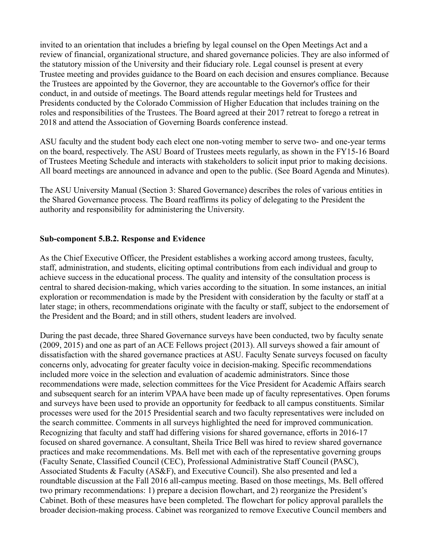invited to an orientation that includes a briefing by legal counsel on the Open Meetings Act and a review of financial, organizational structure, and shared governance policies. They are also informed of the statutory mission of the University and their fiduciary role. Legal counsel is present at every Trustee meeting and provides guidance to the Board on each decision and ensures compliance. Because the Trustees are appointed by the Governor, they are accountable to the Governor's office for their conduct, in and outside of meetings. The Board attends regular meetings held for Trustees and Presidents conducted by the Colorado Commission of Higher Education that includes training on the roles and responsibilities of the Trustees. The Board agreed at their 2017 retreat to forego a retreat in 2018 and attend the Association of Governing Boards conference instead.

ASU faculty and the student body each elect one non-voting member to serve two- and one-year terms on the board, respectively. The ASU Board of Trustees meets regularly, as shown in the FY15-16 Board of Trustees Meeting Schedule and interacts with stakeholders to solicit input prior to making decisions. All board meetings are announced in advance and open to the public. (See Board Agenda and Minutes).

The ASU University Manual (Section 3: Shared Governance) describes the roles of various entities in the Shared Governance process. The Board reaffirms its policy of delegating to the President the authority and responsibility for administering the University.

### **Sub-component 5.B.2. Response and Evidence**

As the Chief Executive Officer, the President establishes a working accord among trustees, faculty, staff, administration, and students, eliciting optimal contributions from each individual and group to achieve success in the educational process. The quality and intensity of the consultation process is central to shared decision-making, which varies according to the situation. In some instances, an initial exploration or recommendation is made by the President with consideration by the faculty or staff at a later stage; in others, recommendations originate with the faculty or staff, subject to the endorsement of the President and the Board; and in still others, student leaders are involved.

During the past decade, three Shared Governance surveys have been conducted, two by faculty senate (2009, 2015) and one as part of an ACE Fellows project (2013). All surveys showed a fair amount of dissatisfaction with the shared governance practices at ASU. Faculty Senate surveys focused on faculty concerns only, advocating for greater faculty voice in decision-making. Specific recommendations included more voice in the selection and evaluation of academic administrators. Since those recommendations were made, selection committees for the Vice President for Academic Affairs search and subsequent search for an interim VPAA have been made up of faculty representatives. Open forums and surveys have been used to provide an opportunity for feedback to all campus constituents. Similar processes were used for the 2015 Presidential search and two faculty representatives were included on the search committee. Comments in all surveys highlighted the need for improved communication. Recognizing that faculty and staff had differing visions for shared governance, efforts in 2016-17 focused on shared governance. A consultant, Sheila Trice Bell was hired to review shared governance practices and make recommendations. Ms. Bell met with each of the representative governing groups (Faculty Senate, Classified Council (CEC), Professional Administrative Staff Council (PASC), Associated Students & Faculty (AS&F), and Executive Council). She also presented and led a roundtable discussion at the Fall 2016 all-campus meeting. Based on those meetings, Ms. Bell offered two primary recommendations: 1) prepare a decision flowchart, and 2) reorganize the President's Cabinet. Both of these measures have been completed. The flowchart for policy approval parallels the broader decision-making process. Cabinet was reorganized to remove Executive Council members and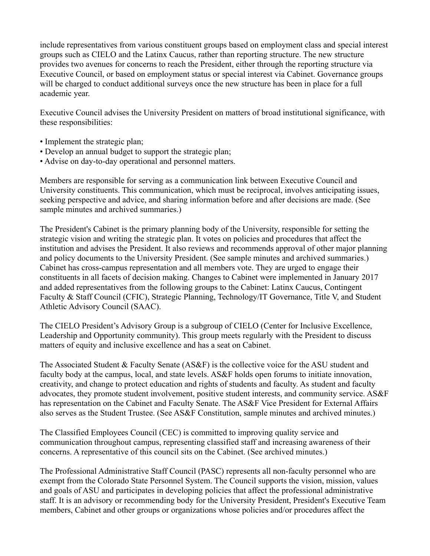include representatives from various constituent groups based on employment class and special interest groups such as CIELO and the Latinx Caucus, rather than reporting structure. The new structure provides two avenues for concerns to reach the President, either through the reporting structure via Executive Council, or based on employment status or special interest via Cabinet. Governance groups will be charged to conduct additional surveys once the new structure has been in place for a full academic year.

Executive Council advises the University President on matters of broad institutional significance, with these responsibilities:

- Implement the strategic plan;
- Develop an annual budget to support the strategic plan;
- Advise on day-to-day operational and personnel matters.

Members are responsible for serving as a communication link between Executive Council and University constituents. This communication, which must be reciprocal, involves anticipating issues, seeking perspective and advice, and sharing information before and after decisions are made. (See sample minutes and archived summaries.)

The President's Cabinet is the primary planning body of the University, responsible for setting the strategic vision and writing the strategic plan. It votes on policies and procedures that affect the institution and advises the President. It also reviews and recommends approval of other major planning and policy documents to the University President. (See sample minutes and archived summaries.) Cabinet has cross-campus representation and all members vote. They are urged to engage their constituents in all facets of decision making. Changes to Cabinet were implemented in January 2017 and added representatives from the following groups to the Cabinet: Latinx Caucus, Contingent Faculty & Staff Council (CFIC), Strategic Planning, Technology/IT Governance, Title V, and Student Athletic Advisory Council (SAAC).

The CIELO President's Advisory Group is a subgroup of CIELO (Center for Inclusive Excellence, Leadership and Opportunity community). This group meets regularly with the President to discuss matters of equity and inclusive excellence and has a seat on Cabinet.

The Associated Student & Faculty Senate (AS&F) is the collective voice for the ASU student and faculty body at the campus, local, and state levels. AS&F holds open forums to initiate innovation, creativity, and change to protect education and rights of students and faculty. As student and faculty advocates, they promote student involvement, positive student interests, and community service. AS&F has representation on the Cabinet and Faculty Senate. The AS&F Vice President for External Affairs also serves as the Student Trustee. (See AS&F Constitution, sample minutes and archived minutes.)

The Classified Employees Council (CEC) is committed to improving quality service and communication throughout campus, representing classified staff and increasing awareness of their concerns. A representative of this council sits on the Cabinet. (See archived minutes.)

The Professional Administrative Staff Council (PASC) represents all non-faculty personnel who are exempt from the Colorado State Personnel System. The Council supports the vision, mission, values and goals of ASU and participates in developing policies that affect the professional administrative staff. It is an advisory or recommending body for the University President, President's Executive Team members, Cabinet and other groups or organizations whose policies and/or procedures affect the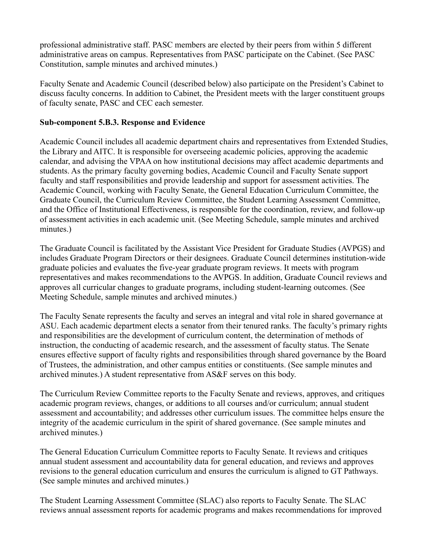professional administrative staff. PASC members are elected by their peers from within 5 different administrative areas on campus. Representatives from PASC participate on the Cabinet. (See PASC Constitution, sample minutes and archived minutes.)

Faculty Senate and Academic Council (described below) also participate on the President's Cabinet to discuss faculty concerns. In addition to Cabinet, the President meets with the larger constituent groups of faculty senate, PASC and CEC each semester.

### **Sub-component 5.B.3. Response and Evidence**

Academic Council includes all academic department chairs and representatives from Extended Studies, the Library and AITC. It is responsible for overseeing academic policies, approving the academic calendar, and advising the VPAA on how institutional decisions may affect academic departments and students. As the primary faculty governing bodies, Academic Council and Faculty Senate support faculty and staff responsibilities and provide leadership and support for assessment activities. The Academic Council, working with Faculty Senate, the General Education Curriculum Committee, the Graduate Council, the Curriculum Review Committee, the Student Learning Assessment Committee, and the Office of Institutional Effectiveness, is responsible for the coordination, review, and follow-up of assessment activities in each academic unit. (See Meeting Schedule, sample minutes and archived minutes.)

The Graduate Council is facilitated by the Assistant Vice President for Graduate Studies (AVPGS) and includes Graduate Program Directors or their designees. Graduate Council determines institution-wide graduate policies and evaluates the five-year graduate program reviews. It meets with program representatives and makes recommendations to the AVPGS. In addition, Graduate Council reviews and approves all curricular changes to graduate programs, including student-learning outcomes. (See Meeting Schedule, sample minutes and archived minutes.)

The Faculty Senate represents the faculty and serves an integral and vital role in shared governance at ASU. Each academic department elects a senator from their tenured ranks. The faculty's primary rights and responsibilities are the development of curriculum content, the determination of methods of instruction, the conducting of academic research, and the assessment of faculty status. The Senate ensures effective support of faculty rights and responsibilities through shared governance by the Board of Trustees, the administration, and other campus entities or constituents. (See sample minutes and archived minutes.) A student representative from AS&F serves on this body.

The Curriculum Review Committee reports to the Faculty Senate and reviews, approves, and critiques academic program reviews, changes, or additions to all courses and/or curriculum; annual student assessment and accountability; and addresses other curriculum issues. The committee helps ensure the integrity of the academic curriculum in the spirit of shared governance. (See sample minutes and archived minutes.)

The General Education Curriculum Committee reports to Faculty Senate. It reviews and critiques annual student assessment and accountability data for general education, and reviews and approves revisions to the general education curriculum and ensures the curriculum is aligned to GT Pathways. (See sample minutes and archived minutes.)

The Student Learning Assessment Committee (SLAC) also reports to Faculty Senate. The SLAC reviews annual assessment reports for academic programs and makes recommendations for improved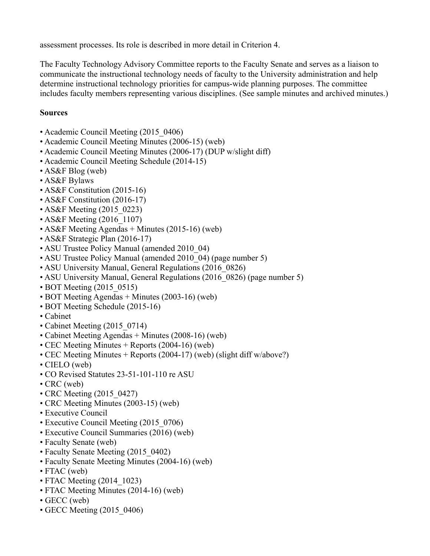assessment processes. Its role is described in more detail in Criterion 4.

The Faculty Technology Advisory Committee reports to the Faculty Senate and serves as a liaison to communicate the instructional technology needs of faculty to the University administration and help determine instructional technology priorities for campus-wide planning purposes. The committee includes faculty members representing various disciplines. (See sample minutes and archived minutes.)

# **Sources**

- Academic Council Meeting (2015–0406)
- Academic Council Meeting Minutes (2006-15) (web)
- Academic Council Meeting Minutes (2006-17) (DUP w/slight diff)
- Academic Council Meeting Schedule (2014-15)
- AS&F Blog (web)
- AS&F Bylaws
- AS&F Constitution (2015-16)
- AS&F Constitution (2016-17)
- AS&F Meeting (2015–0223)
- AS&F Meeting (2016 1107)
- AS&F Meeting Agendas + Minutes (2015-16) (web)
- AS&F Strategic Plan (2016-17)
- ASU Trustee Policy Manual (amended 2010\_04)
- ASU Trustee Policy Manual (amended 2010–04) (page number 5)
- ASU University Manual, General Regulations (2016–0826)
- ASU University Manual, General Regulations (2016–0826) (page number 5)
- BOT Meeting (2015–0515)
- BOT Meeting Agendas + Minutes (2003-16) (web)
- BOT Meeting Schedule (2015-16)
- Cabinet
- Cabinet Meeting (2015–0714)
- Cabinet Meeting Agendas + Minutes (2008-16) (web)
- CEC Meeting Minutes + Reports (2004-16) (web)
- CEC Meeting Minutes + Reports (2004-17) (web) (slight diff w/above?)
- CIELO (web)
- CO Revised Statutes 23-51-101-110 re ASU
- CRC (web)
- CRC Meeting (2015–0427)
- CRC Meeting Minutes (2003-15) (web)
- Executive Council
- Executive Council Meeting (2015–0706)
- Executive Council Summaries (2016) (web)
- Faculty Senate (web)
- Faculty Senate Meeting (2015\_0402)
- Faculty Senate Meeting Minutes (2004-16) (web)
- FTAC (web)
- FTAC Meeting (2014 1023)
- FTAC Meeting Minutes (2014-16) (web)
- GECC (web)
- GECC Meeting (2015–0406)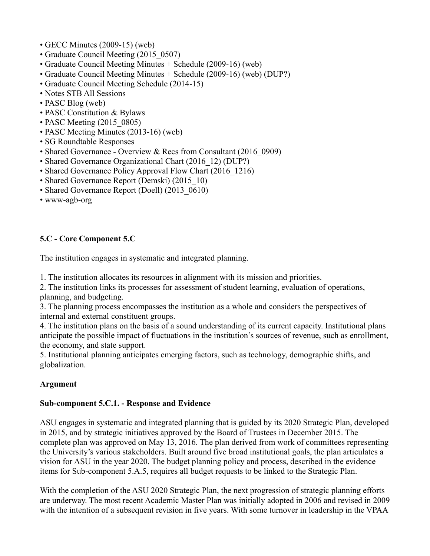- GECC Minutes (2009-15) (web)
- Graduate Council Meeting (2015\_0507)
- Graduate Council Meeting Minutes + Schedule (2009-16) (web)
- Graduate Council Meeting Minutes + Schedule (2009-16) (web) (DUP?)
- Graduate Council Meeting Schedule (2014-15)
- Notes STB All Sessions
- PASC Blog (web)
- PASC Constitution & Bylaws
- PASC Meeting (2015–0805)
- PASC Meeting Minutes (2013-16) (web)
- SG Roundtable Responses
- Shared Governance Overview & Recs from Consultant (2016–0909)
- Shared Governance Organizational Chart (2016–12) (DUP?)
- Shared Governance Policy Approval Flow Chart (2016 1216)
- Shared Governance Report (Demski) (2015 10)
- Shared Governance Report (Doell) (2013–0610)
- www-agb-org

## **5.C - Core Component 5.C**

The institution engages in systematic and integrated planning.

1. The institution allocates its resources in alignment with its mission and priorities.

2. The institution links its processes for assessment of student learning, evaluation of operations, planning, and budgeting.

3. The planning process encompasses the institution as a whole and considers the perspectives of internal and external constituent groups.

4. The institution plans on the basis of a sound understanding of its current capacity. Institutional plans anticipate the possible impact of fluctuations in the institution's sources of revenue, such as enrollment, the economy, and state support.

5. Institutional planning anticipates emerging factors, such as technology, demographic shifts, and globalization.

## **Argument**

#### **Sub-component 5.C.1. - Response and Evidence**

ASU engages in systematic and integrated planning that is guided by its 2020 Strategic Plan, developed in 2015, and by strategic initiatives approved by the Board of Trustees in December 2015. The complete plan was approved on May 13, 2016. The plan derived from work of committees representing the University's various stakeholders. Built around five broad institutional goals, the plan articulates a vision for ASU in the year 2020. The budget planning policy and process, described in the evidence items for Sub-component 5.A.5, requires all budget requests to be linked to the Strategic Plan.

With the completion of the ASU 2020 Strategic Plan, the next progression of strategic planning efforts are underway. The most recent Academic Master Plan was initially adopted in 2006 and revised in 2009 with the intention of a subsequent revision in five years. With some turnover in leadership in the VPAA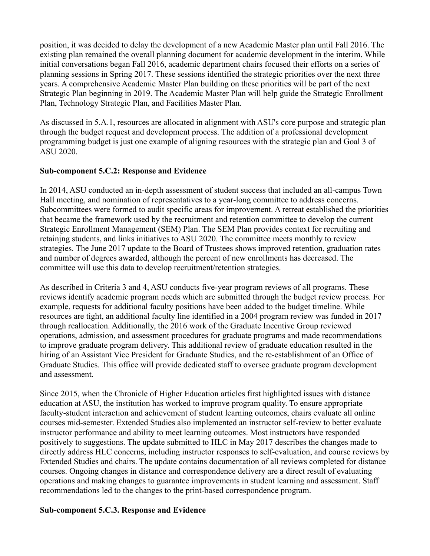position, it was decided to delay the development of a new Academic Master plan until Fall 2016. The existing plan remained the overall planning document for academic development in the interim. While initial conversations began Fall 2016, academic department chairs focused their efforts on a series of planning sessions in Spring 2017. These sessions identified the strategic priorities over the next three years. A comprehensive Academic Master Plan building on these priorities will be part of the next Strategic Plan beginning in 2019. The Academic Master Plan will help guide the Strategic Enrollment Plan, Technology Strategic Plan, and Facilities Master Plan.

As discussed in 5.A.1, resources are allocated in alignment with ASU's core purpose and strategic plan through the budget request and development process. The addition of a professional development programming budget is just one example of aligning resources with the strategic plan and Goal 3 of ASU 2020.

### **Sub-component 5.C.2: Response and Evidence**

In 2014, ASU conducted an in-depth assessment of student success that included an all-campus Town Hall meeting, and nomination of representatives to a year-long committee to address concerns. Subcommittees were formed to audit specific areas for improvement. A retreat established the priorities that became the framework used by the recruitment and retention committee to develop the current Strategic Enrollment Management (SEM) Plan. The SEM Plan provides context for recruiting and retainjng students, and links initiatives to ASU 2020. The committee meets monthly to review strategies. The June 2017 update to the Board of Trustees shows improved retention, graduation rates and number of degrees awarded, although the percent of new enrollments has decreased. The committee will use this data to develop recruitment/retention strategies.

As described in Criteria 3 and 4, ASU conducts five-year program reviews of all programs. These reviews identify academic program needs which are submitted through the budget review process. For example, requests for additional faculty positions have been added to the budget timeline. While resources are tight, an additional faculty line identified in a 2004 program review was funded in 2017 through reallocation. Additionally, the 2016 work of the Graduate Incentive Group reviewed operations, admission, and assessment procedures for graduate programs and made recommendations to improve graduate program delivery. This additional review of graduate education resulted in the hiring of an Assistant Vice President for Graduate Studies, and the re-establishment of an Office of Graduate Studies. This office will provide dedicated staff to oversee graduate program development and assessment.

Since 2015, when the Chronicle of Higher Education articles first highlighted issues with distance education at ASU, the institution has worked to improve program quality. To ensure appropriate faculty-student interaction and achievement of student learning outcomes, chairs evaluate all online courses mid-semester. Extended Studies also implemented an instructor self-review to better evaluate instructor performance and ability to meet learning outcomes. Most instructors have responded positively to suggestions. The update submitted to HLC in May 2017 describes the changes made to directly address HLC concerns, including instructor responses to self-evaluation, and course reviews by Extended Studies and chairs. The update contains documentation of all reviews completed for distance courses. Ongoing changes in distance and correspondence delivery are a direct result of evaluating operations and making changes to guarantee improvements in student learning and assessment. Staff recommendations led to the changes to the print-based correspondence program.

#### **Sub-component 5.C.3. Response and Evidence**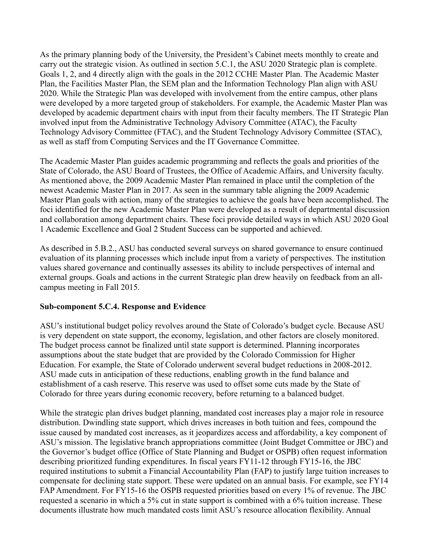As the primary planning body of the University, the President's Cabinet meets monthly to create and carry out the strategic vision. As outlined in section 5.C.1, the ASU 2020 Strategic plan is complete. Goals 1, 2, and 4 directly align with the goals in the 2012 CCHE Master Plan. The Academic Master Plan, the Facilities Master Plan, the SEM plan and the Information Technology Plan align with ASU 2020. While the Strategic Plan was developed with involvement from the entire campus, other plans were developed by a more targeted group of stakeholders. For example, the Academic Master Plan was developed by academic department chairs with input from their faculty members. The IT Strategic Plan involved input from the Administrative Technology Advisory Committee (ATAC), the Faculty Technology Advisory Committee (FTAC), and the Student Technology Advisory Committee (STAC), as well as staff from Computing Services and the IT Governance Committee.

The Academic Master Plan guides academic programming and reflects the goals and priorities of the State of Colorado, the ASU Board of Trustees, the Office of Academic Affairs, and University faculty. As mentioned above, the 2009 Academic Master Plan remained in place until the completion of the newest Academic Master Plan in 2017. As seen in the summary table aligning the 2009 Academic Master Plan goals with action, many of the strategies to achieve the goals have been accomplished. The foci identified for the new Academic Master Plan were developed as a result of departmental discussion and collaboration among department chairs. These foci provide detailed ways in which ASU 2020 Goal 1 Academic Excellence and Goal 2 Student Success can be supported and achieved.

As described in 5.B.2., ASU has conducted several surveys on shared governance to ensure continued evaluation of its planning processes which include input from a variety of perspectives. The institution values shared governance and continually assesses its ability to include perspectives of internal and external groups. Goals and actions in the current Strategic plan drew heavily on feedback from an allcampus meeting in Fall 2015.

#### **Sub-component 5.C.4. Response and Evidence**

ASU's institutional budget policy revolves around the State of Colorado's budget cycle. Because ASU is very dependent on state support, the economy, legislation, and other factors are closely monitored. The budget process cannot be finalized until state support is determined. Planning incorporates assumptions about the state budget that are provided by the Colorado Commission for Higher Education. For example, the State of Colorado underwent several budget reductions in 2008-2012. ASU made cuts in anticipation of these reductions, enabling growth in the fund balance and establishment of a cash reserve. This reserve was used to offset some cuts made by the State of Colorado for three years during economic recovery, before returning to a balanced budget.

While the strategic plan drives budget planning, mandated cost increases play a major role in resource distribution. Dwindling state support, which drives increases in both tuition and fees, compound the issue caused by mandated cost increases, as it jeopardizes access and affordability, a key component of ASU's mission. The legislative branch appropriations committee (Joint Budget Committee or JBC) and the Governor's budget office (Office of State Planning and Budget or OSPB) often request information describing prioritized funding expenditures. In fiscal years FY11-12 through FY15-16, the JBC required institutions to submit a Financial Accountability Plan (FAP) to justify large tuition increases to compensate for declining state support. These were updated on an annual basis. For example, see FY14 FAP Amendment. For FY15-16 the OSPB requested priorities based on every 1% of revenue. The JBC requested a scenario in which a 5% cut in state support is combined with a 6% tuition increase. These documents illustrate how much mandated costs limit ASU's resource allocation flexibility. Annual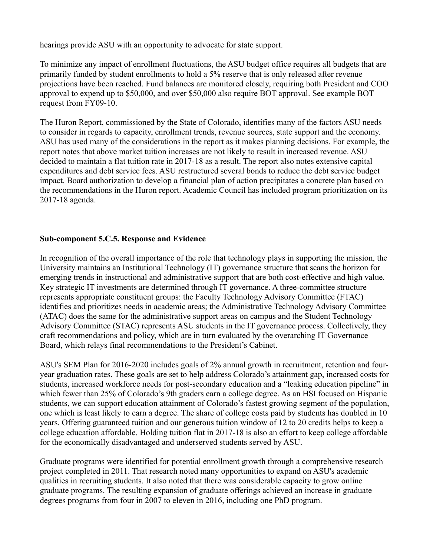hearings provide ASU with an opportunity to advocate for state support.

To minimize any impact of enrollment fluctuations, the ASU budget office requires all budgets that are primarily funded by student enrollments to hold a 5% reserve that is only released after revenue projections have been reached. Fund balances are monitored closely, requiring both President and COO approval to expend up to \$50,000, and over \$50,000 also require BOT approval. See example BOT request from FY09-10.

The Huron Report, commissioned by the State of Colorado, identifies many of the factors ASU needs to consider in regards to capacity, enrollment trends, revenue sources, state support and the economy. ASU has used many of the considerations in the report as it makes planning decisions. For example, the report notes that above market tuition increases are not likely to result in increased revenue. ASU decided to maintain a flat tuition rate in 2017-18 as a result. The report also notes extensive capital expenditures and debt service fees. ASU restructured several bonds to reduce the debt service budget impact. Board authorization to develop a financial plan of action precipitates a concrete plan based on the recommendations in the Huron report. Academic Council has included program prioritization on its 2017-18 agenda.

## **Sub-component 5.C.5. Response and Evidence**

In recognition of the overall importance of the role that technology plays in supporting the mission, the University maintains an Institutional Technology (IT) governance structure that scans the horizon for emerging trends in instructional and administrative support that are both cost-effective and high value. Key strategic IT investments are determined through IT governance. A three-committee structure represents appropriate constituent groups: the Faculty Technology Advisory Committee (FTAC) identifies and prioritizes needs in academic areas; the Administrative Technology Advisory Committee (ATAC) does the same for the administrative support areas on campus and the Student Technology Advisory Committee (STAC) represents ASU students in the IT governance process. Collectively, they craft recommendations and policy, which are in turn evaluated by the overarching IT Governance Board, which relays final recommendations to the President's Cabinet.

ASU's SEM Plan for 2016-2020 includes goals of 2% annual growth in recruitment, retention and fouryear graduation rates. These goals are set to help address Colorado's attainment gap, increased costs for students, increased workforce needs for post-secondary education and a "leaking education pipeline" in which fewer than 25% of Colorado's 9th graders earn a college degree. As an HSI focused on Hispanic students, we can support education attainment of Colorado's fastest growing segment of the population, one which is least likely to earn a degree. The share of college costs paid by students has doubled in 10 years. Offering guaranteed tuition and our generous tuition window of 12 to 20 credits helps to keep a college education affordable. Holding tuition flat in 2017-18 is also an effort to keep college affordable for the economically disadvantaged and underserved students served by ASU.

Graduate programs were identified for potential enrollment growth through a comprehensive research project completed in 2011. That research noted many opportunities to expand on ASU's academic qualities in recruiting students. It also noted that there was considerable capacity to grow online graduate programs. The resulting expansion of graduate offerings achieved an increase in graduate degrees programs from four in 2007 to eleven in 2016, including one PhD program.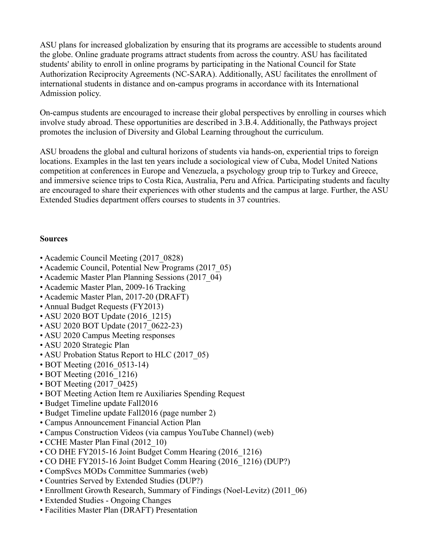ASU plans for increased globalization by ensuring that its programs are accessible to students around the globe. Online graduate programs attract students from across the country. ASU has facilitated students' ability to enroll in online programs by participating in the National Council for State Authorization Reciprocity Agreements (NC-SARA). Additionally, ASU facilitates the enrollment of international students in distance and on-campus programs in accordance with its International Admission policy.

On-campus students are encouraged to increase their global perspectives by enrolling in courses which involve study abroad. These opportunities are described in 3.B.4. Additionally, the Pathways project promotes the inclusion of Diversity and Global Learning throughout the curriculum.

ASU broadens the global and cultural horizons of students via hands-on, experiential trips to foreign locations. Examples in the last ten years include a sociological view of Cuba, Model United Nations competition at conferences in Europe and Venezuela, a psychology group trip to Turkey and Greece, and immersive science trips to Costa Rica, Australia, Peru and Africa. Participating students and faculty are encouraged to share their experiences with other students and the campus at large. Further, the ASU Extended Studies department offers courses to students in 37 countries.

### **Sources**

- Academic Council Meeting (2017–0828)
- Academic Council, Potential New Programs (2017\_05)
- Academic Master Plan Planning Sessions (2017\_04)
- Academic Master Plan, 2009-16 Tracking
- Academic Master Plan, 2017-20 (DRAFT)
- Annual Budget Requests (FY2013)
- ASU 2020 BOT Update (2016 1215)
- ASU 2020 BOT Update (2017 0622-23)
- ASU 2020 Campus Meeting responses
- ASU 2020 Strategic Plan
- ASU Probation Status Report to HLC (2017–05)
- BOT Meeting (2016–0513-14)
- BOT Meeting (2016 1216)
- BOT Meeting (2017–0425)
- BOT Meeting Action Item re Auxiliaries Spending Request
- Budget Timeline update Fall2016
- Budget Timeline update Fall2016 (page number 2)
- Campus Announcement Financial Action Plan
- Campus Construction Videos (via campus YouTube Channel) (web)
- CCHE Master Plan Final (2012 10)
- CO DHE FY2015-16 Joint Budget Comm Hearing (2016\_1216)
- CO DHE FY2015-16 Joint Budget Comm Hearing (2016–1216) (DUP?)
- CompSvcs MODs Committee Summaries (web)
- Countries Served by Extended Studies (DUP?)
- Enrollment Growth Research, Summary of Findings (Noel-Levitz) (2011\_06)
- Extended Studies Ongoing Changes
- Facilities Master Plan (DRAFT) Presentation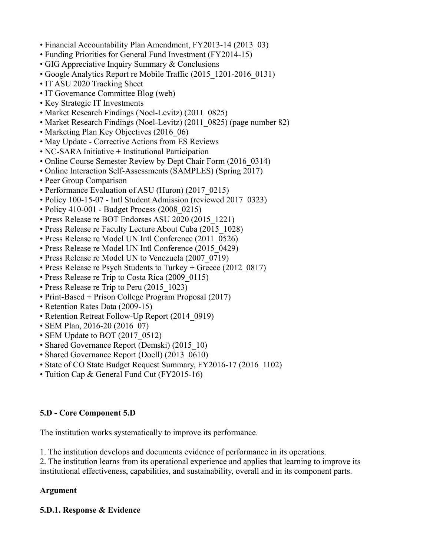- Financial Accountability Plan Amendment, FY2013-14 (2013–03)
- Funding Priorities for General Fund Investment (FY2014-15)
- GIG Appreciative Inquiry Summary & Conclusions
- Google Analytics Report re Mobile Traffic (2015\_1201-2016\_0131)
- IT ASU 2020 Tracking Sheet
- IT Governance Committee Blog (web)
- Key Strategic IT Investments
- Market Research Findings (Noel-Levitz) (2011–0825)
- Market Research Findings (Noel-Levitz) (2011–0825) (page number 82)
- Marketing Plan Key Objectives (2016–06)
- May Update Corrective Actions from ES Reviews
- NC-SARA Initiative + Institutional Participation
- Online Course Semester Review by Dept Chair Form (2016–0314)
- Online Interaction Self-Assessments (SAMPLES) (Spring 2017)
- Peer Group Comparison
- Performance Evaluation of ASU (Huron) (2017\_0215)
- Policy 100-15-07 Intl Student Admission (reviewed 2017\_0323)
- Policy 410-001 Budget Process (2008\_0215)
- Press Release re BOT Endorses ASU 2020 (2015\_1221)
- Press Release re Faculty Lecture About Cuba (2015\_1028)
- Press Release re Model UN Intl Conference (2011–0526)
- Press Release re Model UN Intl Conference (2015\_0429)
- Press Release re Model UN to Venezuela (2007\_0719)
- Press Release re Psych Students to Turkey + Greece (2012–0817)
- Press Release re Trip to Costa Rica (2009\_0115)
- Press Release re Trip to Peru (2015 1023)
- Print-Based + Prison College Program Proposal (2017)
- Retention Rates Data (2009-15)
- Retention Retreat Follow-Up Report (2014\_0919)
- SEM Plan, 2016-20 (2016–07)
- SEM Update to BOT (2017–0512)
- Shared Governance Report (Demski) (2015–10)
- Shared Governance Report (Doell) (2013–0610)
- State of CO State Budget Request Summary, FY2016-17 (2016–1102)
- Tuition Cap & General Fund Cut (FY2015-16)

## **5.D - Core Component 5.D**

The institution works systematically to improve its performance.

1. The institution develops and documents evidence of performance in its operations.

2. The institution learns from its operational experience and applies that learning to improve its institutional effectiveness, capabilities, and sustainability, overall and in its component parts.

## **Argument**

## **5.D.1. Response & Evidence**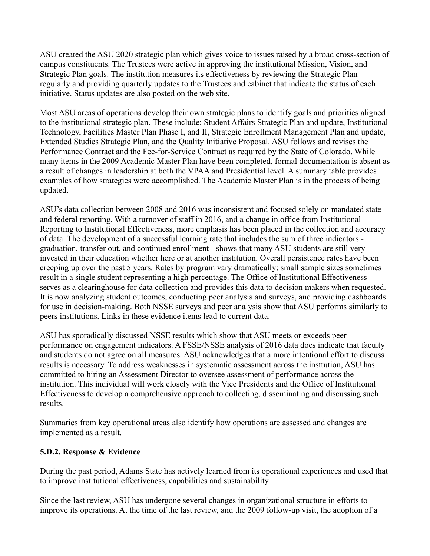ASU created the ASU 2020 strategic plan which gives voice to issues raised by a broad cross-section of campus constituents. The Trustees were active in approving the institutional Mission, Vision, and Strategic Plan goals. The institution measures its effectiveness by reviewing the Strategic Plan regularly and providing quarterly updates to the Trustees and cabinet that indicate the status of each initiative. Status updates are also posted on the web site.

Most ASU areas of operations develop their own strategic plans to identify goals and priorities aligned to the institutional strategic plan. These include: Student Affairs Strategic Plan and update, Institutional Technology, Facilities Master Plan Phase I, and II, Strategic Enrollment Management Plan and update, Extended Studies Strategic Plan, and the Quality Initiative Proposal. ASU follows and revises the Performance Contract and the Fee-for-Service Contract as required by the State of Colorado. While many items in the 2009 Academic Master Plan have been completed, formal documentation is absent as a result of changes in leadership at both the VPAA and Presidential level. A summary table provides examples of how strategies were accomplished. The Academic Master Plan is in the process of being updated.

ASU's data collection between 2008 and 2016 was inconsistent and focused solely on mandated state and federal reporting. With a turnover of staff in 2016, and a change in office from Institutional Reporting to Institutional Effectiveness, more emphasis has been placed in the collection and accuracy of data. The development of a successful learning rate that includes the sum of three indicators graduation, transfer out, and continued enrollment - shows that many ASU students are still very invested in their education whether here or at another institution. Overall persistence rates have been creeping up over the past 5 years. Rates by program vary dramatically; small sample sizes sometimes result in a single student representing a high percentage. The Office of Institutional Effectiveness serves as a clearinghouse for data collection and provides this data to decision makers when requested. It is now analyzing student outcomes, conducting peer analysis and surveys, and providing dashboards for use in decision-making. Both NSSE surveys and peer analysis show that ASU performs similarly to peers institutions. Links in these evidence items lead to current data.

ASU has sporadically discussed NSSE results which show that ASU meets or exceeds peer performance on engagement indicators. A FSSE/NSSE analysis of 2016 data does indicate that faculty and students do not agree on all measures. ASU acknowledges that a more intentional effort to discuss results is necessary. To address weaknesses in systematic assessment across the insttution, ASU has committed to hiring an Assessment Director to oversee assessment of performance across the institution. This individual will work closely with the Vice Presidents and the Office of Institutional Effectiveness to develop a comprehensive approach to collecting, disseminating and discussing such results.

Summaries from key operational areas also identify how operations are assessed and changes are implemented as a result.

## **5.D.2. Response & Evidence**

During the past period, Adams State has actively learned from its operational experiences and used that to improve institutional effectiveness, capabilities and sustainability.

Since the last review, ASU has undergone several changes in organizational structure in efforts to improve its operations. At the time of the last review, and the 2009 follow-up visit, the adoption of a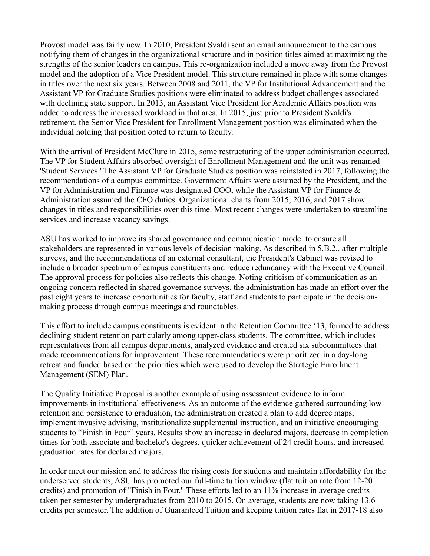Provost model was fairly new. In 2010, President Svaldi sent an email announcement to the campus notifying them of changes in the organizational structure and in position titles aimed at maximizing the strengths of the senior leaders on campus. This re-organization included a move away from the Provost model and the adoption of a Vice President model. This structure remained in place with some changes in titles over the next six years. Between 2008 and 2011, the VP for Institutional Advancement and the Assistant VP for Graduate Studies positions were eliminated to address budget challenges associated with declining state support. In 2013, an Assistant Vice President for Academic Affairs position was added to address the increased workload in that area. In 2015, just prior to President Svaldi's retirement, the Senior Vice President for Enrollment Management position was eliminated when the individual holding that position opted to return to faculty.

With the arrival of President McClure in 2015, some restructuring of the upper administration occurred. The VP for Student Affairs absorbed oversight of Enrollment Management and the unit was renamed 'Student Services.' The Assistant VP for Graduate Studies position was reinstated in 2017, following the recommendations of a campus committee. Government Affairs were assumed by the President, and the VP for Administration and Finance was designated COO, while the Assistant VP for Finance  $\&$ Administration assumed the CFO duties. Organizational charts from 2015, 2016, and 2017 show changes in titles and responsibilities over this time. Most recent changes were undertaken to streamline services and increase vacancy savings.

ASU has worked to improve its shared governance and communication model to ensure all stakeholders are represented in various levels of decision making. As described in 5.B.2,. after multiple surveys, and the recommendations of an external consultant, the President's Cabinet was revised to include a broader spectrum of campus constituents and reduce redundancy with the Executive Council. The approval process for policies also reflects this change. Noting criticism of communication as an ongoing concern reflected in shared governance surveys, the administration has made an effort over the past eight years to increase opportunities for faculty, staff and students to participate in the decisionmaking process through campus meetings and roundtables.

This effort to include campus constituents is evident in the Retention Committee '13, formed to address declining student retention particularly among upper-class students. The committee, which includes representatives from all campus departments, analyzed evidence and created six subcommittees that made recommendations for improvement. These recommendations were prioritized in a day-long retreat and funded based on the priorities which were used to develop the Strategic Enrollment Management (SEM) Plan.

The Quality Initiative Proposal is another example of using assessment evidence to inform improvements in institutional effectiveness. As an outcome of the evidence gathered surrounding low retention and persistence to graduation, the administration created a plan to add degree maps, implement invasive advising, institutionalize supplemental instruction, and an initiative encouraging students to "Finish in Four" years. Results show an increase in declared majors, decrease in completion times for both associate and bachelor's degrees, quicker achievement of 24 credit hours, and increased graduation rates for declared majors.

In order meet our mission and to address the rising costs for students and maintain affordability for the underserved students, ASU has promoted our full-time tuition window (flat tuition rate from 12-20 credits) and promotion of "Finish in Four." These efforts led to an 11% increase in average credits taken per semester by undergraduates from 2010 to 2015. On average, students are now taking 13.6 credits per semester. The addition of Guaranteed Tuition and keeping tuition rates flat in 2017-18 also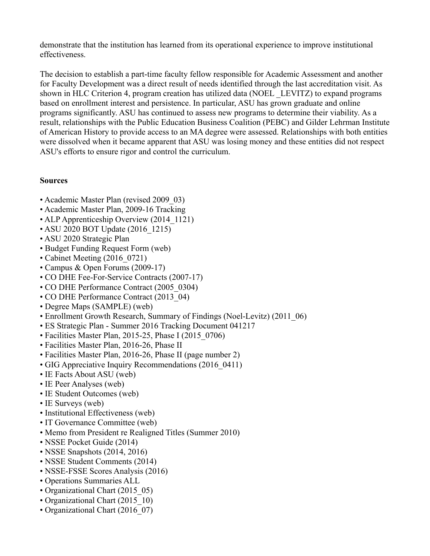demonstrate that the institution has learned from its operational experience to improve institutional effectiveness.

The decision to establish a part-time faculty fellow responsible for Academic Assessment and another for Faculty Development was a direct result of needs identified through the last accreditation visit. As shown in HLC Criterion 4, program creation has utilized data (NOEL \_LEVITZ) to expand programs based on enrollment interest and persistence. In particular, ASU has grown graduate and online programs significantly. ASU has continued to assess new programs to determine their viability. As a result, relationships with the Public Education Business Coalition (PEBC) and Gilder Lehrman Institute of American History to provide access to an MA degree were assessed. Relationships with both entities were dissolved when it became apparent that ASU was losing money and these entities did not respect ASU's efforts to ensure rigor and control the curriculum.

## **Sources**

- Academic Master Plan (revised 2009 03)
- Academic Master Plan, 2009-16 Tracking
- ALP Apprenticeship Overview (2014–1121)
- ASU 2020 BOT Update (2016 1215)
- ASU 2020 Strategic Plan
- Budget Funding Request Form (web)
- Cabinet Meeting (2016–0721)
- Campus & Open Forums (2009-17)
- CO DHE Fee-For-Service Contracts (2007-17)
- CO DHE Performance Contract (2005\_0304)
- CO DHE Performance Contract (2013\_04)
- Degree Maps (SAMPLE) (web)
- Enrollment Growth Research, Summary of Findings (Noel-Levitz) (2011–06)
- ES Strategic Plan Summer 2016 Tracking Document 041217
- Facilities Master Plan, 2015-25, Phase I (2015\_0706)
- Facilities Master Plan, 2016-26, Phase II
- Facilities Master Plan, 2016-26, Phase II (page number 2)
- GIG Appreciative Inquiry Recommendations (2016–0411)
- IE Facts About ASU (web)
- IE Peer Analyses (web)
- IE Student Outcomes (web)
- IE Surveys (web)
- Institutional Effectiveness (web)
- IT Governance Committee (web)
- Memo from President re Realigned Titles (Summer 2010)
- NSSE Pocket Guide (2014)
- NSSE Snapshots (2014, 2016)
- NSSE Student Comments (2014)
- NSSE-FSSE Scores Analysis (2016)
- Operations Summaries ALL
- Organizational Chart (2015\_05)
- Organizational Chart (2015 10)
- Organizational Chart (2016\_07)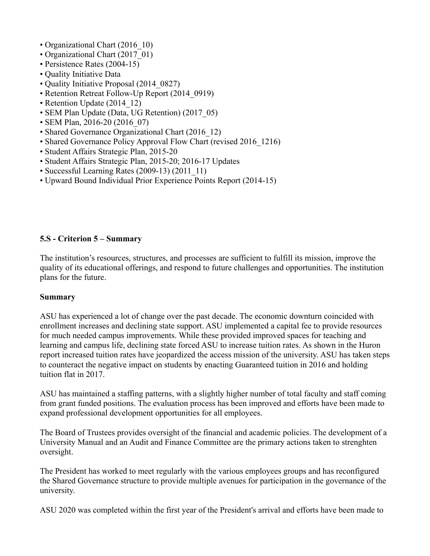- Organizational Chart (2016–10)
- Organizational Chart (2017\_01)
- Persistence Rates (2004-15)
- Quality Initiative Data
- Quality Initiative Proposal (2014\_0827)
- Retention Retreat Follow-Up Report (2014–0919)
- Retention Update (2014 12)
- SEM Plan Update (Data, UG Retention) (2017–05)
- SEM Plan, 2016-20 (2016–07)
- Shared Governance Organizational Chart (2016–12)
- Shared Governance Policy Approval Flow Chart (revised 2016 1216)
- Student Affairs Strategic Plan, 2015-20
- Student Affairs Strategic Plan, 2015-20; 2016-17 Updates
- Successful Learning Rates (2009-13) (2011\_11)
- Upward Bound Individual Prior Experience Points Report (2014-15)

### **5.S - Criterion 5 – Summary**

The institution's resources, structures, and processes are sufficient to fulfill its mission, improve the quality of its educational offerings, and respond to future challenges and opportunities. The institution plans for the future.

#### **Summary**

ASU has experienced a lot of change over the past decade. The economic downturn coincided with enrollment increases and declining state support. ASU implemented a capital fee to provide resources for much needed campus improvements. While these provided improved spaces for teaching and learning and campus life, declining state forced ASU to increase tuition rates. As shown in the Huron report increased tuition rates have jeopardized the access mission of the university. ASU has taken steps to counteract the negative impact on students by enacting Guaranteed tuition in 2016 and holding tuition flat in 2017.

ASU has maintained a staffing patterns, with a slightly higher number of total faculty and staff coming from grant funded positions. The evaluation process has been improved and efforts have been made to expand professional development opportunities for all employees.

The Board of Trustees provides oversight of the financial and academic policies. The development of a University Manual and an Audit and Finance Committee are the primary actions taken to strenghten oversight.

The President has worked to meet regularly with the various employees groups and has reconfigured the Shared Governance structure to provide multiple avenues for participation in the governance of the university.

ASU 2020 was completed within the first year of the President's arrival and efforts have been made to